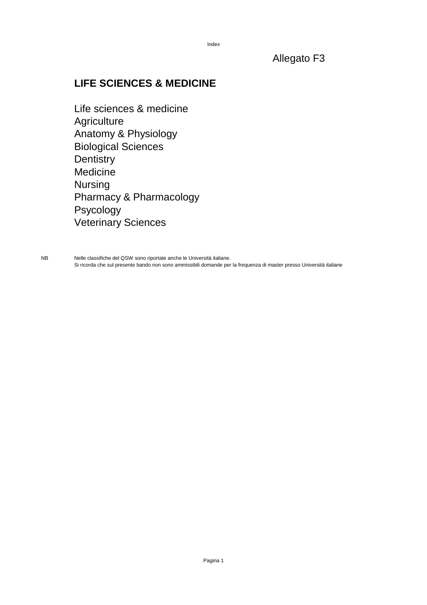### Allegato F3

### **LIFE SCIENCES & MEDICINE**

Life sciences & medicine **Agriculture** Anatomy & Physiology Biological Sciences **Dentistry** Medicine Nursing Pharmacy & Pharmacology Psycology Veterinary Sciences

NB Nelle classifiche del QSW sono riportate anche le Università italiane. Si ricorda che sul presente bando non sono ammissibili domande per la frequenza di master presso Università italiane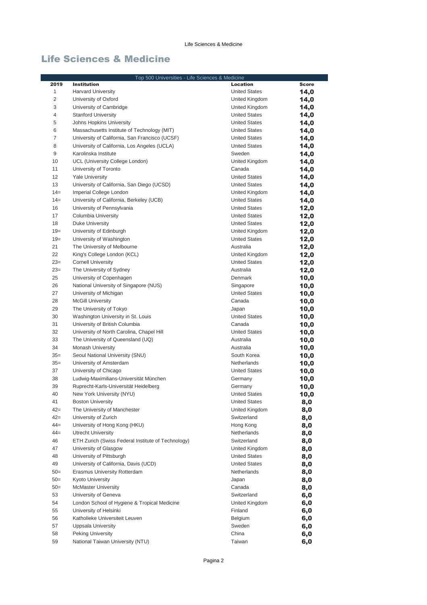|                | Top 500 Universities - Life Sciences & Medicine    |                      |              |
|----------------|----------------------------------------------------|----------------------|--------------|
| 2019           | <b>Institution</b>                                 | <b>Location</b>      | <b>Score</b> |
| 1              | <b>Harvard University</b>                          | <b>United States</b> | 14,0         |
| $\overline{c}$ | University of Oxford                               | United Kingdom       | 14,0         |
| 3              | University of Cambridge                            | United Kingdom       | 14,0         |
| 4              | <b>Stanford University</b>                         | <b>United States</b> | 14,0         |
| 5              | Johns Hopkins University                           | <b>United States</b> | 14,0         |
| 6              | Massachusetts Institute of Technology (MIT)        | <b>United States</b> | 14,0         |
| $\overline{7}$ | University of California, San Francisco (UCSF)     | <b>United States</b> | 14,0         |
| 8              | University of California, Los Angeles (UCLA)       | <b>United States</b> | 14,0         |
| 9              | Karolinska Institute                               | Sweden               | 14,0         |
| 10             | UCL (University College London)                    | United Kingdom       | 14,0         |
| 11             | University of Toronto                              | Canada               | 14,0         |
| 12             | <b>Yale University</b>                             | <b>United States</b> | 14,0         |
| 13             | University of California, San Diego (UCSD)         | <b>United States</b> | 14,0         |
| $14=$          | Imperial College London                            | United Kingdom       | 14,0         |
| $14=$          | University of California, Berkeley (UCB)           | <b>United States</b> | 14,0         |
| 16             | University of Pennsylvania                         | <b>United States</b> | 12,0         |
| 17             | Columbia University                                | <b>United States</b> | 12,0         |
| 18             | <b>Duke University</b>                             | <b>United States</b> | 12,0         |
| $19=$          | University of Edinburgh                            | United Kingdom       | 12,0         |
| $19=$          | University of Washington                           | <b>United States</b> | 12,0         |
| 21             | The University of Melbourne                        | Australia            | 12,0         |
| 22             | King's College London (KCL)                        | United Kingdom       | 12,0         |
| $23=$          | <b>Cornell University</b>                          | <b>United States</b> | 12,0         |
| $23=$          | The University of Sydney                           | Australia            | 12,0         |
| 25             | University of Copenhagen                           | Denmark              | 10,0         |
| 26             | National University of Singapore (NUS)             | Singapore            | 10,0         |
| 27             | University of Michigan                             | <b>United States</b> | 10,0         |
| 28             | <b>McGill University</b>                           | Canada               | 10,0         |
| 29             | The University of Tokyo                            | Japan                | 10,0         |
| 30             | Washington University in St. Louis                 | <b>United States</b> | 10,0         |
| 31             | University of British Columbia                     | Canada               | 10,0         |
| 32             | University of North Carolina, Chapel Hill          | <b>United States</b> | 10,0         |
| 33             | The University of Queensland (UQ)                  | Australia            | 10,0         |
| 34             | Monash University                                  | Australia            | 10,0         |
| $35=$          | Seoul National University (SNU)                    | South Korea          | 10,0         |
| $35=$          | University of Amsterdam                            | Netherlands          | 10,0         |
| 37             | University of Chicago                              | <b>United States</b> | 10,0         |
| 38             | Ludwig-Maximilians-Universität München             | Germany              | 10,0         |
| 39             | Ruprecht-Karls-Universität Heidelberg              | Germany              | 10,0         |
| 40             | New York University (NYU)                          | <b>United States</b> | 10,0         |
| 41             | <b>Boston University</b>                           | <b>United States</b> | 8,0          |
| $42 =$         | The University of Manchester                       | United Kingdom       | 8,0          |
| $42 =$         | University of Zurich                               | Switzerland          | 8,0          |
| $44 =$         | University of Hong Kong (HKU)                      | Hong Kong            | 8,0          |
| $44 =$         | <b>Utrecht University</b>                          | Netherlands          | 8,0          |
| 46             | ETH Zurich (Swiss Federal Institute of Technology) | Switzerland          | 8,0          |
| 47             | University of Glasgow                              | United Kingdom       | 8,0          |
| 48             | University of Pittsburgh                           | <b>United States</b> | 8,0          |
| 49             | University of California, Davis (UCD)              | <b>United States</b> | 8,0          |
| $50=$          | Erasmus University Rotterdam                       | Netherlands          | 8,0          |
| $50=$          | <b>Kyoto University</b>                            | Japan                | 8,0          |
| $50=$          | <b>McMaster University</b>                         | Canada               | 8,0          |
| 53             | University of Geneva                               | Switzerland          | 6,0          |
| 54             | London School of Hygiene & Tropical Medicine       | United Kingdom       | 6,0          |
| 55             | University of Helsinki                             | Finland              | 6,0          |
| 56             | Katholieke Universiteit Leuven                     | Belgium              | 6,0          |
| 57             | Uppsala University                                 | Sweden               | 6,0          |
| 58             | Peking University                                  | China                | 6,0          |
| 59             | National Taiwan University (NTU)                   | Taiwan               | 6,0          |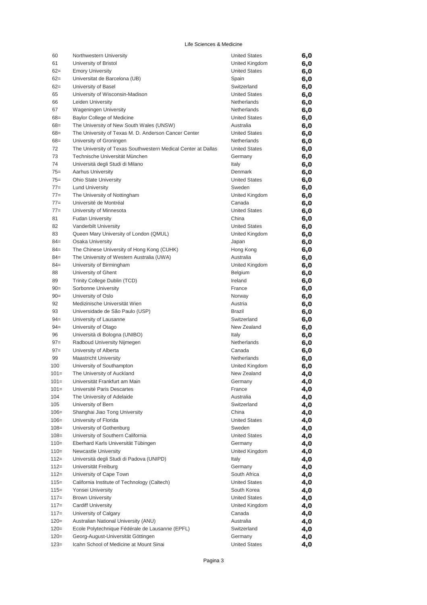| 60               | Northwestern University                                       | <b>United States</b>     | 6,0        |
|------------------|---------------------------------------------------------------|--------------------------|------------|
| 61               | University of Bristol                                         | United Kingdom           | 6,0        |
| $62 =$           | <b>Emory University</b>                                       | <b>United States</b>     | 6,0        |
| $62 =$           | Universitat de Barcelona (UB)                                 | Spain                    | 6,0        |
| $62 =$           | University of Basel                                           | Switzerland              | 6,0        |
| 65               | University of Wisconsin-Madison                               | <b>United States</b>     | 6,0        |
| 66               | Leiden University                                             | Netherlands              | 6,0        |
| 67               | <b>Wageningen University</b>                                  | Netherlands              | 6,0        |
| 68=              | <b>Baylor College of Medicine</b>                             | <b>United States</b>     | 6,0        |
| $68 =$           | The University of New South Wales (UNSW)                      | Australia                | 6,0        |
| $68 =$           | The University of Texas M. D. Anderson Cancer Center          | <b>United States</b>     | 6,0        |
| $68 =$           | University of Groningen                                       | Netherlands              | 6,0        |
| 72               | The University of Texas Southwestern Medical Center at Dallas | <b>United States</b>     | 6,0        |
| 73               | Technische Universität München                                | Germany                  | 6,0        |
| 74               | Università degli Studi di Milano                              | Italy                    | 6,0        |
| $75 =$           | <b>Aarhus University</b>                                      | Denmark                  | 6,0        |
| $75 =$           | <b>Ohio State University</b>                                  | <b>United States</b>     | 6,0        |
| $77 =$<br>$77 =$ | <b>Lund University</b>                                        | Sweden<br>United Kingdom | 6,0        |
| $77=$            | The University of Nottingham<br>Université de Montréal        | Canada                   | 6,0        |
| $77 =$           | University of Minnesota                                       | <b>United States</b>     | 6,0        |
| 81               | <b>Fudan University</b>                                       | China                    | 6,0        |
| 82               | Vanderbilt University                                         | <b>United States</b>     | 6,0        |
| 83               | Queen Mary University of London (QMUL)                        | United Kingdom           | 6,0<br>6,0 |
| $84 =$           | <b>Osaka University</b>                                       | Japan                    | 6,0        |
| $84 =$           | The Chinese University of Hong Kong (CUHK)                    | Hong Kong                | 6,0        |
| $84 =$           | The University of Western Australia (UWA)                     | Australia                | 6,0        |
| $84 =$           | University of Birmingham                                      | United Kingdom           | 6,0        |
| 88               | University of Ghent                                           | Belgium                  | 6,0        |
| 89               | Trinity College Dublin (TCD)                                  | Ireland                  | 6,0        |
| $90=$            | Sorbonne University                                           | France                   | 6,0        |
| $90=$            | University of Oslo                                            | Norway                   | 6,0        |
| 92               | Medizinische Universität Wien                                 | Austria                  | 6,0        |
| 93               | Universidade de São Paulo (USP)                               | <b>Brazil</b>            | 6,0        |
| $94 =$           | University of Lausanne                                        | Switzerland              | 6,0        |
| $94 =$           | University of Otago                                           | New Zealand              | 6,0        |
| 96               | Università di Bologna (UNIBO)                                 | Italy                    | 6,0        |
| $97 =$           | Radboud University Nijmegen                                   | Netherlands              | 6,0        |
| $97 =$           | University of Alberta                                         | Canada                   | 6,0        |
| 99               | <b>Maastricht University</b>                                  | Netherlands              | 6,0        |
| 100              | University of Southampton                                     | United Kingdom           | 6,0        |
| $101 =$          | The University of Auckland                                    | New Zealand              | 4,0        |
| $101 =$          | Universität Frankfurt am Main                                 | Germany                  | 4,0        |
| $101 =$          | Université Paris Descartes                                    | France                   | 4,0        |
| 104              | The University of Adelaide                                    | Australia                | 4,0        |
| 105              | University of Bern                                            | Switzerland              | 4,0        |
| $106=$           | Shanghai Jiao Tong University                                 | China                    | 4,0        |
| $106=$           | University of Florida                                         | <b>United States</b>     | 4,0        |
| $108 =$          | University of Gothenburg                                      | Sweden                   | 4,0        |
| $108 =$          | University of Southern California                             | <b>United States</b>     | 4,0        |
| $110=$           | Eberhard Karls Universität Tübingen                           | Germany                  | 4,0        |
| $110=$           | <b>Newcastle University</b>                                   | United Kingdom           | 4,0        |
| $112=$           | Università degli Studi di Padova (UNIPD)                      | Italy                    | 4,0        |
| $112 =$          | Universität Freiburg                                          | Germany                  | 4,0        |
| $112 =$          | University of Cape Town                                       | South Africa             | 4,0        |
| $115=$           | California Institute of Technology (Caltech)                  | <b>United States</b>     | 4,0        |
| $115=$           | Yonsei University                                             | South Korea              | 4,0        |
| $117=$           | <b>Brown University</b>                                       | <b>United States</b>     | 4,0        |
| $117=$<br>$117=$ | <b>Cardiff University</b>                                     | United Kingdom<br>Canada | 4,0        |
| $120=$           | University of Calgary<br>Australian National University (ANU) | Australia                | 4,0        |
| $120=$           | Ecole Polytechnique Fédérale de Lausanne (EPFL)               | Switzerland              | 4,0<br>4,0 |
| $120=$           | Georg-August-Universität Göttingen                            | Germany                  | 4,0        |
| $123=$           | Icahn School of Medicine at Mount Sinai                       | <b>United States</b>     | 4,0        |
|                  |                                                               |                          |            |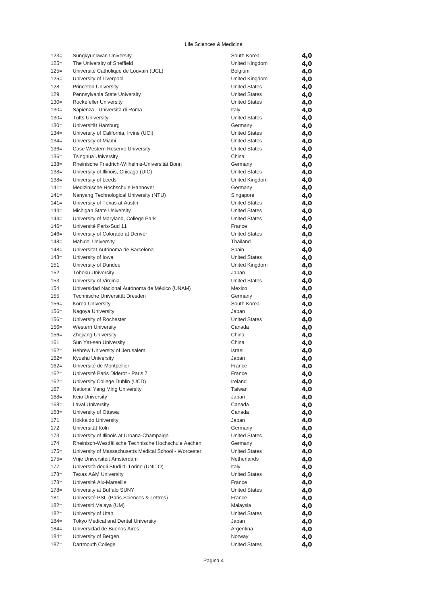| $123=$             | Sungkyunkwan University                                                      | South Korea                   | 4,0        |
|--------------------|------------------------------------------------------------------------------|-------------------------------|------------|
| $125=$             | The University of Sheffield                                                  | United Kingdom                | 4,0        |
| $125=$             | Université Catholique de Louvain (UCL)                                       | Belgium                       | 4,0        |
| $125=$             | University of Liverpool                                                      | United Kingdom                | 4,0        |
| 128                | <b>Princeton University</b>                                                  | <b>United States</b>          | 4,0        |
| 129                | Pennsylvania State University                                                | <b>United States</b>          | 4,0        |
| $130=$             | Rockefeller University                                                       | <b>United States</b>          | 4,0        |
| $130=$             | Sapienza - Università di Roma                                                | Italy                         | 4,0        |
| $130=$             | <b>Tufts University</b>                                                      | <b>United States</b>          | 4,0        |
| $130=$             | Universität Hamburg                                                          | Germany                       | 4,0        |
| $134=$             | University of California, Irvine (UCI)                                       | <b>United States</b>          | 4,0        |
| $134=$             | University of Miami                                                          | <b>United States</b>          | 4,0        |
| $136=$<br>$136=$   | Case Western Reserve University                                              | <b>United States</b><br>China | 4,0        |
| $138 =$            | <b>Tsinghua University</b><br>Rheinische Friedrich-Wilhelms-Universität Bonn | Germany                       | 4,0        |
| $138 =$            | University of Illinois, Chicago (UIC)                                        | <b>United States</b>          | 4,0<br>4,0 |
| $138 =$            | University of Leeds                                                          | United Kingdom                | 4,0        |
| $141 =$            | Medizinische Hochschule Hannover                                             | Germany                       | 4,0        |
| $141 =$            | Nanyang Technological University (NTU)                                       | Singapore                     | 4,0        |
| 141=               | University of Texas at Austin                                                | <b>United States</b>          | 4,0        |
| $144 =$            | Michigan State University                                                    | <b>United States</b>          | 4,0        |
| $144 =$            | University of Maryland, College Park                                         | <b>United States</b>          | 4,0        |
| $146=$             | Université Paris-Sud 11                                                      | France                        | 4,0        |
| $146=$             | University of Colorado at Denver                                             | <b>United States</b>          | 4,0        |
| $148 =$            | <b>Mahidol University</b>                                                    | Thailand                      | 4,0        |
| $148 =$            | Universitat Autónoma de Barcelona                                            | Spain                         | 4,0        |
| $148=$             | University of Iowa                                                           | <b>United States</b>          | 4,0        |
| 151                | University of Dundee                                                         | United Kingdom                | 4,0        |
| 152                | <b>Tohoku University</b>                                                     | Japan                         | 4,0        |
| 153                | University of Virginia                                                       | <b>United States</b>          | 4,0        |
| 154                | Universidad Nacional Autónoma de México (UNAM)                               | Mexico                        | 4,0        |
| 155                | Technische Universität Dresden                                               | Germany                       | 4,0        |
| $156=$             | Korea University                                                             | South Korea                   | 4,0        |
| $156=$             | Nagoya University                                                            | Japan                         | 4,0        |
| 156=               | University of Rochester                                                      | <b>United States</b>          | 4,0        |
| $156=$             | <b>Western University</b>                                                    | Canada                        | 4,0        |
| $156=$             | <b>Zhejiang University</b>                                                   | China                         | 4,0        |
| 161                | Sun Yat-sen University                                                       | China                         | 4,0        |
| $162 =$            | Hebrew University of Jerusalem                                               | <b>Israel</b>                 | 4,0        |
| $162 =$            | Kyushu University                                                            | Japan                         | 4,0        |
| $162=$             | Université de Montpellier                                                    | France                        | 4,0        |
| $162=$             | Université Paris Diderot - Paris 7                                           | France                        | 4,0        |
| $162 =$            | University College Dublin (UCD)                                              | Ireland                       | 4,0        |
| 167                | National Yang Ming University                                                | Taiwan                        | 4,0        |
| $168 =$<br>$168 =$ | Keio University<br><b>Laval University</b>                                   | Japan<br>Canada               | 4,0        |
| $168 =$            | University of Ottawa                                                         | Canada                        | 4,0        |
| 171                | <b>Hokkaido University</b>                                                   | Japan                         | 4,0<br>4,0 |
| 172                | Universität Köln                                                             | Germany                       | 4,0        |
| 173                | University of Illinois at Urbana-Champaign                                   | <b>United States</b>          | 4,0        |
| 174                | Rheinisch-Westfälische Technische Hochschule Aachen                          | Germany                       | 4,0        |
| $175 =$            | University of Massachusetts Medical School - Worcester                       | <b>United States</b>          | 4,0        |
| $175 =$            | Vrije Universiteit Amsterdam                                                 | Netherlands                   | 4,0        |
| 177                | Università degli Studi di Torino (UNITO)                                     | Italy                         | 4,0        |
| 178=               | <b>Texas A&amp;M University</b>                                              | <b>United States</b>          | 4,0        |
| $178 =$            | Université Aix-Marseille                                                     | France                        | 4,0        |
| $178 =$            | University at Buffalo SUNY                                                   | <b>United States</b>          | 4,0        |
| 181                | Université PSL (Paris Sciences & Lettres)                                    | France                        | 4,0        |
| $182 =$            | Universiti Malaya (UM)                                                       | Malaysia                      | 4,0        |
| $182 =$            | University of Utah                                                           | <b>United States</b>          | 4,0        |
| $184 =$            | Tokyo Medical and Dental University                                          | Japan                         | 4,0        |
| $184 =$            | Universidad de Buenos Aires                                                  | Argentina                     | 4,0        |
| $184 =$            | University of Bergen                                                         | Norway                        | 4,0        |
| $187 =$            | Dartmouth College                                                            | <b>United States</b>          | 4,0        |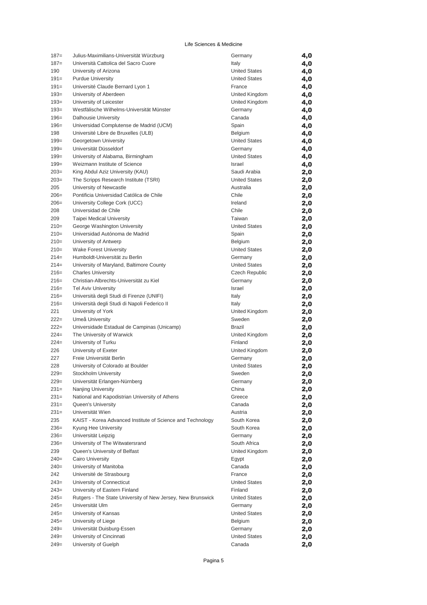| $187=$  | Julius-Maximilians-Universität Würzburg                     | Germany               | 4,0 |
|---------|-------------------------------------------------------------|-----------------------|-----|
| $187=$  | Università Cattolica del Sacro Cuore                        | Italy                 | 4,0 |
| 190     | University of Arizona                                       | <b>United States</b>  | 4,0 |
| $191 =$ | <b>Purdue University</b>                                    | <b>United States</b>  | 4,0 |
| $191 =$ | Université Claude Bernard Lyon 1                            | France                | 4,0 |
| $193=$  | University of Aberdeen                                      | United Kingdom        | 4,0 |
| $193=$  | University of Leicester                                     | United Kingdom        | 4,0 |
| $193=$  | Westfälische Wilhelms-Universität Münster                   | Germany               | 4,0 |
| $196=$  | <b>Dalhousie University</b>                                 | Canada                | 4,0 |
| $196=$  | Universidad Complutense de Madrid (UCM)                     | Spain                 | 4,0 |
| 198     | Université Libre de Bruxelles (ULB)                         | Belgium               | 4,0 |
| $199=$  | Georgetown University                                       | <b>United States</b>  | 4,0 |
| $199=$  | Universität Düsseldorf                                      | Germany               | 4,0 |
| $199=$  | University of Alabama, Birmingham                           | <b>United States</b>  | 4,0 |
| $199=$  | Weizmann Institute of Science                               | Israel                | 4,0 |
| $203=$  | King Abdul Aziz University (KAU)                            | Saudi Arabia          | 2,0 |
| $203=$  | The Scripps Research Institute (TSRI)                       | <b>United States</b>  | 2,0 |
| 205     | University of Newcastle                                     | Australia             | 2,0 |
| $206=$  | Pontificia Universidad Católica de Chile                    | Chile                 | 2,0 |
| $206=$  | University College Cork (UCC)                               | Ireland               | 2,0 |
| 208     | Universidad de Chile                                        | Chile                 | 2,0 |
| 209     | Taipei Medical University                                   | Taiwan                | 2,0 |
| $210=$  | George Washington University                                | <b>United States</b>  | 2,0 |
| $210=$  | Universidad Autónoma de Madrid                              | Spain                 | 2,0 |
| $210=$  | University of Antwerp                                       | Belgium               | 2,0 |
| $210=$  | <b>Wake Forest University</b>                               | <b>United States</b>  | 2,0 |
| $214=$  | Humboldt-Universität zu Berlin                              | Germany               | 2,0 |
| $214=$  | University of Maryland, Baltimore County                    | <b>United States</b>  | 2,0 |
| $216=$  | <b>Charles University</b>                                   | <b>Czech Republic</b> | 2,0 |
| $216=$  | Christian-Albrechts-Universität zu Kiel                     | Germany               | 2,0 |
| $216=$  | <b>Tel Aviv University</b>                                  | <b>Israel</b>         | 2,0 |
| $216=$  | Università degli Studi di Firenze (UNIFI)                   | Italy                 | 2,0 |
| $216=$  | Università degli Studi di Napoli Federico II                | Italy                 | 2,0 |
| 221     | University of York                                          | United Kingdom        | 2,0 |
| $222 =$ | Umeå University                                             | Sweden                | 2,0 |
| $222 =$ | Universidade Estadual de Campinas (Unicamp)                 | Brazil                | 2,0 |
| $224=$  | The University of Warwick                                   | United Kingdom        | 2,0 |
| $224=$  | University of Turku                                         | Finland               | 2,0 |
| 226     | University of Exeter                                        | United Kingdom        | 2,0 |
| 227     | Freie Universität Berlin                                    | Germany               | 2,0 |
| 228     | University of Colorado at Boulder                           | <b>United States</b>  | 2,0 |
| $229=$  | Stockholm University                                        | Sweden                | 2,0 |
| $229=$  | Universität Erlangen-Nürnberg                               | Germany               | 2,0 |
| $231=$  | Nanjing University                                          | China                 | 2,0 |
| $231=$  | National and Kapodistrian University of Athens              | Greece                | 2,0 |
| $231=$  | <b>Queen's University</b>                                   | Canada                | 2,0 |
| $231=$  | Universität Wien                                            | Austria               | 2,0 |
| 235     | KAIST - Korea Advanced Institute of Science and Technology  | South Korea           | 2,0 |
| $236=$  | Kyung Hee University                                        | South Korea           | 2,0 |
| $236=$  | Universität Leipzig                                         | Germany               | 2,0 |
| $236=$  | University of The Witwatersrand                             | South Africa          | 2,0 |
| 239     | Queen's University of Belfast                               | United Kingdom        | 2,0 |
| $240=$  | <b>Cairo University</b><br>University of Manitoba           | Egypt                 | 2,0 |
| $240=$  |                                                             | Canada                | 2,0 |
| 242     | Université de Strasbourg                                    | France                | 2,0 |
| $243=$  | University of Connecticut                                   | <b>United States</b>  | 2,0 |
| $243=$  | University of Eastern Finland                               | Finland               | 2,0 |
| $245=$  | Rutgers - The State University of New Jersey, New Brunswick | <b>United States</b>  | 2,0 |
| $245=$  | Universität Ulm                                             | Germany               | 2,0 |
| $245=$  | University of Kansas                                        | <b>United States</b>  | 2,0 |
| $245=$  | University of Liege                                         | Belgium               | 2,0 |
| $249=$  | Universität Duisburg-Essen                                  | Germany               | 2,0 |
| $249=$  | University of Cincinnati                                    | <b>United States</b>  | 2,0 |
| $249=$  | University of Guelph                                        | Canada                | 2,0 |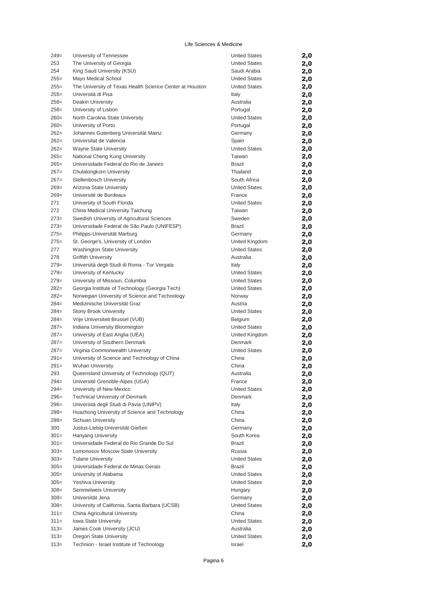| $249=$  | University of Tennessee                                  | <b>United States</b> | 2,0 |
|---------|----------------------------------------------------------|----------------------|-----|
| 253     | The University of Georgia                                | <b>United States</b> | 2,0 |
| 254     | King Saud University (KSU)                               | Saudi Arabia         | 2,0 |
| $255=$  | Mayo Medical School                                      | <b>United States</b> | 2,0 |
| $255=$  | The University of Texas Health Science Center at Houston | <b>United States</b> | 2,0 |
| $255=$  | Università di Pisa                                       | Italy                | 2,0 |
| $258=$  | Deakin University                                        | Australia            | 2,0 |
| $258=$  | University of Lisbon                                     | Portugal             | 2,0 |
| $260=$  | North Carolina State University                          | <b>United States</b> | 2,0 |
| $260=$  | University of Porto                                      | Portugal             | 2,0 |
| $262=$  | Johannes Gutenberg Universität Mainz                     | Germany              | 2,0 |
| $262=$  | Universitat de Valencia                                  | Spain                | 2,0 |
| $262=$  | Wayne State University                                   | <b>United States</b> | 2,0 |
| $265=$  | National Cheng Kung University                           | Taiwan               | 2,0 |
| $265=$  | Universidade Federal do Rio de Janeiro                   | <b>Brazil</b>        | 2,0 |
| $267=$  | Chulalongkorn University                                 | Thailand             | 2,0 |
| $267=$  | <b>Stellenbosch University</b>                           | South Africa         | 2,0 |
| $269=$  | Arizona State University                                 | <b>United States</b> | 2,0 |
| $269=$  | Université de Bordeaux                                   | France               | 2,0 |
| 271     | University of South Florida                              | <b>United States</b> | 2,0 |
| 272     | China Medical University Taichung                        | Taiwan               | 2,0 |
| $273=$  | Swedish University of Agricultural Sciences              | Sweden               | 2,0 |
| $273=$  | Universidade Federal de São Paulo (UNIFESP)              | <b>Brazil</b>        | 2,0 |
| $275=$  | Philipps-Universität Marburg                             | Germany              | 2,0 |
| $275=$  | St. George's, University of London                       | United Kingdom       | 2,0 |
| 277     | <b>Washington State University</b>                       | <b>United States</b> | 2,0 |
| 278     | <b>Griffith University</b>                               | Australia            | 2,0 |
| $279=$  | Universitá degli Studi di Roma - Tor Vergata             | Italy                | 2,0 |
| $279=$  | University of Kentucky                                   | <b>United States</b> | 2,0 |
| $279=$  | University of Missouri, Columbia                         | <b>United States</b> | 2,0 |
| $282=$  | Georgia Institute of Technology (Georgia Tech)           | <b>United States</b> | 2,0 |
| $282=$  | Norwegian University of Science and Technology           | Norway               | 2,0 |
| $284=$  | Medizinische Universität Graz                            | Austria              | 2,0 |
| $284=$  | <b>Stony Brook University</b>                            | <b>United States</b> | 2,0 |
| $284=$  | Vrije Universiteit Brussel (VUB)                         | Belgium              | 2,0 |
| $287=$  | Indiana University Bloomington                           | <b>United States</b> | 2,0 |
| $287=$  | University of East Anglia (UEA)                          | United Kingdom       | 2,0 |
| $287=$  | University of Southern Denmark                           | Denmark              | 2,0 |
| $287=$  | Virginia Commonwealth University                         | <b>United States</b> | 2,0 |
| $291=$  | University of Science and Technology of China            | China                | 2,0 |
| $291=$  | <b>Wuhan University</b>                                  | China                | 2,0 |
| 293     | Queensland University of Technology (QUT)                | Australia            | 2,0 |
| $294=$  | Université Grenoble-Alpes (UGA)                          | France               | 2,0 |
| $294=$  | University of New Mexico                                 | <b>United States</b> | 2,0 |
| $296=$  | <b>Technical University of Denmark</b>                   | Denmark              | 2,0 |
| $296=$  | Università degli Studi di Pavia (UNIPV)                  | Italy                | 2,0 |
| $298=$  | Huazhong University of Science and Technology            | China                | 2,0 |
| $298=$  | Sichuan University                                       | China                | 2,0 |
| 300     | Justus-Liebig-Universität Gießen                         | Germany              | 2,0 |
| $301 =$ | <b>Hanyang University</b>                                | South Korea          | 2,0 |
| $301 =$ | Universidade Federal do Rio Grande Do Sul                | Brazil               | 2,0 |
| $303=$  | Lomonosov Moscow State University                        | Russia               | 2,0 |
| $303=$  | <b>Tulane University</b>                                 | <b>United States</b> | 2,0 |
| $305 =$ | Universidade Federal de Minas Gerais                     | Brazil               | 2,0 |
| $305 =$ | University of Alabama                                    | <b>United States</b> | 2,0 |
| $305 =$ | Yeshiva University                                       | <b>United States</b> | 2,0 |
| $308 =$ | Semmelweis University                                    | Hungary              | 2,0 |
| $308 =$ | Universität Jena                                         | Germany              | 2,0 |
| $308 =$ | University of California, Santa Barbara (UCSB)           | <b>United States</b> | 2,0 |
| $311 =$ | China Agricultural University                            | China                | 2,0 |
| $311 =$ | Iowa State University                                    | United States        | 2,0 |
| $313=$  | James Cook University (JCU)                              | Australia            | 2,0 |
| $313=$  | Oregon State University                                  | <b>United States</b> | 2,0 |
| $313=$  | Technion - Israel Institute of Technology                | Israel               | 2,0 |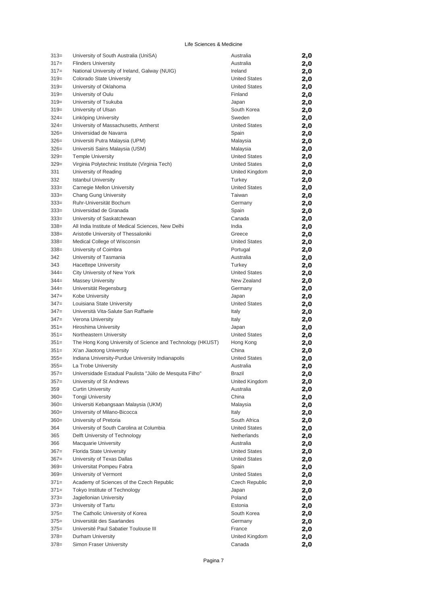| $313=$  | University of South Australia (UniSA)                      | Australia             | 2,0 |
|---------|------------------------------------------------------------|-----------------------|-----|
| $317=$  | <b>Flinders University</b>                                 | Australia             | 2,0 |
| $317=$  | National University of Ireland, Galway (NUIG)              | Ireland               | 2,0 |
| $319=$  | Colorado State University                                  | <b>United States</b>  | 2,0 |
| $319=$  | University of Oklahoma                                     | <b>United States</b>  | 2,0 |
| $319=$  | University of Oulu                                         | Finland               | 2,0 |
| $319=$  | University of Tsukuba                                      | Japan                 | 2,0 |
| $319=$  | University of Ulsan                                        | South Korea           | 2,0 |
| $324 =$ | Linköping University                                       | Sweden                | 2,0 |
| $324 =$ | University of Massachusetts, Amherst                       | <b>United States</b>  | 2,0 |
| $326=$  | Universidad de Navarra                                     | Spain                 | 2,0 |
| $326=$  | Universiti Putra Malaysia (UPM)                            | Malaysia              | 2,0 |
| $326=$  | Universiti Sains Malaysia (USM)                            | Malaysia              | 2,0 |
| $329=$  | <b>Temple University</b>                                   | <b>United States</b>  | 2,0 |
| $329=$  | Virginia Polytechnic Institute (Virginia Tech)             | <b>United States</b>  | 2,0 |
| 331     | University of Reading                                      | United Kingdom        | 2,0 |
| 332     | <b>Istanbul University</b>                                 | Turkey                | 2,0 |
| $333 =$ | Carnegie Mellon University                                 | <b>United States</b>  | 2,0 |
| $333 =$ | Chang Gung University                                      | Taiwan                | 2,0 |
| 333=    | Ruhr-Universität Bochum                                    | Germany               | 2,0 |
| $333 =$ | Universidad de Granada                                     | Spain                 | 2,0 |
| $333 =$ | University of Saskatchewan                                 | Canada                | 2,0 |
| $338 =$ | All India Institute of Medical Sciences, New Delhi         | India                 | 2,0 |
| $338=$  | Aristotle University of Thessaloniki                       | Greece                | 2,0 |
| $338=$  | Medical College of Wisconsin                               | <b>United States</b>  | 2,0 |
| $338=$  | University of Coimbra                                      | Portugal              | 2,0 |
| 342     | University of Tasmania                                     | Australia             | 2,0 |
| 343     | <b>Hacettepe University</b>                                | Turkey                | 2,0 |
| $344 =$ | City University of New York                                | <b>United States</b>  | 2,0 |
| $344 =$ | <b>Massey University</b>                                   | New Zealand           | 2,0 |
| 344=    | Universität Regensburg                                     | Germany               | 2,0 |
| $347 =$ | Kobe University                                            | Japan                 | 2,0 |
| $347 =$ | Louisiana State University                                 | <b>United States</b>  | 2,0 |
| $347 =$ | Università Vita-Salute San Raffaele                        | Italy                 | 2,0 |
| $347 =$ | Verona University                                          | Italy                 | 2,0 |
| $351 =$ | Hiroshima University                                       | Japan                 | 2,0 |
| $351 =$ | Northeastern University                                    | <b>United States</b>  | 2,0 |
| $351 =$ | The Hong Kong University of Science and Technology (HKUST) | Hong Kong             | 2,0 |
| $351 =$ | Xi'an Jiaotong University                                  | China                 | 2,0 |
| $355 =$ | Indiana University-Purdue University Indianapolis          | <b>United States</b>  | 2,0 |
| $355 =$ | La Trobe University                                        | Australia             | 2,0 |
| $357 =$ | Universidade Estadual Paulista "Júlio de Mesquita Filho"   | Brazil                | 2,0 |
| $357=$  | University of St Andrews                                   | United Kingdom        | 2,0 |
| 359     | <b>Curtin University</b>                                   | Australia             | 2,0 |
| $360=$  | <b>Tongji University</b>                                   | China                 | 2,0 |
| $360=$  | Universiti Kebangsaan Malaysia (UKM)                       | Malaysia              | 2,0 |
| $360=$  | University of Milano-Bicocca                               | Italy                 | 2,0 |
| $360=$  | University of Pretoria                                     | South Africa          | 2,0 |
| 364     | University of South Carolina at Columbia                   | <b>United States</b>  | 2,0 |
| 365     | Delft University of Technology                             | Netherlands           | 2,0 |
| 366     | <b>Macquarie University</b>                                | Australia             | 2,0 |
| $367 =$ | Florida State University                                   | <b>United States</b>  | 2,0 |
| $367=$  | University of Texas Dallas                                 | <b>United States</b>  | 2,0 |
| $369=$  | Universitat Pompeu Fabra                                   | Spain                 | 2,0 |
| $369=$  | University of Vermont                                      | <b>United States</b>  | 2,0 |
| $371 =$ | Academy of Sciences of the Czech Republic                  | <b>Czech Republic</b> | 2,0 |
| $371 =$ | Tokyo Institute of Technology                              | Japan                 | 2,0 |
| $373=$  | Jagiellonian University                                    | Poland                | 2,0 |
| $373=$  | University of Tartu                                        | Estonia               | 2,0 |
| $375=$  | The Catholic University of Korea                           | South Korea           | 2,0 |
| $375=$  | Universität des Saarlandes                                 | Germany               | 2,0 |
| $375=$  | Université Paul Sabatier Toulouse III                      | France                | 2,0 |
|         |                                                            |                       |     |
| $378 =$ | Durham University                                          | United Kingdom        | 2,0 |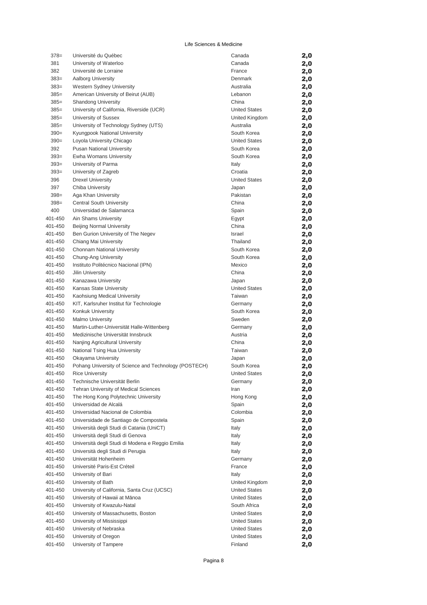| $378=$             | Université du Québec                                                                  | Canada               | 2,0 |
|--------------------|---------------------------------------------------------------------------------------|----------------------|-----|
| 381                | University of Waterloo                                                                | Canada               | 2,0 |
| 382                | Université de Lorraine                                                                | France               | 2,0 |
| $383=$             | Aalborg University                                                                    | Denmark              | 2,0 |
| $383=$             | Western Sydney University                                                             | Australia            | 2,0 |
| $385=$             | American University of Beirut (AUB)                                                   | Lebanon              | 2,0 |
| $385=$             | <b>Shandong University</b>                                                            | China                | 2,0 |
| $385=$             | University of California, Riverside (UCR)                                             | <b>United States</b> | 2,0 |
| $385=$             | University of Sussex                                                                  | United Kingdom       | 2,0 |
| $385=$             | University of Technology Sydney (UTS)                                                 | Australia            | 2,0 |
| $390=$             | Kyungpook National University                                                         | South Korea          | 2,0 |
| $390=$             | Loyola University Chicago                                                             | <b>United States</b> | 2,0 |
| 392                | <b>Pusan National University</b>                                                      | South Korea          | 2,0 |
| $393=$             | Ewha Womans University                                                                | South Korea          | 2,0 |
| $393=$             | University of Parma                                                                   | Italy                | 2,0 |
| $393=$             | University of Zagreb                                                                  | Croatia              | 2,0 |
| 396                | <b>Drexel University</b>                                                              | <b>United States</b> | 2,0 |
| 397                | Chiba University                                                                      | Japan                | 2,0 |
| $398 =$            | Aga Khan University                                                                   | Pakistan             | 2,0 |
| $398=$             | <b>Central South University</b>                                                       | China                | 2,0 |
| 400                | Universidad de Salamanca                                                              | Spain                | 2,0 |
| 401-450            | Ain Shams University                                                                  | Egypt                | 2,0 |
| 401-450            | <b>Beijing Normal University</b>                                                      | China                | 2,0 |
| 401-450            | Ben Gurion University of The Negev                                                    | Israel               | 2,0 |
| 401-450            | Chiang Mai University                                                                 | Thailand             | 2,0 |
| 401-450            | Chonnam National University                                                           | South Korea          | 2,0 |
| 401-450            | Chung-Ang University                                                                  | South Korea          | 2,0 |
| 401-450            | Instituto Politécnico Nacional (IPN)                                                  | Mexico               | 2,0 |
| 401-450            | Jilin University                                                                      | China                | 2,0 |
| 401-450            | Kanazawa University                                                                   | Japan                | 2,0 |
| 401-450            | Kansas State University                                                               | <b>United States</b> | 2,0 |
| 401-450            | Kaohsiung Medical University                                                          | Taiwan               | 2,0 |
| 401-450            | KIT, Karlsruher Institut für Technologie                                              | Germany              | 2,0 |
| 401-450            | Konkuk University                                                                     | South Korea          | 2,0 |
| 401-450            | <b>Malmo University</b>                                                               | Sweden               | 2,0 |
| 401-450            | Martin-Luther-Universität Halle-Wittenberg                                            | Germany              | 2,0 |
| 401-450            | Medizinische Universität Innsbruck                                                    | Austria              | 2,0 |
| 401-450            | Nanjing Agricultural University                                                       | China                | 2,0 |
| 401-450            | National Tsing Hua University                                                         | Taiwan               | 2,0 |
| 401-450            | Okayama University                                                                    | Japan                | 2,0 |
| 401-450            | Pohang University of Science and Technology (POSTECH)                                 | South Korea          | 2,0 |
| 401-450            | <b>Rice University</b>                                                                | <b>United States</b> | 2,0 |
| 401-450            | Technische Universität Berlin                                                         | Germany              | 2,0 |
| 401-450            | Tehran University of Medical Sciences<br>The Hong Kong Polytechnic University         | Iran                 | 2,0 |
| 401-450            |                                                                                       | Hong Kong            | 2,0 |
| 401-450            | Universidad de Alcalá<br>Universidad Nacional de Colombia                             | Spain                | 2,0 |
| 401-450            |                                                                                       | Colombia             | 2,0 |
| 401-450            | Universidade de Santiago de Compostela                                                | Spain                | 2,0 |
| 401-450<br>401-450 | Università degli Studi di Catania (UniCT)                                             | Italy                | 2,0 |
|                    | Università degli Studi di Genova                                                      | Italy                | 2,0 |
| 401-450            | Università degli Studi di Modena e Reggio Emilia<br>Università degli Studi di Perugia | Italy                | 2,0 |
| 401-450            | Universität Hohenheim                                                                 | Italy                | 2,0 |
| 401-450<br>401-450 | Université Paris-Est Créteil                                                          | Germany              | 2,0 |
|                    |                                                                                       | France               | 2,0 |
| 401-450            | University of Bari                                                                    | Italy                | 2,0 |
| 401-450            | University of Bath                                                                    | United Kingdom       | 2,0 |
| 401-450            | University of California, Santa Cruz (UCSC)                                           | <b>United States</b> | 2,0 |
| 401-450            | University of Hawaii at Mānoa                                                         | <b>United States</b> | 2,0 |
| 401-450            | University of Kwazulu-Natal<br>University of Massachusetts, Boston                    | South Africa         | 2,0 |
| 401-450<br>401-450 | University of Mississippi                                                             | United States        | 2,0 |
|                    |                                                                                       | <b>United States</b> | 2,0 |
| 401-450            | University of Nebraska                                                                | <b>United States</b> | 2,0 |
| 401-450            | University of Oregon                                                                  | <b>United States</b> | 2,0 |
| 401-450            | University of Tampere                                                                 | Finland              | 2,0 |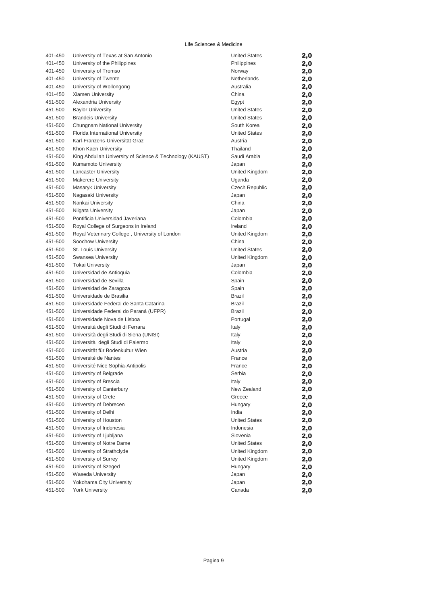| 401-450 | University of Texas at San Antonio                       | <b>United States</b>  | 2,0 |
|---------|----------------------------------------------------------|-----------------------|-----|
| 401-450 | University of the Philippines                            | Philippines           | 2,0 |
| 401-450 | University of Tromso                                     | Norway                | 2,0 |
| 401-450 | University of Twente                                     | Netherlands           | 2,0 |
| 401-450 | University of Wollongong                                 | Australia             | 2,0 |
| 401-450 | Xiamen University                                        | China                 | 2,0 |
| 451-500 | Alexandria University                                    | Egypt                 | 2,0 |
| 451-500 | <b>Baylor University</b>                                 | <b>United States</b>  | 2,0 |
| 451-500 | <b>Brandeis University</b>                               | <b>United States</b>  | 2,0 |
| 451-500 | Chungnam National University                             | South Korea           | 2,0 |
| 451-500 | Florida International University                         | <b>United States</b>  | 2,0 |
| 451-500 | Karl-Franzens-Universität Graz                           | Austria               | 2,0 |
| 451-500 | Khon Kaen University                                     | Thailand              | 2,0 |
| 451-500 | King Abdullah University of Science & Technology (KAUST) | Saudi Arabia          | 2,0 |
| 451-500 | Kumamoto University                                      | Japan                 | 2,0 |
| 451-500 | <b>Lancaster University</b>                              | United Kingdom        | 2,0 |
| 451-500 | <b>Makerere University</b>                               | Uganda                | 2,0 |
| 451-500 | Masaryk University                                       | <b>Czech Republic</b> | 2,0 |
| 451-500 | Nagasaki University                                      | Japan                 | 2,0 |
| 451-500 | Nankai University                                        | China                 | 2,0 |
| 451-500 | Niigata University                                       | Japan                 | 2,0 |
| 451-500 | Pontificia Universidad Javeriana                         | Colombia              | 2,0 |
| 451-500 | Royal College of Surgeons in Ireland                     | Ireland               | 2,0 |
| 451-500 | Royal Veterinary College, University of London           | United Kingdom        | 2,0 |
| 451-500 | Soochow University                                       | China                 | 2,0 |
| 451-500 | St. Louis University                                     | <b>United States</b>  | 2,0 |
| 451-500 | Swansea University                                       | United Kingdom        | 2,0 |
| 451-500 | <b>Tokai University</b>                                  | Japan                 | 2,0 |
| 451-500 | Universidad de Antioquia                                 | Colombia              | 2,0 |
| 451-500 | Universidad de Sevilla                                   | Spain                 | 2,0 |
| 451-500 | Universidad de Zaragoza                                  | Spain                 | 2,0 |
| 451-500 | Universidade de Brasilia                                 | <b>Brazil</b>         | 2,0 |
| 451-500 | Universidade Federal de Santa Catarina                   | <b>Brazil</b>         | 2,0 |
| 451-500 | Universidade Federal do Paraná (UFPR)                    | <b>Brazil</b>         | 2,0 |
| 451-500 | Universidade Nova de Lisboa                              | Portugal              | 2,0 |
| 451-500 | Università degli Studi di Ferrara                        | Italy                 | 2,0 |
| 451-500 | Università degli Studi di Siena (UNISI)                  | Italy                 | 2,0 |
| 451-500 | Università degli Studi di Palermo                        | Italy                 | 2,0 |
| 451-500 | Universität für Bodenkultur Wien                         | Austria               | 2,0 |
| 451-500 | Université de Nantes                                     | France                | 2,0 |
| 451-500 | Université Nice Sophia-Antipolis                         | France                | 2,0 |
| 451-500 | University of Belgrade                                   | Serbia                | 2,0 |
| 451-500 | University of Brescia                                    | Italy                 | 2,0 |
| 451-500 | University of Canterbury                                 | New Zealand           | 2,0 |
| 451-500 | University of Crete                                      | Greece                | 2,0 |
| 451-500 | University of Debrecen                                   | Hungary               | 2,0 |
| 451-500 | University of Delhi                                      | India                 | 2,0 |
| 451-500 | University of Houston                                    | <b>United States</b>  | 2,0 |
| 451-500 | University of Indonesia                                  | Indonesia             | 2,0 |
| 451-500 | University of Ljubljana                                  | Slovenia              | 2,0 |
| 451-500 | University of Notre Dame                                 | <b>United States</b>  | 2,0 |
| 451-500 | University of Strathclyde                                | United Kingdom        | 2,0 |
| 451-500 | University of Surrey                                     | United Kingdom        | 2,0 |
| 451-500 | University of Szeged                                     | Hungary               | 2,0 |
| 451-500 | Waseda University                                        | Japan                 | 2,0 |
| 451-500 | Yokohama City University                                 | Japan                 | 2,0 |
| 451-500 | <b>York University</b>                                   | Canada                | 2,0 |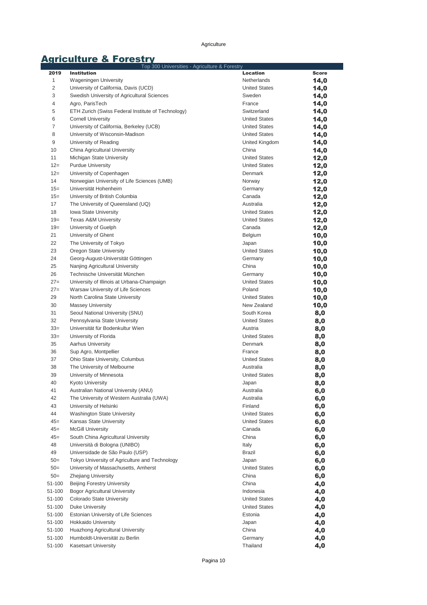# **Agriculture & Forestry**<br>Top 300 Universities - Agriculture & Forestry

| 2019           | Top 300 Universities - Agriculture & Forestry<br><b>Institution</b> | Location                                     | <b>Score</b> |
|----------------|---------------------------------------------------------------------|----------------------------------------------|--------------|
| 1              | Wageningen University                                               | Netherlands                                  | 14,0         |
| $\overline{2}$ | University of California, Davis (UCD)                               | <b>United States</b>                         | 14,0         |
| 3              | Swedish University of Agricultural Sciences                         | Sweden                                       | 14,0         |
| 4              | Agro, ParisTech                                                     | France                                       | 14,0         |
| 5              | ETH Zurich (Swiss Federal Institute of Technology)                  | Switzerland                                  | 14,0         |
| 6              | <b>Cornell University</b>                                           | <b>United States</b>                         | 14,0         |
| 7              | University of California, Berkeley (UCB)                            | <b>United States</b>                         | 14,0         |
| 8              | University of Wisconsin-Madison                                     | <b>United States</b>                         | 14,0         |
| 9              | University of Reading                                               | United Kingdom                               | 14,0         |
| 10             | China Agricultural University                                       | China                                        | 14,0         |
| 11             | Michigan State University                                           | <b>United States</b>                         | 12,0         |
| $12=$          | <b>Purdue University</b>                                            | <b>United States</b>                         | 12,0         |
| $12=$          | University of Copenhagen                                            | Denmark                                      | 12,0         |
| 14             | Norwegian University of Life Sciences (UMB)                         | Norway                                       | 12,0         |
| $15=$          | Universität Hohenheim                                               | Germany                                      | 12,0         |
| $15 =$         | University of British Columbia                                      | Canada                                       | 12,0         |
| 17             | The University of Queensland (UQ)                                   | Australia                                    | 12,0         |
| 18             | Iowa State University                                               | <b>United States</b>                         | 12,0         |
| $19=$          | <b>Texas A&amp;M University</b>                                     | <b>United States</b>                         | 12,0         |
| $19=$          | University of Guelph                                                | Canada                                       | 12,0         |
| 21             | University of Ghent                                                 | Belgium                                      | 10,0         |
| 22             | The University of Tokyo                                             | Japan                                        | 10,0         |
| 23             | Oregon State University                                             | <b>United States</b>                         | 10,0         |
| 24             | Georg-August-Universität Göttingen                                  | Germany                                      | 10,0         |
| 25             | Nanjing Agricultural University                                     | China                                        | 10,0         |
| 26             | Technische Universität München                                      | Germany                                      | 10,0         |
| $27=$          | University of Illinois at Urbana-Champaign                          | <b>United States</b>                         | 10,0         |
| $27=$          | Warsaw University of Life Sciences                                  | Poland                                       | 10,0         |
| 29             | North Carolina State University                                     | <b>United States</b>                         | 10,0         |
| 30             | <b>Massey University</b>                                            | New Zealand                                  | 10,0         |
| 31             | Seoul National University (SNU)                                     | South Korea                                  | 8,0          |
| 32             | Pennsylvania State University                                       | <b>United States</b>                         | 8,0          |
| $33=$          | Universität für Bodenkultur Wien                                    | Austria                                      | 8,0          |
| $33=$          | University of Florida                                               | <b>United States</b>                         | 8,0          |
| 35             | <b>Aarhus University</b>                                            | Denmark                                      | 8,0          |
| 36             | Sup Agro, Montpellier                                               | France                                       | 8,0          |
| 37             | Ohio State University, Columbus                                     | <b>United States</b>                         | 8,0          |
| 38             | The University of Melbourne                                         | Australia                                    | 8,0          |
| 39             | University of Minnesota                                             | <b>United States</b>                         | 8,0          |
| 40             | <b>Kyoto University</b>                                             | Japan                                        | 8,0          |
| 41             | Australian National University (ANU)                                | Australia                                    | 6,0          |
| 42             | The University of Western Australia (UWA)                           | Australia                                    | 6,0          |
| 43<br>44       | University of Helsinki                                              | Finland                                      | 6,0          |
| $45=$          | Washington State University<br>Kansas State University              | <b>United States</b><br><b>United States</b> | 6,0          |
| $45=$          | <b>McGill University</b>                                            | Canada                                       | 6,0          |
| $45=$          | South China Agricultural University                                 | China                                        | 6,0          |
| 48             | Università di Bologna (UNIBO)                                       | Italy                                        | 6,0          |
| 49             | Universidade de São Paulo (USP)                                     | Brazil                                       | 6,0<br>6,0   |
| $50=$          | Tokyo University of Agriculture and Technology                      | Japan                                        | 6,0          |
| $50=$          | University of Massachusetts, Amherst                                | <b>United States</b>                         | 6,0          |
| $50=$          | Zhejiang University                                                 | China                                        | 6,0          |
| 51-100         | <b>Beijing Forestry University</b>                                  | China                                        | 4,0          |
| 51-100         | <b>Bogor Agricultural University</b>                                | Indonesia                                    | 4,0          |
| 51-100         | Colorado State University                                           | <b>United States</b>                         | 4,0          |
| 51-100         | <b>Duke University</b>                                              | <b>United States</b>                         | 4,0          |
| 51-100         | Estonian University of Life Sciences                                | Estonia                                      | 4,0          |
| 51-100         | <b>Hokkaido University</b>                                          | Japan                                        | 4,0          |
| 51-100         | Huazhong Agricultural University                                    | China                                        | 4,0          |
| 51-100         | Humboldt-Universität zu Berlin                                      | Germany                                      | 4,0          |
| 51-100         | <b>Kasetsart University</b>                                         | Thailand                                     | 4,0          |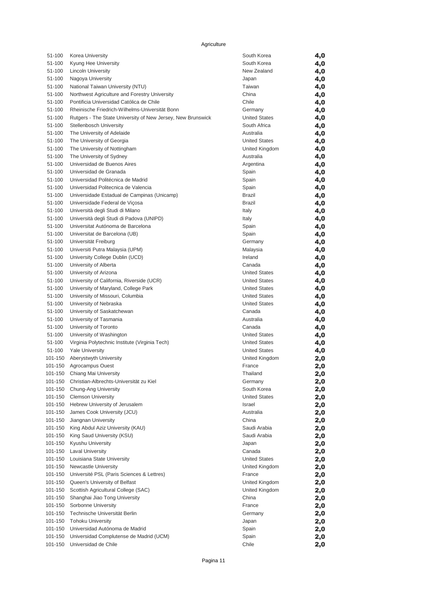| 51-100             | Korea University                                                | South Korea              | 4,0 |
|--------------------|-----------------------------------------------------------------|--------------------------|-----|
| 51-100             | Kyung Hee University                                            | South Korea              | 4,0 |
| 51-100             | <b>Lincoln University</b>                                       | New Zealand              | 4,0 |
| 51-100             | Nagoya University                                               | Japan                    | 4,0 |
| 51-100             | National Taiwan University (NTU)                                | Taiwan                   | 4,0 |
| 51-100             | Northwest Agriculture and Forestry University                   | China                    | 4,0 |
| 51-100             | Pontificia Universidad Católica de Chile                        | Chile                    | 4,0 |
| 51-100             | Rheinische Friedrich-Wilhelms-Universität Bonn                  | Germany                  | 4,0 |
| 51-100             | Rutgers - The State University of New Jersey, New Brunswick     | <b>United States</b>     | 4,0 |
| 51-100             | Stellenbosch University                                         | South Africa             | 4,0 |
| 51-100             | The University of Adelaide                                      | Australia                | 4,0 |
| 51-100             | The University of Georgia                                       | <b>United States</b>     | 4,0 |
| 51-100             | The University of Nottingham                                    | United Kingdom           | 4,0 |
| 51-100             | The University of Sydney                                        | Australia                | 4,0 |
| 51-100             | Universidad de Buenos Aires                                     | Argentina                | 4,0 |
| 51-100             | Universidad de Granada                                          | Spain                    | 4,0 |
| 51-100             | Universidad Politécnica de Madrid                               | Spain                    | 4,0 |
| 51-100             | Universidad Politecnica de Valencia                             | Spain                    | 4,0 |
| 51-100             | Universidade Estadual de Campinas (Unicamp)                     | <b>Brazil</b>            | 4,0 |
| 51-100             | Universidade Federal de Viçosa                                  | <b>Brazil</b>            | 4,0 |
| 51-100             | Università degli Studi di Milano                                | Italy                    | 4,0 |
| 51-100             | Università degli Studi di Padova (UNIPD)                        | Italy                    | 4,0 |
| 51-100             | Universitat Autónoma de Barcelona                               | Spain                    | 4,0 |
| 51-100             | Universitat de Barcelona (UB)                                   | Spain                    | 4,0 |
| 51-100             | Universität Freiburg                                            | Germany                  | 4,0 |
| 51-100             | Universiti Putra Malaysia (UPM)                                 | Malaysia                 | 4,0 |
| 51-100             | University College Dublin (UCD)                                 | Ireland                  | 4,0 |
| 51-100             | University of Alberta                                           | Canada                   | 4,0 |
| 51-100             | University of Arizona                                           | <b>United States</b>     | 4,0 |
| 51-100             | University of California, Riverside (UCR)                       | <b>United States</b>     | 4,0 |
| 51-100             | University of Maryland, College Park                            | <b>United States</b>     | 4,0 |
| 51-100             | University of Missouri, Columbia                                | <b>United States</b>     | 4,0 |
| 51-100             | University of Nebraska                                          | <b>United States</b>     | 4,0 |
| 51-100             | University of Saskatchewan                                      | Canada                   | 4,0 |
| 51-100             | University of Tasmania                                          | Australia                | 4,0 |
| 51-100             | University of Toronto                                           | Canada                   | 4,0 |
| 51-100             | University of Washington                                        | <b>United States</b>     | 4,0 |
| 51-100             | Virginia Polytechnic Institute (Virginia Tech)                  | <b>United States</b>     | 4,0 |
| 51-100             | <b>Yale University</b>                                          | <b>United States</b>     | 4,0 |
| 101-150            | Aberystwyth University                                          | United Kingdom           | 2,0 |
| 101-150            | Agrocampus Ouest                                                | France                   | 2,0 |
|                    | 101-150 Chiang Mai University                                   | Thailand                 | 2,0 |
|                    | 101-150 Christian-Albrechts-Universität zu Kiel                 | Germany                  | 2,0 |
| 101-150            | Chung-Ang University                                            | South Korea              | 2,0 |
| 101-150            | <b>Clemson University</b>                                       | <b>United States</b>     | 2,0 |
|                    | 101-150 Hebrew University of Jerusalem                          | Israel                   | 2,0 |
| 101-150            | James Cook University (JCU)                                     | Australia                | 2,0 |
| 101-150            | Jiangnan University                                             | China                    | 2,0 |
| 101-150            | King Abdul Aziz University (KAU)                                | Saudi Arabia             | 2,0 |
| 101-150            | King Saud University (KSU)                                      | Saudi Arabia             | 2,0 |
| 101-150            | Kyushu University                                               | Japan                    | 2,0 |
| 101-150            | <b>Laval University</b>                                         | Canada                   | 2,0 |
| 101-150            | Louisiana State University                                      | <b>United States</b>     | 2,0 |
| 101-150            | Newcastle University                                            | United Kingdom<br>France | 2,0 |
| 101-150<br>101-150 | Université PSL (Paris Sciences & Lettres)                       |                          | 2,0 |
|                    | Queen's University of Belfast                                   | United Kingdom           | 2,0 |
| 101-150            | Scottish Agricultural College (SAC)                             | United Kingdom           | 2,0 |
| 101-150<br>101-150 | Shanghai Jiao Tong University                                   | China<br>France          | 2,0 |
| 101-150            | Sorbonne University<br>Technische Universität Berlin            |                          | 2,0 |
|                    |                                                                 | Germany                  | 2,0 |
| 101-150            | <b>Tohoku University</b><br>Universidad Autónoma de Madrid      | Japan                    | 2,0 |
| 101-150            |                                                                 | Spain                    | 2,0 |
| 101-150<br>101-150 | Universidad Complutense de Madrid (UCM)<br>Universidad de Chile | Spain<br>Chile           | 2,0 |
|                    |                                                                 |                          | 2,0 |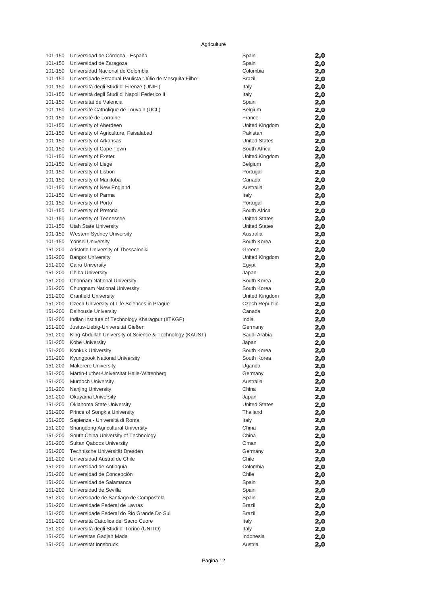| 101-150            | Universidad de Córdoba - España                                                       | Spain                      | 2,0        |
|--------------------|---------------------------------------------------------------------------------------|----------------------------|------------|
| 101-150            | Universidad de Zaragoza                                                               | Spain                      | 2,0        |
| 101-150            | Universidad Nacional de Colombia                                                      | Colombia                   | 2,0        |
|                    | 101-150 Universidade Estadual Paulista "Júlio de Mesquita Filho"                      | <b>Brazil</b>              | 2,0        |
| 101-150            | Università degli Studi di Firenze (UNIFI)                                             | Italy                      | 2,0        |
| 101-150            | Università degli Studi di Napoli Federico II                                          | Italy                      | 2,0        |
| 101-150            | Universitat de Valencia                                                               | Spain                      | 2,0        |
| 101-150            | Université Catholique de Louvain (UCL)                                                | Belgium                    | 2,0        |
| 101-150            | Université de Lorraine                                                                | France                     | 2,0        |
| 101-150            | University of Aberdeen                                                                | United Kingdom<br>Pakistan | 2,0        |
|                    | 101-150 University of Agriculture, Faisalabad<br>101-150 University of Arkansas       | <b>United States</b>       | 2,0        |
| 101-150            | University of Cape Town                                                               | South Africa               | 2,0<br>2,0 |
|                    | 101-150 University of Exeter                                                          | United Kingdom             | 2,0        |
|                    | 101-150 University of Liege                                                           | Belgium                    | 2,0        |
|                    | 101-150 University of Lisbon                                                          | Portugal                   | 2,0        |
|                    | 101-150 University of Manitoba                                                        | Canada                     | 2,0        |
| 101-150            | University of New England                                                             | Australia                  | 2,0        |
|                    | 101-150 University of Parma                                                           | Italy                      | 2,0        |
|                    | 101-150 University of Porto                                                           | Portugal                   | 2,0        |
|                    | 101-150 University of Pretoria                                                        | South Africa               | 2,0        |
|                    | 101-150 University of Tennessee                                                       | <b>United States</b>       | 2,0        |
|                    | 101-150 Utah State University                                                         | <b>United States</b>       | 2,0        |
|                    | 101-150 Western Sydney University                                                     | Australia                  | 2,0        |
|                    | 101-150 Yonsei University                                                             | South Korea                | 2,0        |
|                    | 151-200 Aristotle University of Thessaloniki                                          | Greece                     | 2,0        |
|                    | 151-200 Bangor University                                                             | United Kingdom             | 2,0        |
| 151-200            | <b>Cairo University</b>                                                               | Egypt                      | 2,0        |
|                    | 151-200 Chiba University                                                              | Japan                      | 2,0        |
|                    | 151-200 Chonnam National University                                                   | South Korea                | 2,0        |
|                    | 151-200 Chungnam National University                                                  | South Korea                | 2,0        |
|                    | 151-200 Cranfield University                                                          | United Kingdom             | 2,0        |
| 151-200            | Czech University of Life Sciences in Prague                                           | Czech Republic             | 2,0        |
| 151-200<br>151-200 | Dalhousie University                                                                  | Canada<br>India            | 2,0        |
| 151-200            | Indian Institute of Technology Kharagpur (IITKGP)<br>Justus-Liebig-Universität Gießen | Germany                    | 2,0<br>2,0 |
| 151-200            | King Abdullah University of Science & Technology (KAUST)                              | Saudi Arabia               | 2,0        |
| 151-200            | Kobe University                                                                       | Japan                      | 2,0        |
|                    | 151-200 Konkuk University                                                             | South Korea                | 2,0        |
|                    | 151-200 Kyungpook National University                                                 | South Korea                | 2,0        |
|                    | 151-200 Makerere University                                                           | Uganda                     | 2,0        |
|                    | 151-200 Martin-Luther-Universität Halle-Wittenberg                                    | Germany                    | 2,0        |
| 151-200            | <b>Murdoch University</b>                                                             | Australia                  | 2,0        |
| 151-200            | Nanjing University                                                                    | China                      | 2,0        |
| 151-200            | Okayama University                                                                    | Japan                      | 2,0        |
| 151-200            | Oklahoma State University                                                             | <b>United States</b>       | 2,0        |
| 151-200            | Prince of Songkla University                                                          | Thailand                   | 2,0        |
| 151-200            | Sapienza - Università di Roma                                                         | Italy                      | 2,0        |
| 151-200            | Shangdong Agricultural University                                                     | China                      | 2,0        |
| 151-200            | South China University of Technology                                                  | China                      | 2,0        |
| 151-200            | Sultan Oaboos University                                                              | Oman                       | 2,0        |
| 151-200            | Technische Universität Dresden                                                        | Germany                    | 2,0        |
| 151-200<br>151-200 | Universidad Austral de Chile                                                          | Chile<br>Colombia          | 2,0        |
| 151-200            | Universidad de Antioquia<br>Universidad de Concepción                                 | Chile                      | 2,0        |
| 151-200            | Universidad de Salamanca                                                              | Spain                      | 2,0        |
| 151-200            | Universidad de Sevilla                                                                | Spain                      | 2,0<br>2,0 |
| 151-200            | Universidade de Santiago de Compostela                                                | Spain                      | 2,0        |
| 151-200            | Universidade Federal de Lavras                                                        | Brazil                     | 2,0        |
| 151-200            | Universidade Federal do Rio Grande Do Sul                                             | Brazil                     | 2,0        |
| 151-200            | Università Cattolica del Sacro Cuore                                                  | Italy                      | 2,0        |
| 151-200            | Università degli Studi di Torino (UNITO)                                              | Italy                      | 2,0        |
| 151-200            | Universitas Gadjah Mada                                                               | Indonesia                  | 2,0        |
| 151-200            | Universität Innsbruck                                                                 | Austria                    | 2,0        |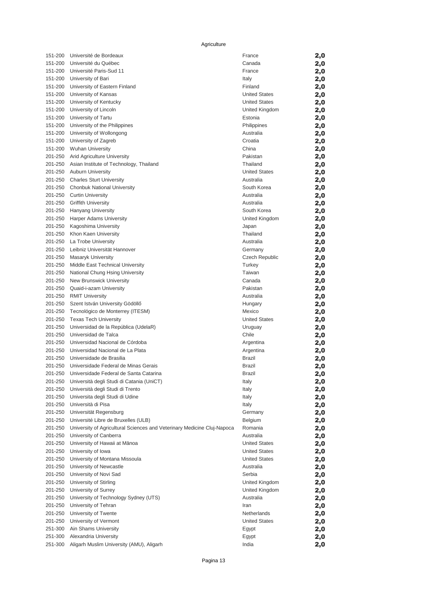| 151-200            | Université de Bordeaux                                                                            | France                            | 2,0 |
|--------------------|---------------------------------------------------------------------------------------------------|-----------------------------------|-----|
| 151-200            | Université du Québec                                                                              | Canada                            | 2,0 |
| 151-200            | Université Paris-Sud 11                                                                           | France                            | 2,0 |
|                    | 151-200 University of Bari                                                                        | Italy                             | 2,0 |
|                    | 151-200 University of Eastern Finland                                                             | Finland                           | 2,0 |
| 151-200            | University of Kansas                                                                              | <b>United States</b>              | 2,0 |
| 151-200            | University of Kentucky                                                                            | <b>United States</b>              | 2,0 |
| 151-200            | University of Lincoln                                                                             | United Kingdom                    | 2,0 |
| 151-200            | University of Tartu                                                                               | Estonia                           | 2,0 |
|                    | 151-200 University of the Philippines                                                             | Philippines                       | 2,0 |
| 151-200            | University of Wollongong                                                                          | Australia                         | 2,0 |
| 151-200            | University of Zagreb                                                                              | Croatia                           | 2,0 |
|                    | 151-200 Wuhan University                                                                          | China                             | 2,0 |
|                    | 201-250 Arid Agriculture University                                                               | Pakistan                          | 2,0 |
|                    | 201-250 Asian Institute of Technology, Thailand                                                   | Thailand                          | 2,0 |
|                    | 201-250 Auburn University                                                                         | <b>United States</b>              | 2,0 |
| 201-250            | <b>Charles Sturt University</b>                                                                   | Australia                         | 2,0 |
|                    | 201-250 Chonbuk National University                                                               | South Korea                       | 2,0 |
|                    | 201-250 Curtin University                                                                         | Australia                         | 2,0 |
|                    | 201-250 Griffith University                                                                       | Australia                         | 2,0 |
|                    | 201-250 Hanyang University                                                                        | South Korea                       | 2,0 |
| 201-250            | <b>Harper Adams University</b>                                                                    | United Kingdom                    | 2,0 |
| 201-250            | Kagoshima University                                                                              | Japan                             | 2,0 |
| 201-250            | Khon Kaen University                                                                              | Thailand                          | 2,0 |
|                    | 201-250 La Trobe University                                                                       | Australia                         | 2,0 |
|                    | 201-250 Leibniz Universität Hannover                                                              | Germany                           | 2,0 |
| 201-250            | Masaryk University                                                                                | Czech Republic                    | 2,0 |
| 201-250            | Middle East Technical University                                                                  | Turkey                            | 2,0 |
| 201-250            | National Chung Hsing University                                                                   | Taiwan                            | 2,0 |
|                    | 201-250 New Brunswick University                                                                  | Canada                            | 2,0 |
|                    | 201-250 Quaid-i-azam University                                                                   | Pakistan                          | 2,0 |
| 201-250            | <b>RMIT University</b>                                                                            | Australia                         | 2,0 |
| 201-250            | Szent István University Gödöllő                                                                   | Hungary                           | 2,0 |
| 201-250            | Tecnológico de Monterrey (ITESM)                                                                  | Mexico                            | 2,0 |
| 201-250            | <b>Texas Tech University</b>                                                                      | <b>United States</b>              | 2,0 |
| 201-250            | Universidad de la República (UdelaR)                                                              | Uruguay                           | 2,0 |
| 201-250            | Universidad de Talca                                                                              | Chile                             | 2,0 |
| 201-250            | Universidad Nacional de Córdoba                                                                   | Argentina                         | 2,0 |
| 201-250            | Universidad Nacional de La Plata                                                                  | Argentina                         | 2,0 |
|                    | 201-250 Universidade de Brasilia<br>201-250 Universidade Federal de Minas Gerais                  | Brazil                            | 2,0 |
|                    | 201-250 Universidade Federal de Santa Catarina                                                    | Brazil                            | 2,0 |
|                    |                                                                                                   | Brazil                            | 2,0 |
| 201-250            | Università degli Studi di Catania (UniCT)                                                         | Italy                             | 2,0 |
| 201-250            | Università degli Studi di Trento                                                                  | Italy                             | 2,0 |
| 201-250<br>201-250 | Universita degli Studi di Udine<br>Università di Pisa                                             | Italy                             | 2,0 |
|                    |                                                                                                   | Italy                             | 2,0 |
| 201-250            | Universität Regensburg                                                                            | Germany                           | 2,0 |
| 201-250<br>201-250 | Université Libre de Bruxelles (ULB)                                                               | Belgium<br>Romania                | 2,0 |
| 201-250            | University of Agricultural Sciences and Veterinary Medicine Cluj-Napoca<br>University of Canberra | Australia                         | 2,0 |
|                    |                                                                                                   |                                   | 2,0 |
| 201-250            | University of Hawaii at Mānoa<br>University of Iowa                                               | United States                     | 2,0 |
| 201-250            |                                                                                                   | United States                     | 2,0 |
| 201-250<br>201-250 | University of Montana Missoula                                                                    | <b>United States</b><br>Australia | 2,0 |
|                    | University of Newcastle                                                                           | Serbia                            | 2,0 |
| 201-250<br>201-250 | University of Novi Sad                                                                            |                                   | 2,0 |
|                    | University of Stirling                                                                            | United Kingdom                    | 2,0 |
| 201-250            | University of Surrey                                                                              | United Kingdom<br>Australia       | 2,0 |
| 201-250<br>201-250 | University of Technology Sydney (UTS)                                                             | Iran                              | 2,0 |
| 201-250            | University of Tehran<br>University of Twente                                                      | Netherlands                       | 2,0 |
| 201-250            | University of Vermont                                                                             | United States                     | 2,0 |
| 251-300            | Ain Shams University                                                                              |                                   | 2,0 |
|                    |                                                                                                   | Egypt                             | 2,0 |
| 251-300<br>251-300 | Alexandria University<br>Aligarh Muslim University (AMU), Aligarh                                 | Egypt<br>India                    | 2,0 |
|                    |                                                                                                   |                                   | 2,0 |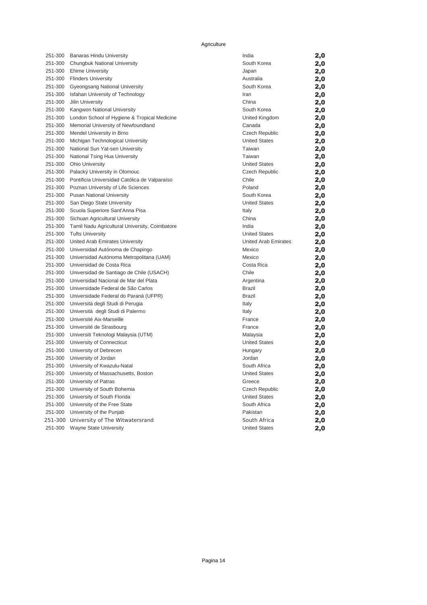| 251-300            | Banaras Hindu University                                          | India                                  | 2,0 |
|--------------------|-------------------------------------------------------------------|----------------------------------------|-----|
| 251-300            | Chungbuk National University                                      | South Korea                            | 2,0 |
| 251-300            | <b>Ehime University</b>                                           | Japan                                  | 2,0 |
|                    | 251-300 Flinders University                                       | Australia                              | 2,0 |
| 251-300            | Gyeongsang National University                                    | South Korea                            | 2,0 |
| 251-300            | Isfahan University of Technology                                  | Iran                                   | 2,0 |
| 251-300            | Jilin University                                                  | China                                  | 2,0 |
| 251-300            | Kangwon National University                                       | South Korea                            | 2,0 |
| 251-300            | London School of Hygiene & Tropical Medicine                      | United Kingdom                         | 2,0 |
| 251-300            | Memorial University of Newfoundland                               | Canada                                 | 2,0 |
| 251-300            | Mendel University in Brno                                         | Czech Republic                         | 2,0 |
| 251-300            | Michigan Technological University                                 | <b>United States</b>                   | 2,0 |
| 251-300            | National Sun Yat-sen University                                   | Taiwan                                 | 2,0 |
| 251-300            | National Tsing Hua University                                     | Taiwan                                 | 2,0 |
| 251-300            | <b>Ohio University</b>                                            | <b>United States</b>                   | 2,0 |
| 251-300            | Palacký University in Olomouc                                     | Czech Republic                         | 2,0 |
| 251-300            | Pontificia Universidad Católica de Valparaíso                     | Chile                                  | 2,0 |
| 251-300            | Poznan University of Life Sciences                                | Poland                                 | 2,0 |
|                    | 251-300 Pusan National University                                 | South Korea                            | 2,0 |
| 251-300            | San Diego State University                                        | <b>United States</b>                   | 2,0 |
| 251-300            | Scuola Superiore Sant'Anna Pisa                                   | Italy                                  | 2,0 |
| 251-300            | Sichuan Agricultural University                                   | China                                  | 2,0 |
| 251-300            | Tamil Nadu Agricultural University, Coimbatore                    | India                                  | 2,0 |
| 251-300            | <b>Tufts University</b>                                           | <b>United States</b>                   | 2,0 |
| 251-300            | United Arab Emirates University                                   | <b>United Arab Emirates</b>            | 2,0 |
| 251-300            | Universidad Autónoma de Chapingo                                  | Mexico                                 | 2,0 |
| 251-300            | Universidad Autónoma Metropolitana (UAM)                          | Mexico                                 | 2,0 |
| 251-300            | Universidad de Costa Rica                                         | Costa Rica                             | 2,0 |
| 251-300            | Universidad de Santiago de Chile (USACH)                          | Chile                                  | 2,0 |
| 251-300            | Universidad Nacional de Mar del Plata                             | Argentina                              | 2,0 |
| 251-300            | Universidade Federal de São Carlos                                | <b>Brazil</b>                          | 2,0 |
| 251-300            | Universidade Federal do Paraná (UFPR)                             | Brazil                                 | 2,0 |
| 251-300            | Università degli Studi di Perugia                                 | Italy                                  | 2,0 |
| 251-300            | Università degli Studi di Palermo                                 | Italy                                  | 2,0 |
| 251-300            | Université Aix-Marseille                                          | France                                 | 2,0 |
| 251-300            | Université de Strasbourg                                          | France                                 | 2,0 |
| 251-300            | Universiti Teknologi Malaysia (UTM)                               | Malaysia                               | 2,0 |
| 251-300            | University of Connecticut                                         | <b>United States</b>                   | 2,0 |
|                    | 251-300 University of Debrecen                                    | Hungary                                | 2,0 |
| 251-300            | University of Jordan                                              | Jordan<br>South Africa                 | 2,0 |
| 251-300            | University of Kwazulu-Natal                                       |                                        | 2,0 |
| 251-300            | University of Massachusetts, Boston<br>University of Patras       | United States                          | 2,0 |
| 251-300            |                                                                   | Greece                                 | 2,0 |
| 251-300<br>251-300 | University of South Bohemia                                       | Czech Republic<br><b>United States</b> | 2,0 |
| 251-300            | University of South Florida<br>University of the Free State       |                                        | 2,0 |
| 251-300            |                                                                   | South Africa                           | 2,0 |
|                    | University of the Punjab                                          | Pakistan                               | 2,0 |
| 251-300            | 251-300 University of The Witwatersrand<br>Wayne State University | South Africa                           | 2,0 |
|                    |                                                                   | <b>United States</b>                   | 2,0 |

| India                       | 2,0 |
|-----------------------------|-----|
| South Korea                 | 2,0 |
| Japan                       | 2,0 |
| Australia                   | 2,0 |
| South Korea                 | 2,0 |
| Iran                        | 2,0 |
| China                       | 2,0 |
| South Korea                 | 2,0 |
| United Kingdom              | 2,0 |
| Canada                      | 2,0 |
| <b>Czech Republic</b>       | 2,0 |
| <b>United States</b>        | 2,0 |
| Taiwan                      | 2,0 |
| Taiwan                      | 2,0 |
| <b>United States</b>        | 2,0 |
| Czech Republic              | 2,0 |
| Chile                       | 2,0 |
| Poland                      | 2,0 |
| South Korea                 | 2,0 |
| <b>United States</b>        | 2,0 |
| Italy                       | 2,0 |
| China                       | 2,0 |
| India                       | 2,0 |
| <b>United States</b>        | 2,0 |
| <b>United Arab Emirates</b> | 2,0 |
| Mexico                      | 2,0 |
| Mexico                      | 2,0 |
| Costa Rica                  | 2,0 |
| Chile                       | 2,0 |
| Argentina                   | 2,0 |
| Brazil                      | 2,0 |
| Brazil                      | 2,0 |
| Italy                       | 2,0 |
| Italy                       | 2,0 |
| France                      | 2,0 |
| France                      | 2,0 |
| Malaysia                    | 2,0 |
| <b>United States</b>        | 2,0 |
| Hungary                     | 2,0 |
| Jordan                      | 2,0 |
| South Africa                | 2,0 |
| <b>United States</b>        | 2,0 |
| Greece                      | 2,0 |
| <b>Czech Republic</b>       | 2,0 |
| <b>United States</b>        | 2,0 |
| South Africa                | 2,0 |
| Pakistan                    | 2,0 |
| South Africa                | 2,0 |
| <b>United States</b>        | 2,0 |
|                             |     |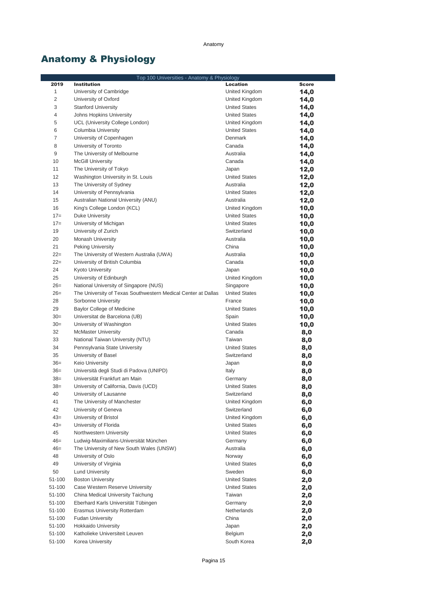### Anatomy

# Anatomy & Physiology

|                | Top 100 Universities - Anatomy & Physiology                                        |                                   |              |
|----------------|------------------------------------------------------------------------------------|-----------------------------------|--------------|
| 2019           | <b>Institution</b>                                                                 | <b>Location</b>                   | <b>Score</b> |
| $\mathbf{1}$   | University of Cambridge                                                            | United Kingdom                    | 14,0         |
| $\overline{c}$ | University of Oxford                                                               | United Kingdom                    | 14,0         |
| 3              | <b>Stanford University</b>                                                         | <b>United States</b>              | 14,0         |
| $\overline{4}$ | Johns Hopkins University                                                           | <b>United States</b>              | 14,0         |
| 5              | UCL (University College London)                                                    | United Kingdom                    | 14,0         |
| 6              | Columbia University                                                                | <b>United States</b>              | 14,0         |
| $\overline{7}$ | University of Copenhagen                                                           | Denmark                           | 14,0         |
| 8              | University of Toronto                                                              | Canada                            | 14,0         |
| 9              | The University of Melbourne                                                        | Australia                         | 14,0         |
| 10             | <b>McGill University</b>                                                           | Canada                            | 14,0         |
| 11<br>12       | The University of Tokyo<br>Washington University in St. Louis                      | Japan                             | 12,0         |
| 13             | The University of Sydney                                                           | <b>United States</b><br>Australia | 12,0         |
| 14             | University of Pennsylvania                                                         | <b>United States</b>              | 12,0<br>12,0 |
| 15             | Australian National University (ANU)                                               | Australia                         | 12,0         |
| 16             | King's College London (KCL)                                                        | United Kingdom                    | 10,0         |
| $17=$          | Duke University                                                                    | <b>United States</b>              | 10,0         |
| $17=$          | University of Michigan                                                             | <b>United States</b>              | 10,0         |
| 19             | University of Zurich                                                               | Switzerland                       | 10,0         |
| 20             | Monash University                                                                  | Australia                         | 10,0         |
| 21             | <b>Peking University</b>                                                           | China                             | 10,0         |
| $22=$          | The University of Western Australia (UWA)                                          | Australia                         | 10,0         |
| $22=$          | University of British Columbia                                                     | Canada                            | 10,0         |
| 24             | <b>Kyoto University</b>                                                            | Japan                             | 10,0         |
| 25             | University of Edinburgh                                                            | United Kingdom                    | 10,0         |
| $26=$          | National University of Singapore (NUS)                                             | Singapore                         | 10,0         |
| $26=$          | The University of Texas Southwestern Medical Center at Dallas                      | <b>United States</b>              | 10,0         |
| 28             | Sorbonne University                                                                | France                            | 10,0         |
| 29             | Baylor College of Medicine                                                         | <b>United States</b>              | 10,0         |
| $30=$          | Universitat de Barcelona (UB)                                                      | Spain                             | 10,0         |
| $30=$          | University of Washington                                                           | <b>United States</b>              | 10,0         |
| 32             | <b>McMaster University</b>                                                         | Canada                            | 8,0          |
| 33             | National Taiwan University (NTU)                                                   | Taiwan                            | 8,0          |
| 34             | Pennsylvania State University                                                      | <b>United States</b>              | 8,0          |
| 35             | University of Basel                                                                | Switzerland                       | 8,0          |
| $36=$          | Keio University                                                                    | Japan                             | 8,0          |
| $36=$          | Università degli Studi di Padova (UNIPD)                                           | Italy                             | 8,0          |
| $38=$          | Universität Frankfurt am Main                                                      | Germany                           | 8,0          |
| $38=$          | University of California, Davis (UCD)                                              | <b>United States</b>              | 8,0          |
| 40             | University of Lausanne                                                             | Switzerland                       | 8,0          |
| 41             | The University of Manchester                                                       | United Kingdom                    | 6,0          |
| 42             | University of Geneva                                                               | Switzerland                       | 6,0          |
| $43=$          | University of Bristol                                                              | United Kingdom                    | 6,0          |
| $43=$          | University of Florida                                                              | <b>United States</b>              | 6,0          |
| 45             | Northwestern University                                                            | <b>United States</b>              | 6,0          |
| $46=$<br>$46=$ | Ludwig-Maximilians-Universität München<br>The University of New South Wales (UNSW) | Germany<br>Australia              | 6,0          |
| 48             | University of Oslo                                                                 | Norway                            | 6,0          |
| 49             | University of Virginia                                                             | <b>United States</b>              | 6,0          |
| 50             | <b>Lund University</b>                                                             | Sweden                            | 6,0          |
| 51-100         | <b>Boston University</b>                                                           | <b>United States</b>              | 6,0<br>2,0   |
| 51-100         | Case Western Reserve University                                                    | <b>United States</b>              | 2,0          |
| 51-100         | China Medical University Taichung                                                  | Taiwan                            | 2,0          |
| 51-100         | Eberhard Karls Universität Tübingen                                                | Germany                           | 2,0          |
| 51-100         | Erasmus University Rotterdam                                                       | Netherlands                       | 2,0          |
| 51-100         | <b>Fudan University</b>                                                            | China                             | 2,0          |
| 51-100         | <b>Hokkaido University</b>                                                         | Japan                             | 2,0          |
| 51-100         | Katholieke Universiteit Leuven                                                     | Belgium                           | 2,0          |
| 51-100         | Korea University                                                                   | South Korea                       | 2,0          |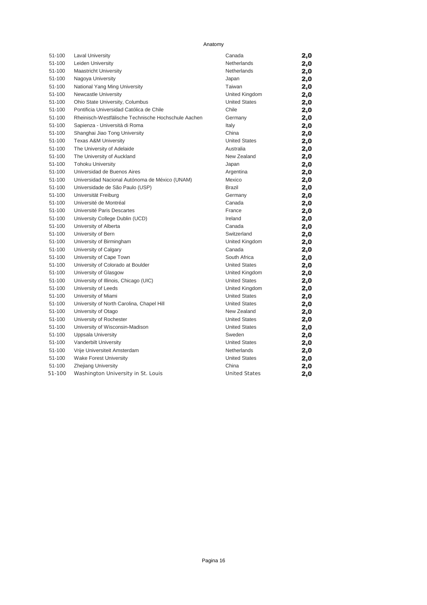Anatomy

| 51-100 | <b>Laval University</b>                             | Canada               | 2,0 |
|--------|-----------------------------------------------------|----------------------|-----|
| 51-100 | Leiden University                                   | Netherlands          | 2,0 |
| 51-100 | <b>Maastricht University</b>                        | Netherlands          | 2,0 |
| 51-100 | Nagoya University                                   | Japan                | 2,0 |
| 51-100 | National Yang Ming University                       | Taiwan               | 2,0 |
| 51-100 | Newcastle University                                | United Kingdom       | 2,0 |
| 51-100 | Ohio State University, Columbus                     | <b>United States</b> | 2,0 |
| 51-100 | Pontificia Universidad Católica de Chile            | Chile                | 2,0 |
| 51-100 | Rheinisch-Westfälische Technische Hochschule Aachen | Germany              | 2,0 |
| 51-100 | Sapienza - Università di Roma                       | Italy                | 2,0 |
| 51-100 | Shanghai Jiao Tong University                       | China                | 2,0 |
| 51-100 | <b>Texas A&amp;M University</b>                     | <b>United States</b> | 2,0 |
| 51-100 | The University of Adelaide                          | Australia            | 2,0 |
| 51-100 | The University of Auckland                          | New Zealand          | 2,0 |
| 51-100 | <b>Tohoku University</b>                            | Japan                | 2,0 |
| 51-100 | Universidad de Buenos Aires                         | Argentina            | 2,0 |
| 51-100 | Universidad Nacional Autónoma de México (UNAM)      | Mexico               | 2,0 |
| 51-100 | Universidade de São Paulo (USP)                     | <b>Brazil</b>        | 2,0 |
| 51-100 | Universität Freiburg                                | Germany              | 2,0 |
| 51-100 | Université de Montréal                              | Canada               | 2,0 |
| 51-100 | Université Paris Descartes                          | France               | 2,0 |
| 51-100 | University College Dublin (UCD)                     | Ireland              | 2,0 |
| 51-100 | University of Alberta                               | Canada               | 2,0 |
| 51-100 | University of Bern                                  | Switzerland          | 2,0 |
| 51-100 | University of Birmingham                            | United Kingdom       | 2,0 |
| 51-100 | University of Calgary                               | Canada               | 2,0 |
| 51-100 | University of Cape Town                             | South Africa         | 2,0 |
| 51-100 | University of Colorado at Boulder                   | <b>United States</b> | 2,0 |
| 51-100 | University of Glasgow                               | United Kingdom       | 2,0 |
| 51-100 | University of Illinois, Chicago (UIC)               | <b>United States</b> | 2,0 |
| 51-100 | University of Leeds                                 | United Kingdom       | 2,0 |
| 51-100 | University of Miami                                 | <b>United States</b> | 2,0 |
| 51-100 | University of North Carolina, Chapel Hill           | <b>United States</b> | 2,0 |
| 51-100 | University of Otago                                 | New Zealand          | 2,0 |
| 51-100 | University of Rochester                             | <b>United States</b> | 2,0 |
| 51-100 | University of Wisconsin-Madison                     | <b>United States</b> | 2,0 |
| 51-100 | Uppsala University                                  | Sweden               | 2,0 |
| 51-100 | Vanderbilt University                               | <b>United States</b> | 2,0 |
| 51-100 | Vrije Universiteit Amsterdam                        | Netherlands          | 2,0 |
| 51-100 | <b>Wake Forest University</b>                       | <b>United States</b> | 2,0 |
| 51-100 | <b>Zhejiang University</b>                          | China                | 2,0 |
| 51-100 | Washington University in St. Louis                  | <b>United States</b> | 2,0 |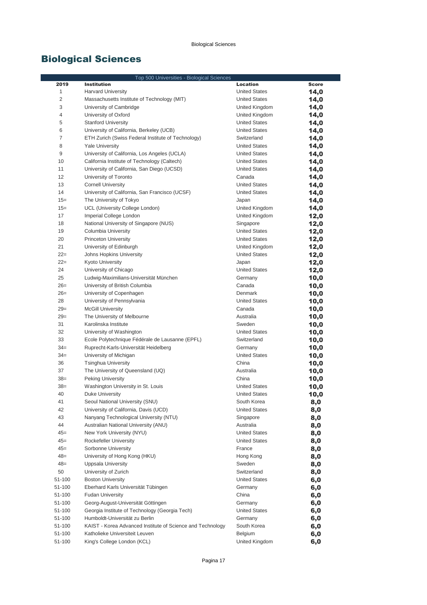|                | Top 500 Universities - Biological Sciences                               |                                     |              |
|----------------|--------------------------------------------------------------------------|-------------------------------------|--------------|
| 2019           | <b>Institution</b>                                                       | <b>Location</b>                     | <b>Score</b> |
| $\mathbf 1$    | <b>Harvard University</b>                                                | <b>United States</b>                | 14,0         |
| $\overline{c}$ | Massachusetts Institute of Technology (MIT)                              | <b>United States</b>                | 14,0         |
| 3              | University of Cambridge                                                  | United Kingdom                      | 14,0         |
| 4              | University of Oxford                                                     | United Kingdom                      | 14,0         |
| 5              | <b>Stanford University</b>                                               | <b>United States</b>                | 14,0         |
| 6              | University of California, Berkeley (UCB)                                 | <b>United States</b>                | 14,0         |
| $\overline{7}$ | ETH Zurich (Swiss Federal Institute of Technology)                       | Switzerland                         | 14,0         |
| 8              | <b>Yale University</b>                                                   | <b>United States</b>                | 14,0         |
| 9              | University of California, Los Angeles (UCLA)                             | <b>United States</b>                | 14,0         |
| 10             | California Institute of Technology (Caltech)                             | <b>United States</b>                | 14,0         |
| 11             | University of California, San Diego (UCSD)                               | <b>United States</b>                | 14,0         |
| 12             | University of Toronto                                                    | Canada                              | 14,0         |
| 13             | <b>Cornell University</b>                                                | <b>United States</b>                | 14,0         |
| 14             | University of California, San Francisco (UCSF)                           | <b>United States</b>                | 14,0         |
| $15 =$         | The University of Tokyo                                                  | Japan                               | 14,0         |
| $15 =$         | UCL (University College London)                                          | United Kingdom                      | 14,0         |
| 17             | Imperial College London                                                  | United Kingdom                      | 12,0         |
| 18             | National University of Singapore (NUS)                                   | Singapore                           | 12,0         |
| 19             | Columbia University                                                      | <b>United States</b>                | 12,0         |
| 20             | <b>Princeton University</b>                                              | <b>United States</b>                | 12,0         |
| 21             | University of Edinburgh                                                  | United Kingdom                      | 12,0         |
| $22=$          | Johns Hopkins University                                                 | <b>United States</b>                | 12,0         |
| $22=$          | Kyoto University                                                         | Japan                               | 12,0         |
| 24             | University of Chicago                                                    | <b>United States</b>                | 12,0         |
| 25             | Ludwig-Maximilians-Universität München                                   | Germany                             | 10,0         |
| $26=$          | University of British Columbia                                           | Canada                              | 10,0         |
| $26=$          | University of Copenhagen                                                 | Denmark                             | 10,0         |
| 28             | University of Pennsylvania                                               | <b>United States</b>                | 10,0         |
| $29=$          | <b>McGill University</b>                                                 | Canada                              | 10,0         |
| $29=$          | The University of Melbourne                                              | Australia                           | 10,0         |
| 31             | Karolinska Institute                                                     | Sweden                              | 10,0         |
| 32             | University of Washington                                                 | <b>United States</b>                | 10,0         |
| 33             | Ecole Polytechnique Fédérale de Lausanne (EPFL)                          | Switzerland                         | 10,0         |
| $34 =$         | Ruprecht-Karls-Universität Heidelberg                                    | Germany                             | 10,0         |
| $34 =$         | University of Michigan                                                   | <b>United States</b>                | 10,0         |
| 36             | <b>Tsinghua University</b>                                               | China                               | 10,0         |
| 37             | The University of Queensland (UQ)                                        | Australia                           | 10,0         |
| $38=$          | Peking University                                                        | China                               | 10,0         |
| $38=$          | Washington University in St. Louis                                       | <b>United States</b>                | 10,0         |
| 40             | Duke University                                                          | United States                       | 10,0         |
| 41<br>42       | Seoul National University (SNU)<br>University of California, Davis (UCD) | South Korea<br><b>United States</b> | 8,0          |
| 43             | Nanyang Technological University (NTU)                                   | Singapore                           | 8,0          |
| 44             | Australian National University (ANU)                                     | Australia                           | 8,0          |
| $45=$          | New York University (NYU)                                                | <b>United States</b>                | 8,0          |
| $45=$          | Rockefeller University                                                   | <b>United States</b>                | 8,0          |
| $45=$          | Sorbonne University                                                      | France                              | 8,0          |
| $48=$          | University of Hong Kong (HKU)                                            | Hong Kong                           | 8,0          |
| $48=$          | Uppsala University                                                       | Sweden                              | 8,0          |
| 50             | University of Zurich                                                     | Switzerland                         | 8,0          |
| 51-100         | <b>Boston University</b>                                                 | <b>United States</b>                | 8,0<br>6,0   |
| 51-100         | Eberhard Karls Universität Tübingen                                      | Germany                             | 6,0          |
| 51-100         | <b>Fudan University</b>                                                  | China                               | 6,0          |
| 51-100         | Georg-August-Universität Göttingen                                       | Germany                             | 6,0          |
| 51-100         | Georgia Institute of Technology (Georgia Tech)                           | <b>United States</b>                | 6,0          |
| 51-100         | Humboldt-Universität zu Berlin                                           | Germany                             | 6,0          |
| 51-100         | KAIST - Korea Advanced Institute of Science and Technology               | South Korea                         | 6,0          |
| 51-100         | Katholieke Universiteit Leuven                                           | Belgium                             | 6,0          |
| 51-100         | King's College London (KCL)                                              | United Kingdom                      | 6,0          |
|                |                                                                          |                                     |              |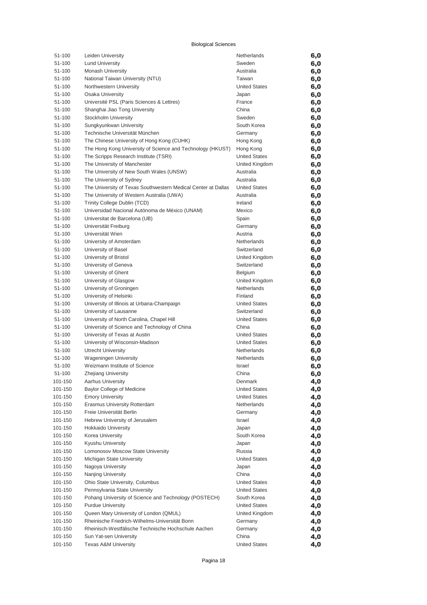| 51-100             | Leiden University                                                     | Netherlands                       | 6,0        |
|--------------------|-----------------------------------------------------------------------|-----------------------------------|------------|
| 51-100             | <b>Lund University</b>                                                | Sweden                            | 6,0        |
| 51-100             | Monash University                                                     | Australia                         | 6,0        |
| 51-100             | National Taiwan University (NTU)                                      | Taiwan                            | 6,0        |
| 51-100             | Northwestern University                                               | <b>United States</b>              | 6,0        |
| 51-100             | Osaka University                                                      | Japan                             | 6,0        |
| 51-100             | Université PSL (Paris Sciences & Lettres)                             | France                            | 6,0        |
| 51-100             | Shanghai Jiao Tong University                                         | China                             | 6,0        |
| 51-100             | Stockholm University                                                  | Sweden                            | 6,0        |
| 51-100             | Sungkyunkwan University                                               | South Korea                       | 6,0        |
| 51-100             | Technische Universität München                                        | Germany                           | 6,0        |
| 51-100             | The Chinese University of Hong Kong (CUHK)                            | Hong Kong                         | 6,0        |
| 51-100             | The Hong Kong University of Science and Technology (HKUST)            | Hong Kong<br><b>United States</b> | 6,0        |
| 51-100<br>51-100   | The Scripps Research Institute (TSRI)<br>The University of Manchester | United Kingdom                    | 6,0        |
| 51-100             | The University of New South Wales (UNSW)                              | Australia                         | 6,0        |
| 51-100             | The University of Sydney                                              | Australia                         | 6,0<br>6,0 |
| 51-100             | The University of Texas Southwestern Medical Center at Dallas         | <b>United States</b>              | 6,0        |
| 51-100             | The University of Western Australia (UWA)                             | Australia                         | 6,0        |
| 51-100             | Trinity College Dublin (TCD)                                          | Ireland                           | 6,0        |
| 51-100             | Universidad Nacional Autónoma de México (UNAM)                        | Mexico                            | 6,0        |
| 51-100             | Universitat de Barcelona (UB)                                         | Spain                             | 6,0        |
| 51-100             | Universität Freiburg                                                  | Germany                           | 6,0        |
| 51-100             | Universität Wien                                                      | Austria                           | 6,0        |
| 51-100             | University of Amsterdam                                               | Netherlands                       | 6,0        |
| 51-100             | University of Basel                                                   | Switzerland                       | 6,0        |
| 51-100             | University of Bristol                                                 | United Kingdom                    | 6,0        |
| 51-100             | University of Geneva                                                  | Switzerland                       | 6,0        |
| 51-100             | University of Ghent                                                   | Belgium                           | 6,0        |
| 51-100             | University of Glasgow                                                 | United Kingdom                    | 6,0        |
| 51-100             | University of Groningen                                               | Netherlands                       | 6,0        |
| 51-100             | University of Helsinki                                                | Finland                           | 6,0        |
| 51-100             | University of Illinois at Urbana-Champaign                            | <b>United States</b>              | 6,0        |
| 51-100             | University of Lausanne                                                | Switzerland                       | 6,0        |
| 51-100             | University of North Carolina, Chapel Hill                             | <b>United States</b>              | 6,0        |
| 51-100             | University of Science and Technology of China                         | China                             | 6,0        |
| 51-100             | University of Texas at Austin                                         | <b>United States</b>              | 6,0        |
| 51-100             | University of Wisconsin-Madison                                       | <b>United States</b>              | 6,0        |
| 51-100             | <b>Utrecht University</b>                                             | Netherlands                       | 6,0        |
| 51-100             | Wageningen University                                                 | Netherlands                       | 6,0        |
| 51-100             | Weizmann Institute of Science                                         | Israel                            | 6,0        |
| 51-100             | Zhejiang University                                                   | China                             | 6,0        |
| 101-150            | <b>Aarhus University</b>                                              | Denmark                           | 4,0        |
| 101-150            | <b>Baylor College of Medicine</b>                                     | United States                     | 4,0        |
| 101-150            | <b>Emory University</b>                                               | <b>United States</b>              | 4,0        |
| 101-150            | Erasmus University Rotterdam                                          | Netherlands                       | 4,0        |
| 101-150            | Freie Universität Berlin                                              | Germany                           | 4,0        |
| 101-150            | Hebrew University of Jerusalem                                        | Israel                            | 4,0        |
| 101-150<br>101-150 | Hokkaido University<br>Korea University                               | Japan                             | 4,0        |
| 101-150            | Kyushu University                                                     | South Korea<br>Japan              | 4,0        |
| 101-150            | Lomonosov Moscow State University                                     | Russia                            | 4,0        |
| 101-150            | Michigan State University                                             | <b>United States</b>              | 4,0<br>4,0 |
| 101-150            | Nagoya University                                                     | Japan                             | 4,0        |
| 101-150            | Nanjing University                                                    | China                             | 4,0        |
| 101-150            | Ohio State University, Columbus                                       | <b>United States</b>              | 4,0        |
| 101-150            | Pennsylvania State University                                         | United States                     | 4,0        |
| 101-150            | Pohang University of Science and Technology (POSTECH)                 | South Korea                       | 4,0        |
| 101-150            | <b>Purdue University</b>                                              | United States                     | 4,0        |
| 101-150            | Queen Mary University of London (QMUL)                                | United Kingdom                    | 4,0        |
| 101-150            | Rheinische Friedrich-Wilhelms-Universität Bonn                        | Germany                           | 4,0        |
| 101-150            | Rheinisch-Westfälische Technische Hochschule Aachen                   | Germany                           | 4,0        |
| 101-150            | Sun Yat-sen University                                                | China                             | 4,0        |
| 101-150            | <b>Texas A&amp;M University</b>                                       | <b>United States</b>              | 4,0        |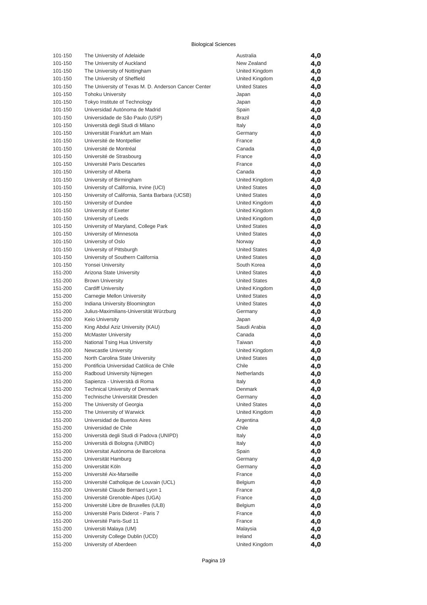| 101-150 | The University of Adelaide                           | Australia            | 4,0 |
|---------|------------------------------------------------------|----------------------|-----|
| 101-150 | The University of Auckland                           | New Zealand          | 4,0 |
| 101-150 | The University of Nottingham                         | United Kingdom       | 4,0 |
| 101-150 | The University of Sheffield                          | United Kingdom       | 4,0 |
| 101-150 | The University of Texas M. D. Anderson Cancer Center | <b>United States</b> | 4,0 |
| 101-150 | <b>Tohoku University</b>                             | Japan                | 4,0 |
| 101-150 | Tokyo Institute of Technology                        | Japan                | 4,0 |
| 101-150 | Universidad Autónoma de Madrid                       | Spain                | 4,0 |
| 101-150 | Universidade de São Paulo (USP)                      | <b>Brazil</b>        | 4,0 |
| 101-150 | Università degli Studi di Milano                     | Italy                | 4,0 |
| 101-150 | Universität Frankfurt am Main                        | Germany              | 4,0 |
| 101-150 | Université de Montpellier                            | France               | 4,0 |
| 101-150 | Université de Montréal                               | Canada               | 4,0 |
| 101-150 | Université de Strasbourg                             | France               | 4,0 |
| 101-150 | Université Paris Descartes                           | France               | 4,0 |
| 101-150 | University of Alberta                                | Canada               | 4,0 |
| 101-150 | University of Birmingham                             | United Kingdom       | 4,0 |
| 101-150 | University of California, Irvine (UCI)               | <b>United States</b> | 4,0 |
| 101-150 | University of California, Santa Barbara (UCSB)       | <b>United States</b> | 4,0 |
| 101-150 | University of Dundee                                 | United Kingdom       | 4,0 |
| 101-150 | University of Exeter                                 | United Kingdom       | 4,0 |
| 101-150 | University of Leeds                                  | United Kingdom       | 4,0 |
| 101-150 | University of Maryland, College Park                 | <b>United States</b> | 4,0 |
| 101-150 | University of Minnesota                              | <b>United States</b> | 4,0 |
| 101-150 | University of Oslo                                   | Norway               | 4,0 |
| 101-150 | University of Pittsburgh                             | <b>United States</b> | 4,0 |
| 101-150 | University of Southern California                    | <b>United States</b> |     |
|         |                                                      | South Korea          | 4,0 |
| 101-150 | Yonsei University                                    |                      | 4,0 |
| 151-200 | Arizona State University                             | <b>United States</b> | 4,0 |
| 151-200 | <b>Brown University</b>                              | <b>United States</b> | 4,0 |
| 151-200 | <b>Cardiff University</b>                            | United Kingdom       | 4,0 |
| 151-200 | Carnegie Mellon University                           | <b>United States</b> | 4,0 |
| 151-200 | Indiana University Bloomington                       | <b>United States</b> | 4,0 |
| 151-200 | Julius-Maximilians-Universität Würzburg              | Germany              | 4,0 |
| 151-200 | Keio University                                      | Japan                | 4,0 |
| 151-200 | King Abdul Aziz University (KAU)                     | Saudi Arabia         | 4,0 |
| 151-200 | <b>McMaster University</b>                           | Canada               | 4,0 |
| 151-200 | National Tsing Hua University                        | Taiwan               | 4,0 |
| 151-200 | Newcastle University                                 | United Kingdom       | 4,0 |
| 151-200 | North Carolina State University                      | <b>United States</b> | 4,0 |
| 151-200 | Pontificia Universidad Católica de Chile             | Chile                | 4,0 |
| 151-200 | Radboud University Nijmegen                          | Netherlands          | 4,0 |
| 151-200 | Sapienza - Università di Roma                        | Italy                | 4,0 |
| 151-200 | <b>Technical University of Denmark</b>               | Denmark              | 4,0 |
| 151-200 | Technische Universität Dresden                       | Germany              | 4,0 |
| 151-200 | The University of Georgia                            | <b>United States</b> | 4,0 |
| 151-200 | The University of Warwick                            | United Kingdom       | 4,0 |
| 151-200 | Universidad de Buenos Aires                          | Argentina            | 4,0 |
| 151-200 | Universidad de Chile                                 | Chile                | 4,0 |
| 151-200 | Università degli Studi di Padova (UNIPD)             | Italy                | 4,0 |
| 151-200 | Università di Bologna (UNIBO)                        | Italy                | 4,0 |
| 151-200 | Universitat Autónoma de Barcelona                    | Spain                | 4,0 |
| 151-200 | Universität Hamburg                                  | Germany              | 4,0 |
| 151-200 | Universität Köln                                     | Germany              | 4,0 |
| 151-200 | Université Aix-Marseille                             | France               | 4,0 |
| 151-200 | Université Catholique de Louvain (UCL)               | Belgium              | 4,0 |
| 151-200 | Université Claude Bernard Lyon 1                     | France               | 4,0 |
| 151-200 | Université Grenoble-Alpes (UGA)                      | France               | 4,0 |
| 151-200 | Université Libre de Bruxelles (ULB)                  | Belgium              | 4,0 |
| 151-200 | Université Paris Diderot - Paris 7                   | France               | 4,0 |
| 151-200 | Université Paris-Sud 11                              | France               | 4,0 |
| 151-200 | Universiti Malaya (UM)                               | Malaysia             | 4,0 |
| 151-200 | University College Dublin (UCD)                      | Ireland              | 4,0 |
| 151-200 | University of Aberdeen                               | United Kingdom       | 4,0 |
|         |                                                      |                      |     |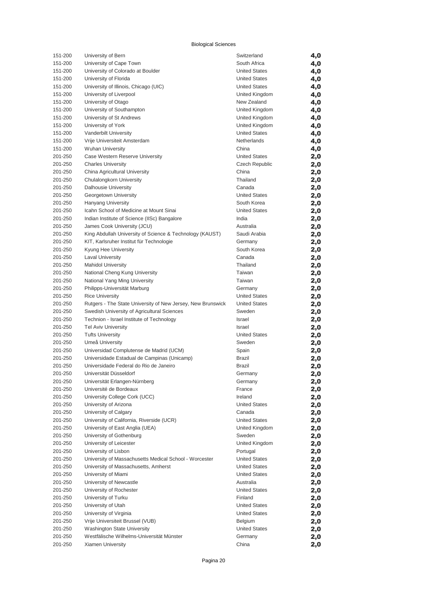| 151-200 | University of Bern                                          | Switzerland          | 4,0 |
|---------|-------------------------------------------------------------|----------------------|-----|
| 151-200 | University of Cape Town                                     | South Africa         | 4,0 |
| 151-200 | University of Colorado at Boulder                           | <b>United States</b> | 4,0 |
| 151-200 | University of Florida                                       | <b>United States</b> | 4,0 |
| 151-200 | University of Illinois, Chicago (UIC)                       | <b>United States</b> | 4,0 |
| 151-200 | University of Liverpool                                     | United Kingdom       | 4,0 |
| 151-200 | University of Otago                                         | New Zealand          | 4,0 |
| 151-200 | University of Southampton                                   | United Kingdom       | 4,0 |
| 151-200 | University of St Andrews                                    | United Kingdom       | 4,0 |
| 151-200 | University of York                                          | United Kingdom       | 4,0 |
| 151-200 | Vanderbilt University                                       | <b>United States</b> | 4,0 |
| 151-200 | Vrije Universiteit Amsterdam                                | Netherlands          | 4,0 |
| 151-200 | <b>Wuhan University</b>                                     | China                | 4,0 |
| 201-250 | Case Western Reserve University                             | <b>United States</b> | 2,0 |
| 201-250 | <b>Charles University</b>                                   | Czech Republic       | 2,0 |
| 201-250 | China Agricultural University                               | China                | 2,0 |
| 201-250 | Chulalongkorn University                                    | Thailand             | 2,0 |
| 201-250 | <b>Dalhousie University</b>                                 | Canada               | 2,0 |
| 201-250 | Georgetown University                                       | <b>United States</b> | 2,0 |
| 201-250 | Hanyang University                                          | South Korea          | 2,0 |
| 201-250 | Icahn School of Medicine at Mount Sinai                     | <b>United States</b> | 2,0 |
| 201-250 | Indian Institute of Science (IISc) Bangalore                | India                | 2,0 |
| 201-250 | James Cook University (JCU)                                 | Australia            | 2,0 |
| 201-250 | King Abdullah University of Science & Technology (KAUST)    | Saudi Arabia         | 2,0 |
| 201-250 | KIT, Karlsruher Institut für Technologie                    | Germany              | 2,0 |
| 201-250 | Kyung Hee University                                        | South Korea          | 2,0 |
| 201-250 | <b>Laval University</b>                                     | Canada               | 2,0 |
| 201-250 | <b>Mahidol University</b>                                   | Thailand             | 2,0 |
| 201-250 | National Cheng Kung University                              | Taiwan               | 2,0 |
| 201-250 | National Yang Ming University                               | Taiwan               | 2,0 |
| 201-250 | Philipps-Universität Marburg                                | Germany              | 2,0 |
| 201-250 | <b>Rice University</b>                                      | <b>United States</b> | 2,0 |
| 201-250 | Rutgers - The State University of New Jersey, New Brunswick | <b>United States</b> | 2,0 |
| 201-250 | Swedish University of Agricultural Sciences                 | Sweden               | 2,0 |
| 201-250 | Technion - Israel Institute of Technology                   | Israel               | 2,0 |
| 201-250 | <b>Tel Aviv University</b>                                  | Israel               | 2,0 |
| 201-250 | <b>Tufts University</b>                                     | <b>United States</b> | 2,0 |
| 201-250 | Umeå University                                             | Sweden               | 2,0 |
| 201-250 | Universidad Complutense de Madrid (UCM)                     | Spain                | 2,0 |
| 201-250 | Universidade Estadual de Campinas (Unicamp)                 | Brazil               | 2,0 |
| 201-250 | Universidade Federal do Rio de Janeiro                      | Brazil               | 2,0 |
| 201-250 | Universität Düsseldorf                                      | Germany              | 2,0 |
| 201-250 | Universität Erlangen-Nürnberg                               | Germany              | 2,0 |
| 201-250 | Université de Bordeaux                                      | France               | 2,0 |
| 201-250 | University College Cork (UCC)                               | Ireland              | 2,0 |
| 201-250 | University of Arizona                                       | <b>United States</b> | 2,0 |
| 201-250 | University of Calgary                                       | Canada               | 2,0 |
| 201-250 | University of California, Riverside (UCR)                   | <b>United States</b> | 2,0 |
| 201-250 | University of East Anglia (UEA)                             | United Kingdom       | 2,0 |
| 201-250 | University of Gothenburg                                    | Sweden               | 2,0 |
| 201-250 | University of Leicester                                     | United Kingdom       | 2,0 |
| 201-250 | University of Lisbon                                        | Portugal             | 2,0 |
| 201-250 | University of Massachusetts Medical School - Worcester      | <b>United States</b> | 2,0 |
| 201-250 | University of Massachusetts, Amherst                        | <b>United States</b> | 2,0 |
| 201-250 | University of Miami                                         | <b>United States</b> | 2,0 |
| 201-250 | University of Newcastle                                     | Australia            | 2,0 |
| 201-250 | University of Rochester                                     | <b>United States</b> | 2,0 |
| 201-250 | University of Turku                                         | Finland              | 2,0 |
| 201-250 | University of Utah                                          | <b>United States</b> | 2,0 |
| 201-250 | University of Virginia                                      | <b>United States</b> | 2,0 |
| 201-250 | Vrije Universiteit Brussel (VUB)                            | Belgium              | 2,0 |
| 201-250 | <b>Washington State University</b>                          | <b>United States</b> | 2,0 |
| 201-250 | Westfälische Wilhelms-Universität Münster                   | Germany              | 2,0 |
| 201-250 | Xiamen University                                           | China                | 2,0 |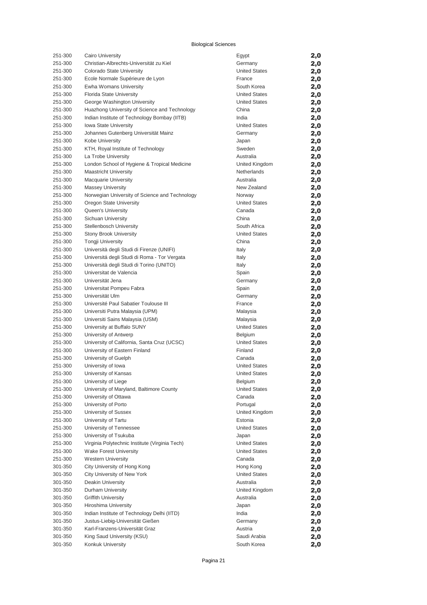| 251-300            | Cairo University                                        | Egypt                           | 2,0        |
|--------------------|---------------------------------------------------------|---------------------------------|------------|
| 251-300            | Christian-Albrechts-Universität zu Kiel                 | Germany                         | 2,0        |
| 251-300            | Colorado State University                               | <b>United States</b>            | 2,0        |
| 251-300            | Ecole Normale Supérieure de Lyon                        | France                          | 2,0        |
| 251-300            | Ewha Womans University                                  | South Korea                     | 2,0        |
| 251-300            | Florida State University                                | <b>United States</b>            | 2,0        |
| 251-300            | George Washington University                            | <b>United States</b>            | 2,0        |
| 251-300            | Huazhong University of Science and Technology           | China                           | 2,0        |
| 251-300            | Indian Institute of Technology Bombay (IITB)            | India                           | 2,0        |
| 251-300            | Iowa State University                                   | <b>United States</b>            | 2,0        |
| 251-300            | Johannes Gutenberg Universität Mainz                    | Germany                         | 2,0        |
| 251-300            | Kobe University                                         | Japan                           | 2,0        |
| 251-300            | KTH, Royal Institute of Technology                      | Sweden                          | 2,0        |
| 251-300            | La Trobe University                                     | Australia                       | 2,0        |
| 251-300            | London School of Hygiene & Tropical Medicine            | United Kingdom                  | 2,0        |
| 251-300            | <b>Maastricht University</b>                            | Netherlands<br>Australia        | 2,0        |
| 251-300<br>251-300 | <b>Macquarie University</b><br><b>Massey University</b> | New Zealand                     | 2,0        |
| 251-300            | Norwegian University of Science and Technology          | Norway                          | 2,0        |
| 251-300            | Oregon State University                                 | <b>United States</b>            | 2,0        |
| 251-300            | <b>Queen's University</b>                               | Canada                          | 2,0<br>2,0 |
| 251-300            | Sichuan University                                      | China                           | 2,0        |
| 251-300            | <b>Stellenbosch University</b>                          | South Africa                    | 2,0        |
| 251-300            | <b>Stony Brook University</b>                           | <b>United States</b>            | 2,0        |
| 251-300            | <b>Tongji University</b>                                | China                           | 2,0        |
| 251-300            | Università degli Studi di Firenze (UNIFI)               | Italy                           | 2,0        |
| 251-300            | Universitá degli Studi di Roma - Tor Vergata            | Italy                           | 2,0        |
| 251-300            | Università degli Studi di Torino (UNITO)                | Italy                           | 2,0        |
| 251-300            | Universitat de Valencia                                 | Spain                           | 2,0        |
| 251-300            | Universität Jena                                        | Germany                         | 2,0        |
| 251-300            | Universitat Pompeu Fabra                                | Spain                           | 2,0        |
| 251-300            | Universität Ulm                                         | Germany                         | 2,0        |
| 251-300            | Université Paul Sabatier Toulouse III                   | France                          | 2,0        |
| 251-300            | Universiti Putra Malaysia (UPM)                         | Malaysia                        | 2,0        |
| 251-300            | Universiti Sains Malaysia (USM)                         | Malaysia                        | 2,0        |
| 251-300            | University at Buffalo SUNY                              | <b>United States</b>            | 2,0        |
| 251-300            | University of Antwerp                                   | <b>Belgium</b>                  | 2,0        |
| 251-300            | University of California, Santa Cruz (UCSC)             | <b>United States</b>            | 2,0        |
| 251-300            | University of Eastern Finland                           | Finland                         | 2,0        |
| 251-300            | University of Guelph                                    | Canada                          | 2,0        |
| 251-300            | University of Iowa                                      | <b>United States</b>            | 2,0        |
| 251-300            | University of Kansas                                    | <b>United States</b>            | 2,0        |
| 251-300            | University of Liege                                     | Belgium                         | 2,0        |
| 251-300            | University of Maryland, Baltimore County                | <b>United States</b>            | 2,0        |
| 251-300            | University of Ottawa                                    | Canada                          | 2,0        |
| 251-300            | University of Porto                                     | Portugal                        | 2,0        |
| 251-300            | University of Sussex<br>University of Tartu             | United Kingdom                  | 2,0        |
| 251-300<br>251-300 | University of Tennessee                                 | Estonia<br><b>United States</b> | 2,0        |
| 251-300            | University of Tsukuba                                   | Japan                           | 2,0        |
| 251-300            | Virginia Polytechnic Institute (Virginia Tech)          | <b>United States</b>            | 2,0<br>2,0 |
| 251-300            | Wake Forest University                                  | <b>United States</b>            | 2,0        |
| 251-300            | <b>Western University</b>                               | Canada                          | 2,0        |
| 301-350            | City University of Hong Kong                            | Hong Kong                       | 2,0        |
| 301-350            | City University of New York                             | <b>United States</b>            | 2,0        |
| 301-350            | Deakin University                                       | Australia                       | 2,0        |
| 301-350            | Durham University                                       | United Kingdom                  | 2,0        |
| 301-350            | <b>Griffith University</b>                              | Australia                       | 2,0        |
| 301-350            | Hiroshima University                                    | Japan                           | 2,0        |
| 301-350            | Indian Institute of Technology Delhi (IITD)             | India                           | 2,0        |
| 301-350            | Justus-Liebig-Universität Gießen                        | Germany                         | 2,0        |
| 301-350            | Karl-Franzens-Universität Graz                          | Austria                         | 2,0        |
| 301-350            | King Saud University (KSU)                              | Saudi Arabia                    | 2,0        |
| 301-350            | Konkuk University                                       | South Korea                     | 2,0        |

| Egypt                         | 2,0        |
|-------------------------------|------------|
| Germany                       | 2,0        |
| United States                 | 2,0        |
| France                        | 2,0        |
| South Korea                   | 2,0        |
| United States                 | 2,0        |
| United States                 | 2,0        |
| China                         | 2,0        |
| India                         | 2,0        |
| United States                 | 2,0        |
| Germany                       | 2,0        |
| Japan                         | 2,0        |
| Sweden                        | 2,0        |
| Australia                     | 2,0        |
| United Kingdom<br>Netherlands | 2,0        |
| Australia                     | 2,0        |
| New Zealand                   | 2,0        |
| Norway                        | 2,0        |
| United States                 | 2,0<br>2,0 |
| Canada                        | 2,0        |
| China                         | 2,0        |
| South Africa                  | 2,0        |
| United States                 | 2,0        |
| China                         | 2,0        |
| Italy                         | 2,0        |
| Italy                         | 2,0        |
| Italy                         | 2,0        |
| Spain                         | 2,0        |
| Germany                       | 2,0        |
| Spain                         | 2,0        |
| Germany                       | 2,0        |
| France                        | 2,0        |
| Malaysia                      | 2,0        |
| Malaysia                      | 2,0        |
| United States                 | 2,0        |
| Belgium                       | 2,0        |
| United States                 | 2,0        |
| Finland                       | 2,0        |
| Canada                        | 2,0        |
| United States                 | 2,0        |
| United States                 | 2,0        |
| Belgium                       | 2,0        |
| United States                 | 2,0        |
| Canada                        | 2,0        |
| Portugal                      | 2,0        |
| United Kingdom                | 2,0        |
| Estonia                       | 2,0        |
| United States                 | 2,0        |
| Japan                         | 2,0        |
| United States                 | 2,0        |
| United States                 | 2,0        |
| Canada                        | 2,0        |
| Hong Kong                     | 2,0        |
| United States                 | 2,0        |
| Australia                     | 2,0        |
| United Kingdom                | 2,0        |
| Australia                     | 2,0        |
| Japan                         | 2,0        |
| India                         | 2,0        |
| Germany<br>Austria            | 2,0        |
| Saudi Arabia                  | 2,0        |
| South Korea                   | 2,0<br>2,0 |
|                               |            |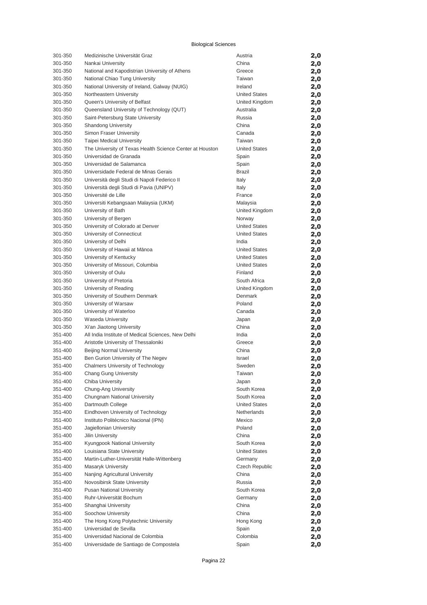| 301-350            | Medizinische Universität Graz                            | Austria              | 2,0        |
|--------------------|----------------------------------------------------------|----------------------|------------|
| 301-350            | Nankai University                                        | China                | 2,0        |
| 301-350            | National and Kapodistrian University of Athens           | Greece               | 2,0        |
| 301-350            | National Chiao Tung University                           | Taiwan               | 2,0        |
| 301-350            | National University of Ireland, Galway (NUIG)            | Ireland              | 2,0        |
| 301-350            | Northeastern University                                  | <b>United States</b> | 2,0        |
| 301-350            | Queen's University of Belfast                            | United Kingdom       | 2,0        |
| 301-350            | Queensland University of Technology (QUT)                | Australia            | 2,0        |
| 301-350            | Saint-Petersburg State University                        | Russia               | 2,0        |
| 301-350            | <b>Shandong University</b>                               | China                | 2,0        |
| 301-350            | Simon Fraser University                                  | Canada               | 2,0        |
| 301-350            | Taipei Medical University                                | Taiwan               | 2,0        |
| 301-350            | The University of Texas Health Science Center at Houston | <b>United States</b> | 2,0        |
| 301-350            | Universidad de Granada                                   | Spain                | 2,0        |
| 301-350            | Universidad de Salamanca                                 | Spain                | 2,0        |
| 301-350            | Universidade Federal de Minas Gerais                     | <b>Brazil</b>        | 2,0        |
| 301-350            | Università degli Studi di Napoli Federico II             | Italy                | 2,0        |
| 301-350            | Università degli Studi di Pavia (UNIPV)                  | Italy                | 2,0        |
| 301-350            | Université de Lille                                      | France               | 2,0        |
| 301-350            | Universiti Kebangsaan Malaysia (UKM)                     | Malaysia             | 2,0        |
| 301-350            | University of Bath                                       | United Kingdom       | 2,0        |
| 301-350            | University of Bergen                                     | Norway               | 2,0        |
| 301-350            | University of Colorado at Denver                         | <b>United States</b> | 2,0        |
| 301-350            | University of Connecticut                                | <b>United States</b> | 2,0        |
| 301-350            | University of Delhi                                      | India                | 2,0        |
| 301-350            | University of Hawaii at Mānoa                            | <b>United States</b> | 2,0        |
| 301-350            | University of Kentucky                                   | <b>United States</b> | 2,0        |
| 301-350            | University of Missouri, Columbia                         | <b>United States</b> | 2,0        |
| 301-350            | University of Oulu                                       | Finland              | 2,0        |
| 301-350            | University of Pretoria                                   | South Africa         | 2,0        |
| 301-350            | University of Reading                                    | United Kingdom       | 2,0        |
| 301-350            | University of Southern Denmark                           | Denmark              | 2,0        |
| 301-350            | University of Warsaw                                     | Poland               | 2,0        |
| 301-350            | University of Waterloo                                   | Canada               | 2,0        |
| 301-350            | <b>Waseda University</b>                                 | Japan                | 2,0        |
| 301-350            | Xi'an Jiaotong University                                | China                | 2,0        |
| 351-400            | All India Institute of Medical Sciences, New Delhi       | India                | 2,0        |
| 351-400            | Aristotle University of Thessaloniki                     | Greece               | 2,0        |
| 351-400            | <b>Beijing Normal University</b>                         | China                | 2,0        |
| 351-400            | Ben Gurion University of The Negev                       | Israel               | 2,0        |
| 351-400            | <b>Chalmers University of Technology</b>                 | Sweden               | 2,0        |
| 351-400            | Chang Gung University                                    | Taiwan               | 2,0        |
| 351-400            | Chiba University                                         | Japan                | 2,0        |
| 351-400            | Chung-Ang University                                     | South Korea          | 2,0        |
| 351-400            | Chungnam National University                             | South Korea          | 2,0        |
| 351-400            | Dartmouth College                                        | <b>United States</b> | 2,0        |
| 351-400            | Eindhoven University of Technology                       | Netherlands          | 2,0        |
| 351-400            | Instituto Politécnico Nacional (IPN)                     | Mexico               | 2,0        |
| 351-400            | Jagiellonian University                                  | Poland               | 2,0        |
| 351-400            | Jilin University                                         | China                | 2,0        |
| 351-400            | Kyungpook National University                            | South Korea          | 2,0        |
| 351-400            | Louisiana State University                               | <b>United States</b> | 2,0        |
| 351-400            | Martin-Luther-Universität Halle-Wittenberg               | Germany              | 2,0        |
| 351-400            | Masaryk University                                       | Czech Republic       | 2,0        |
| 351-400            | Nanjing Agricultural University                          | China<br>Russia      | 2,0        |
| 351-400            | Novosibirsk State University                             |                      | 2,0        |
| 351-400            | <b>Pusan National University</b>                         | South Korea          | 2,0        |
| 351-400<br>351-400 | Ruhr-Universität Bochum<br>Shanghai University           | Germany<br>China     | 2,0        |
| 351-400            | Soochow University                                       | China                | 2,0        |
| 351-400            | The Hong Kong Polytechnic University                     | Hong Kong            | 2,0        |
| 351-400            | Universidad de Sevilla                                   | Spain                | 2,0        |
| 351-400            | Universidad Nacional de Colombia                         | Colombia             | 2,0<br>2,0 |
| 351-400            | Universidade de Santiago de Compostela                   | Spain                | 2,0        |
|                    |                                                          |                      |            |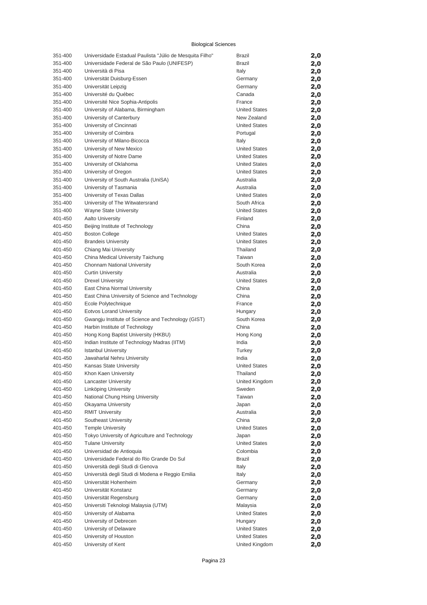| 351-400 | Universidade Estadual Paulista "Júlio de Mesquita Filho" | Brazil               | 2,0 |
|---------|----------------------------------------------------------|----------------------|-----|
| 351-400 | Universidade Federal de São Paulo (UNIFESP)              | <b>Brazil</b>        | 2,0 |
| 351-400 | Università di Pisa                                       | Italy                | 2,0 |
| 351-400 | Universität Duisburg-Essen                               | Germany              | 2,0 |
| 351-400 | Universität Leipzig                                      | Germany              | 2,0 |
| 351-400 | Université du Québec                                     | Canada               | 2,0 |
| 351-400 | Université Nice Sophia-Antipolis                         | France               | 2,0 |
| 351-400 | University of Alabama, Birmingham                        | <b>United States</b> | 2,0 |
| 351-400 | University of Canterbury                                 | New Zealand          | 2,0 |
| 351-400 | University of Cincinnati                                 | <b>United States</b> | 2,0 |
| 351-400 | University of Coimbra                                    | Portugal             | 2,0 |
| 351-400 | University of Milano-Bicocca                             | Italy                | 2,0 |
| 351-400 | University of New Mexico                                 | <b>United States</b> | 2,0 |
| 351-400 | University of Notre Dame                                 | <b>United States</b> | 2,0 |
| 351-400 | University of Oklahoma                                   | <b>United States</b> | 2,0 |
| 351-400 | University of Oregon                                     | <b>United States</b> | 2,0 |
| 351-400 | University of South Australia (UniSA)                    | Australia            | 2,0 |
| 351-400 | University of Tasmania                                   | Australia            | 2,0 |
| 351-400 | University of Texas Dallas                               | <b>United States</b> | 2,0 |
| 351-400 | University of The Witwatersrand                          | South Africa         | 2,0 |
| 351-400 | Wayne State University                                   | <b>United States</b> | 2,0 |
| 401-450 | <b>Aalto University</b>                                  | Finland              | 2,0 |
| 401-450 | Beijing Institute of Technology                          | China                | 2,0 |
| 401-450 | <b>Boston College</b>                                    | <b>United States</b> | 2,0 |
| 401-450 | <b>Brandeis University</b>                               | <b>United States</b> | 2,0 |
| 401-450 | Chiang Mai University                                    | Thailand             | 2,0 |
| 401-450 | China Medical University Taichung                        | Taiwan               | 2,0 |
| 401-450 | Chonnam National University                              | South Korea          | 2,0 |
| 401-450 | <b>Curtin University</b>                                 | Australia            | 2,0 |
| 401-450 | <b>Drexel University</b>                                 | <b>United States</b> | 2,0 |
| 401-450 | East China Normal University                             | China                | 2,0 |
| 401-450 | East China University of Science and Technology          | China                | 2,0 |
| 401-450 | Ecole Polytechnique                                      | France               | 2,0 |
| 401-450 | <b>Eotvos Lorand University</b>                          | Hungary              | 2,0 |
| 401-450 | Gwangju Institute of Science and Technology (GIST)       | South Korea          | 2,0 |
| 401-450 | Harbin Institute of Technology                           | China                | 2,0 |
| 401-450 | Hong Kong Baptist University (HKBU)                      | Hong Kong            | 2,0 |
| 401-450 | Indian Institute of Technology Madras (IITM)             | India                | 2,0 |
| 401-450 | <b>Istanbul University</b>                               | Turkey               | 2,0 |
| 401-450 | Jawaharlal Nehru University                              | India                | 2,0 |
| 401-450 | Kansas State University                                  | <b>United States</b> | 2,0 |
| 401-450 | Khon Kaen University                                     | Thailand             | 2,0 |
| 401-450 | <b>Lancaster University</b>                              | United Kingdom       | 2,0 |
| 401-450 | Linköping University                                     | Sweden               | 2,0 |
| 401-450 | National Chung Hsing University                          | Taiwan               | 2,0 |
| 401-450 | Okayama University                                       | Japan                | 2,0 |
| 401-450 | <b>RMIT University</b>                                   | Australia            | 2,0 |
| 401-450 | Southeast University                                     | China                | 2,0 |
| 401-450 | <b>Temple University</b>                                 | <b>United States</b> | 2,0 |
| 401-450 | Tokyo University of Agriculture and Technology           | Japan                | 2,0 |
| 401-450 | <b>Tulane University</b>                                 | <b>United States</b> | 2,0 |
| 401-450 | Universidad de Antioquia                                 | Colombia             | 2,0 |
| 401-450 | Universidade Federal do Rio Grande Do Sul                | <b>Brazil</b>        | 2,0 |
| 401-450 | Università degli Studi di Genova                         | Italy                | 2,0 |
| 401-450 | Università degli Studi di Modena e Reggio Emilia         | Italy                | 2,0 |
| 401-450 | Universität Hohenheim                                    | Germany              | 2,0 |
| 401-450 | Universität Konstanz                                     | Germany              | 2,0 |
| 401-450 | Universität Regensburg                                   | Germany              | 2,0 |
| 401-450 | Universiti Teknologi Malaysia (UTM)                      | Malaysia             | 2,0 |
| 401-450 | University of Alabama                                    | <b>United States</b> | 2,0 |
| 401-450 | University of Debrecen                                   | Hungary              | 2,0 |
| 401-450 | University of Delaware                                   | <b>United States</b> | 2,0 |
| 401-450 | University of Houston                                    | <b>United States</b> | 2,0 |
| 401-450 | University of Kent                                       | United Kingdom       | 2,0 |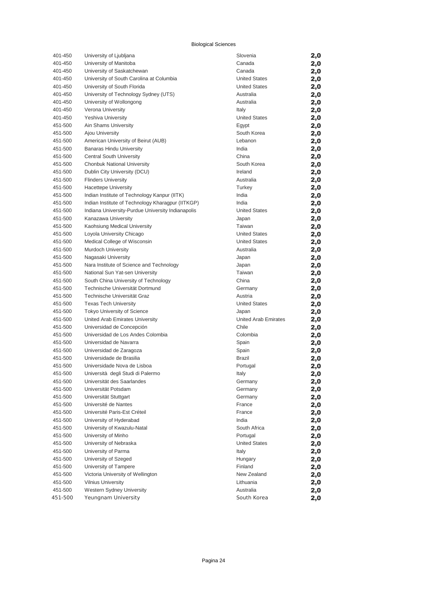| 401-450 | University of Ljubljana                           | Slovenia             | 2,0 |
|---------|---------------------------------------------------|----------------------|-----|
| 401-450 | University of Manitoba                            | Canada               | 2,0 |
| 401-450 | University of Saskatchewan                        | Canada               | 2,0 |
| 401-450 | University of South Carolina at Columbia          | <b>United States</b> | 2,0 |
| 401-450 | University of South Florida                       | <b>United States</b> | 2,0 |
| 401-450 | University of Technology Sydney (UTS)             | Australia            | 2,0 |
| 401-450 | University of Wollongong                          | Australia            | 2,0 |
| 401-450 | Verona University                                 | Italy                | 2,0 |
| 401-450 | <b>Yeshiva University</b>                         | <b>United States</b> | 2,0 |
| 451-500 | Ain Shams University                              | Egypt                | 2,0 |
| 451-500 | Ajou University                                   | South Korea          | 2,0 |
| 451-500 | American University of Beirut (AUB)               | Lebanon              | 2,0 |
| 451-500 | <b>Banaras Hindu University</b>                   | India                | 2,0 |
| 451-500 | Central South University                          | China                | 2,0 |
| 451-500 | Chonbuk National University                       | South Korea          | 2,0 |
| 451-500 | Dublin City University (DCU)                      | Ireland              | 2,0 |
| 451-500 | <b>Flinders University</b>                        | Australia            | 2,0 |
| 451-500 | <b>Hacettepe University</b>                       | Turkey               | 2,0 |
| 451-500 | Indian Institute of Technology Kanpur (IITK)      | India                | 2,0 |
| 451-500 | Indian Institute of Technology Kharagpur (IITKGP) | India                | 2,0 |
| 451-500 | Indiana University-Purdue University Indianapolis | <b>United States</b> | 2,0 |
| 451-500 | Kanazawa University                               | Japan                | 2,0 |
| 451-500 | Kaohsiung Medical University                      | Taiwan               | 2,0 |
| 451-500 | Loyola University Chicago                         | <b>United States</b> | 2,0 |
| 451-500 | Medical College of Wisconsin                      | <b>United States</b> | 2,0 |
| 451-500 | Murdoch University                                | Australia            | 2,0 |
| 451-500 | Nagasaki University                               | Japan                | 2,0 |
| 451-500 | Nara Institute of Science and Technology          | Japan                | 2,0 |
| 451-500 | National Sun Yat-sen University                   | Taiwan               | 2,0 |
| 451-500 | South China University of Technology              | China                | 2,0 |
| 451-500 | Technische Universität Dortmund                   | Germany              | 2,0 |
| 451-500 | Technische Universität Graz                       | Austria              | 2,0 |
| 451-500 | <b>Texas Tech University</b>                      | <b>United States</b> | 2,0 |
| 451-500 | Tokyo University of Science                       | Japan                | 2,0 |
| 451-500 | United Arab Emirates University                   | United Arab Emirates | 2,0 |
| 451-500 | Universidad de Concepción                         | Chile                | 2,0 |
| 451-500 | Universidad de Los Andes Colombia                 | Colombia             | 2,0 |
| 451-500 | Universidad de Navarra                            | Spain                | 2,0 |
| 451-500 | Universidad de Zaragoza                           | Spain                | 2,0 |
| 451-500 | Universidade de Brasilia                          | <b>Brazil</b>        | 2,0 |
| 451-500 | Universidade Nova de Lisboa                       | Portugal             | 2,0 |
| 451-500 | Università degli Studi di Palermo                 | Italy                | 2,0 |
| 451-500 | Universität des Saarlandes                        | Germany              | 2,0 |
| 451-500 | Universität Potsdam                               | Germany              | 2,0 |
| 451-500 | Universität Stuttgart                             | Germany              | 2,0 |
| 451-500 | Université de Nantes                              | France               | 2,0 |
| 451-500 | Université Paris-Est Créteil                      | France               | 2,0 |
| 451-500 | University of Hyderabad                           | India                | 2,0 |
| 451-500 | University of Kwazulu-Natal                       | South Africa         | 2,0 |
| 451-500 | University of Minho                               | Portugal             | 2,0 |
| 451-500 | University of Nebraska                            | <b>United States</b> | 2,0 |
| 451-500 | University of Parma                               | Italy                | 2,0 |
| 451-500 | University of Szeged                              | Hungary              | 2,0 |
| 451-500 | University of Tampere                             | Finland              | 2,0 |
| 451-500 | Victoria University of Wellington                 | New Zealand          | 2,0 |
| 451-500 | <b>Vilnius University</b>                         | Lithuania            | 2,0 |
| 451-500 | Western Sydney University                         | Australia            | 2,0 |
| 451-500 | Yeungnam University                               | South Korea          | 2,0 |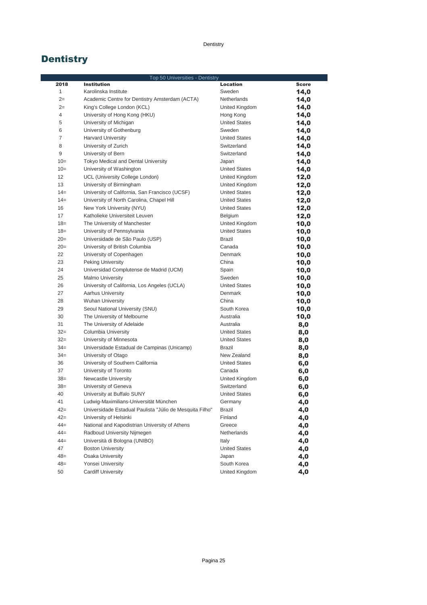### Dentistry

## **Dentistry**

|                | Top 50 Universities - Dentistry                                    |                                   |              |
|----------------|--------------------------------------------------------------------|-----------------------------------|--------------|
| 2018           | <b>Institution</b>                                                 | <b>Location</b>                   | <b>Score</b> |
| $\mathbf{1}$   | Karolinska Institute                                               | Sweden                            | 14,0         |
| $2=$           | Academic Centre for Dentistry Amsterdam (ACTA)                     | <b>Netherlands</b>                | 14,0         |
| $2=$           | King's College London (KCL)                                        | United Kingdom                    | 14,0         |
| 4              | University of Hong Kong (HKU)                                      | Hong Kong                         | 14,0         |
| 5              | University of Michigan                                             | <b>United States</b>              | 14,0         |
| 6              | University of Gothenburg                                           | Sweden                            | 14,0         |
| $\overline{7}$ | <b>Harvard University</b>                                          | <b>United States</b>              | 14,0         |
| 8              | University of Zurich                                               | Switzerland                       | 14,0         |
| 9              | University of Bern                                                 | Switzerland                       | 14,0         |
| $10=$          | Tokyo Medical and Dental University                                | Japan                             | 14,0         |
| $10=$          | University of Washington                                           | <b>United States</b>              | 14,0         |
| 12             | UCL (University College London)                                    | United Kingdom                    | 12,0         |
| 13             | University of Birmingham                                           | United Kingdom                    | 12,0         |
| $14=$          | University of California, San Francisco (UCSF)                     | <b>United States</b>              | 12,0         |
| $14=$          | University of North Carolina, Chapel Hill                          | <b>United States</b>              | 12,0         |
| 16             | New York University (NYU)                                          | <b>United States</b>              | 12,0         |
| 17             | Katholieke Universiteit Leuven                                     | Belgium                           | 12,0         |
| $18=$          | The University of Manchester                                       | United Kingdom                    | 10,0         |
| $18=$          | University of Pennsylvania                                         | <b>United States</b>              | 10,0         |
| $20=$          | Universidade de São Paulo (USP)                                    | <b>Brazil</b>                     | 10,0         |
| $20=$          | University of British Columbia                                     | Canada                            | 10,0         |
| 22             | University of Copenhagen                                           | <b>Denmark</b>                    | 10,0         |
| 23             | Peking University                                                  | China                             | 10,0         |
| 24             | Universidad Complutense de Madrid (UCM)                            | Spain                             | 10,0         |
| 25             | <b>Malmo University</b>                                            | Sweden                            | 10,0         |
| 26             | University of California, Los Angeles (UCLA)                       | <b>United States</b>              | 10,0         |
| 27             | <b>Aarhus University</b>                                           | <b>Denmark</b>                    | 10,0         |
| 28             | <b>Wuhan University</b>                                            | China                             | 10,0         |
| 29<br>30       | Seoul National University (SNU)                                    | South Korea<br>Australia          | 10,0         |
|                | The University of Melbourne                                        |                                   | 10,0         |
| 31<br>$32=$    | The University of Adelaide                                         | Australia<br><b>United States</b> | 8,0          |
| $32=$          | Columbia University<br>University of Minnesota                     | <b>United States</b>              | 8,0          |
| $34=$          |                                                                    | <b>Brazil</b>                     | 8,0          |
| $34=$          | Universidade Estadual de Campinas (Unicamp)<br>University of Otago | New Zealand                       | 8,0          |
| 36             | University of Southern California                                  | <b>United States</b>              | 8,0          |
| 37             | University of Toronto                                              | Canada                            | 6,0          |
| $38=$          | Newcastle University                                               | United Kingdom                    | 6,0          |
| $38=$          | University of Geneva                                               | Switzerland                       | 6,0          |
| 40             | University at Buffalo SUNY                                         | <b>United States</b>              | 6,0<br>6,0   |
| 41             | Ludwig-Maximilians-Universität München                             | Germany                           |              |
| $42 =$         | Universidade Estadual Paulista "Júlio de Mesquita Filho"           | Brazil                            | 4,0<br>4,0   |
| $42 =$         | University of Helsinki                                             | Finland                           | 4,0          |
| $44 =$         | National and Kapodistrian University of Athens                     | Greece                            | 4,0          |
| $44 =$         | Radboud University Nijmegen                                        | Netherlands                       | 4,0          |
| $44 =$         | Università di Bologna (UNIBO)                                      | Italy                             | 4,0          |
| 47             | <b>Boston University</b>                                           | <b>United States</b>              | 4,0          |
| $48=$          | <b>Osaka University</b>                                            | Japan                             | 4,0          |
| $48=$          | Yonsei University                                                  | South Korea                       | 4,0          |
| 50             | <b>Cardiff University</b>                                          | United Kingdom                    | 4,0          |
|                |                                                                    |                                   |              |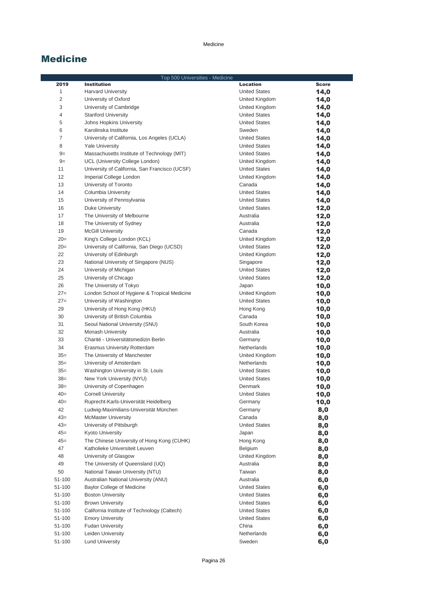|        | Top 500 Universities - Medicine                |                      |              |
|--------|------------------------------------------------|----------------------|--------------|
| 2019   | <b>Institution</b>                             | <b>Location</b>      | <b>Score</b> |
| 1      | <b>Harvard University</b>                      | <b>United States</b> | 14,0         |
| 2      | University of Oxford                           | United Kingdom       | 14,0         |
| 3      | University of Cambridge                        | United Kingdom       | 14,0         |
| 4      | <b>Stanford University</b>                     | <b>United States</b> | 14,0         |
| 5      | Johns Hopkins University                       | <b>United States</b> | 14,0         |
| 6      | Karolinska Institute                           | Sweden               | 14,0         |
| 7      | University of California, Los Angeles (UCLA)   | <b>United States</b> | 14,0         |
| 8      | <b>Yale University</b>                         | <b>United States</b> | 14,0         |
| $9=$   | Massachusetts Institute of Technology (MIT)    | <b>United States</b> | 14,0         |
| $9=$   | UCL (University College London)                | United Kingdom       | 14,0         |
| 11     | University of California, San Francisco (UCSF) | <b>United States</b> | 14,0         |
| 12     | Imperial College London                        | United Kingdom       | 14,0         |
| 13     | University of Toronto                          | Canada               | 14,0         |
| 14     | Columbia University                            | <b>United States</b> | 14,0         |
| 15     | University of Pennsylvania                     | <b>United States</b> | 14,0         |
| 16     | Duke University                                | <b>United States</b> | 12,0         |
| 17     | The University of Melbourne                    | Australia            | 12,0         |
| 18     | The University of Sydney                       | Australia            | 12,0         |
| 19     | <b>McGill University</b>                       | Canada               | 12,0         |
| $20=$  | King's College London (KCL)                    | United Kingdom       | 12,0         |
| $20=$  | University of California, San Diego (UCSD)     | <b>United States</b> | 12,0         |
| 22     | University of Edinburgh                        | United Kingdom       | 12,0         |
| 23     | National University of Singapore (NUS)         | Singapore            | 12,0         |
| 24     | University of Michigan                         | <b>United States</b> | 12,0         |
| 25     | University of Chicago                          | <b>United States</b> | 12,0         |
| 26     | The University of Tokyo                        | Japan                | 10,0         |
| $27=$  | London School of Hygiene & Tropical Medicine   | United Kingdom       | 10,0         |
| $27=$  | University of Washington                       | <b>United States</b> | 10,0         |
| 29     | University of Hong Kong (HKU)                  | Hong Kong            | 10,0         |
| 30     | University of British Columbia                 | Canada               | 10,0         |
| 31     | Seoul National University (SNU)                | South Korea          | 10,0         |
| 32     | <b>Monash University</b>                       | Australia            | 10,0         |
| 33     | Charité - Universitätsmedizin Berlin           | Germany              | 10,0         |
| 34     | Erasmus University Rotterdam                   | Netherlands          | 10,0         |
| $35=$  | The University of Manchester                   | United Kingdom       | 10,0         |
| $35=$  | University of Amsterdam                        | Netherlands          | 10,0         |
| $35=$  | Washington University in St. Louis             | <b>United States</b> | 10,0         |
| $38=$  | New York University (NYU)                      | <b>United States</b> | 10,0         |
| $38=$  | University of Copenhagen                       | Denmark              | 10,0         |
| $40=$  | Cornell University                             | <b>United States</b> | 10,0         |
| $40=$  | Ruprecht-Karls-Universität Heidelberg          | Germany              | 10,0         |
| 42     | Ludwig-Maximilians-Universität München         | Germany              | 8,0          |
| $43=$  | <b>McMaster University</b>                     | Canada               | 8,0          |
| $43=$  | University of Pittsburgh                       | <b>United States</b> | 8,0          |
| $45 =$ | <b>Kyoto University</b>                        | Japan                | 8,0          |
| $45 =$ | The Chinese University of Hong Kong (CUHK)     | Hong Kong            | 8,0          |
| 47     | Katholieke Universiteit Leuven                 | Belgium              | 8,0          |
| 48     | University of Glasgow                          | United Kingdom       | 8,0          |
| 49     | The University of Queensland (UQ)              | Australia            | 8,0          |
| 50     | National Taiwan University (NTU)               | Taiwan               | 8,0          |
| 51-100 | Australian National University (ANU)           | Australia            | 6,0          |
| 51-100 | <b>Baylor College of Medicine</b>              | <b>United States</b> | 6,0          |
| 51-100 | <b>Boston University</b>                       | <b>United States</b> | 6,0          |
| 51-100 | <b>Brown University</b>                        | <b>United States</b> | 6,0          |
| 51-100 | California Institute of Technology (Caltech)   | <b>United States</b> | 6,0          |
| 51-100 | <b>Emory University</b>                        | <b>United States</b> | 6,0          |
| 51-100 | <b>Fudan University</b>                        | China                | 6,0          |
| 51-100 | Leiden University                              | Netherlands          | 6,0          |
| 51-100 | <b>Lund University</b>                         | Sweden               | 6,0          |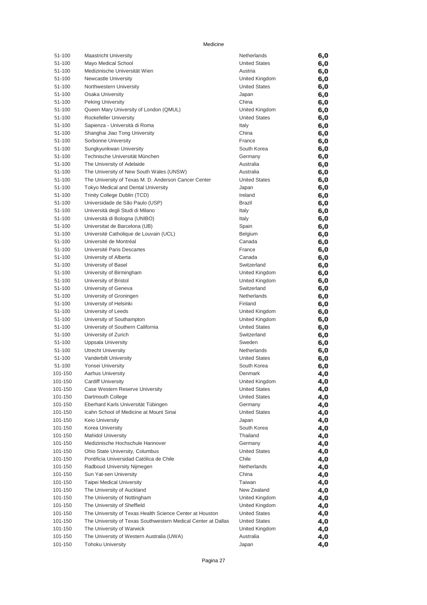| 51-100             | <b>Maastricht University</b>                                                                | Netherlands            | 6,0        |
|--------------------|---------------------------------------------------------------------------------------------|------------------------|------------|
| 51-100             | Mayo Medical School                                                                         | <b>United States</b>   | 6,0        |
| 51-100             | Medizinische Universität Wien                                                               | Austria                | 6,0        |
| 51-100             | Newcastle University                                                                        | United Kingdom         | 6,0        |
| 51-100             | Northwestern University                                                                     | <b>United States</b>   | 6,0        |
| 51-100             | <b>Osaka University</b>                                                                     | Japan                  | 6,0        |
| 51-100             | <b>Peking University</b>                                                                    | China                  | 6,0        |
| 51-100             | Queen Mary University of London (QMUL)                                                      | United Kingdom         | 6,0        |
| 51-100             | Rockefeller University                                                                      | <b>United States</b>   | 6,0        |
| 51-100             | Sapienza - Università di Roma                                                               | Italy                  | 6,0        |
| 51-100             | Shanghai Jiao Tong University                                                               | China                  | 6,0        |
| 51-100             | Sorbonne University                                                                         | France                 | 6,0        |
| 51-100             | Sungkyunkwan University                                                                     | South Korea            | 6,0        |
| 51-100             | Technische Universität München                                                              | Germany                | 6,0        |
| 51-100             | The University of Adelaide                                                                  | Australia<br>Australia | 6,0        |
| 51-100<br>51-100   | The University of New South Wales (UNSW)                                                    | <b>United States</b>   | 6,0        |
| 51-100             | The University of Texas M. D. Anderson Cancer Center<br>Tokyo Medical and Dental University |                        | 6,0        |
| 51-100             | Trinity College Dublin (TCD)                                                                | Japan<br>Ireland       | 6,0        |
| 51-100             | Universidade de São Paulo (USP)                                                             | <b>Brazil</b>          | 6,0<br>6,0 |
| 51-100             | Università degli Studi di Milano                                                            | Italy                  | 6,0        |
| 51-100             | Università di Bologna (UNIBO)                                                               | Italy                  | 6,0        |
| 51-100             | Universitat de Barcelona (UB)                                                               | Spain                  | 6,0        |
| 51-100             | Université Catholique de Louvain (UCL)                                                      | <b>Belgium</b>         | 6,0        |
| 51-100             | Université de Montréal                                                                      | Canada                 | 6,0        |
| 51-100             | Université Paris Descartes                                                                  | France                 | 6,0        |
| 51-100             | University of Alberta                                                                       | Canada                 | 6,0        |
| 51-100             | University of Basel                                                                         | Switzerland            | 6,0        |
| 51-100             | University of Birmingham                                                                    | United Kingdom         | 6,0        |
| 51-100             | University of Bristol                                                                       | United Kingdom         | 6,0        |
| 51-100             | University of Geneva                                                                        | Switzerland            | 6,0        |
| 51-100             | University of Groningen                                                                     | <b>Netherlands</b>     | 6,0        |
| 51-100             | University of Helsinki                                                                      | Finland                | 6,0        |
| 51-100             | University of Leeds                                                                         | United Kingdom         | 6,0        |
| 51-100             | University of Southampton                                                                   | United Kingdom         | 6,0        |
| 51-100             | University of Southern California                                                           | <b>United States</b>   | 6,0        |
| 51-100             | University of Zurich                                                                        | Switzerland            | 6,0        |
| 51-100             | Uppsala University                                                                          | Sweden                 | 6,0        |
| 51-100             | <b>Utrecht University</b>                                                                   | Netherlands            | 6,0        |
| 51-100             | Vanderbilt University                                                                       | <b>United States</b>   | 6,0        |
| 51-100             | Yonsei University                                                                           | South Korea            | 6,0        |
| 101-150            | <b>Aarhus University</b>                                                                    | Denmark                | 4,0        |
| 101-150            | Cardiff University                                                                          | United Kingdom         | 4,0        |
| 101-150            | Case Western Reserve University                                                             | <b>United States</b>   | 4,0        |
| 101-150            | Dartmouth College                                                                           | <b>United States</b>   | 4,0        |
| 101-150            | Eberhard Karls Universität Tübingen                                                         | Germany                | 4,0        |
| 101-150            | Icahn School of Medicine at Mount Sinai                                                     | <b>United States</b>   | 4,0        |
| 101-150            | Keio University                                                                             | Japan                  | 4,0        |
| 101-150            | Korea University                                                                            | South Korea            | 4,0        |
| 101-150            | <b>Mahidol University</b>                                                                   | Thailand               | 4,0        |
| 101-150            | Medizinische Hochschule Hannover                                                            | Germany                | 4,0        |
| 101-150            | Ohio State University, Columbus                                                             | <b>United States</b>   | 4,0        |
| 101-150            | Pontificia Universidad Católica de Chile                                                    | Chile                  | 4,0        |
| 101-150            | Radboud University Nijmegen                                                                 | Netherlands            | 4,0        |
| 101-150<br>101-150 | Sun Yat-sen University<br><b>Taipei Medical University</b>                                  | China<br>Taiwan        | 4,0        |
| 101-150            | The University of Auckland                                                                  | New Zealand            | 4,0        |
| 101-150            | The University of Nottingham                                                                | United Kingdom         | 4,0<br>4,0 |
| 101-150            | The University of Sheffield                                                                 | United Kingdom         | 4,0        |
| 101-150            | The University of Texas Health Science Center at Houston                                    | <b>United States</b>   | 4,0        |
| 101-150            | The University of Texas Southwestern Medical Center at Dallas                               | <b>United States</b>   | 4,0        |
| 101-150            | The University of Warwick                                                                   | United Kingdom         | 4,0        |
| 101-150            | The University of Western Australia (UWA)                                                   | Australia              | 4,0        |
| 101-150            | <b>Tohoku University</b>                                                                    | Japan                  | 4,0        |
|                    |                                                                                             |                        |            |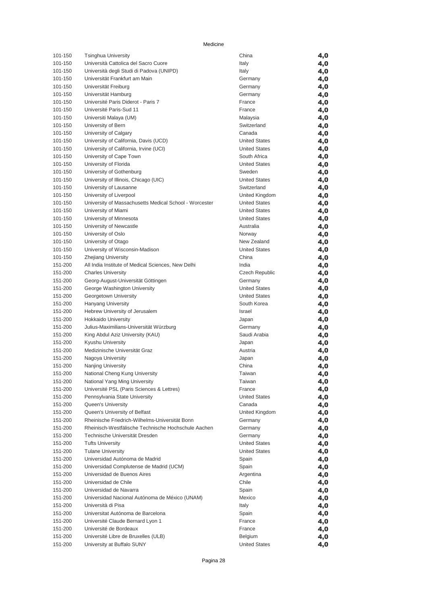| 101-150 | <b>Tsinghua University</b>                             | China                | 4,0 |
|---------|--------------------------------------------------------|----------------------|-----|
| 101-150 | Università Cattolica del Sacro Cuore                   | Italy                | 4,0 |
| 101-150 | Università degli Studi di Padova (UNIPD)               | Italy                | 4,0 |
| 101-150 | Universität Frankfurt am Main                          | Germany              | 4,0 |
| 101-150 | Universität Freiburg                                   | Germany              | 4,0 |
| 101-150 | Universität Hamburg                                    | Germany              | 4,0 |
| 101-150 | Université Paris Diderot - Paris 7                     | France               | 4,0 |
| 101-150 | Université Paris-Sud 11                                | France               | 4,0 |
| 101-150 | Universiti Malaya (UM)                                 | Malaysia             | 4,0 |
| 101-150 | University of Bern                                     | Switzerland          | 4,0 |
| 101-150 | University of Calgary                                  | Canada               | 4,0 |
| 101-150 | University of California, Davis (UCD)                  | <b>United States</b> | 4,0 |
| 101-150 | University of California, Irvine (UCI)                 | <b>United States</b> | 4,0 |
| 101-150 | University of Cape Town                                | South Africa         | 4,0 |
| 101-150 | University of Florida                                  | <b>United States</b> | 4,0 |
| 101-150 | University of Gothenburg                               | Sweden               | 4,0 |
| 101-150 | University of Illinois, Chicago (UIC)                  | <b>United States</b> | 4,0 |
| 101-150 | University of Lausanne                                 | Switzerland          | 4,0 |
| 101-150 | University of Liverpool                                | United Kingdom       | 4,0 |
| 101-150 | University of Massachusetts Medical School - Worcester | <b>United States</b> | 4,0 |
| 101-150 | University of Miami                                    | <b>United States</b> | 4,0 |
| 101-150 | University of Minnesota                                | <b>United States</b> | 4,0 |
| 101-150 | University of Newcastle                                | Australia            | 4,0 |
| 101-150 | University of Oslo                                     | Norway               | 4,0 |
| 101-150 | University of Otago                                    | New Zealand          | 4,0 |
| 101-150 | University of Wisconsin-Madison                        | <b>United States</b> | 4,0 |
| 101-150 | <b>Zhejiang University</b>                             | China                | 4,0 |
| 151-200 | All India Institute of Medical Sciences, New Delhi     | India                | 4,0 |
| 151-200 | <b>Charles University</b>                              | Czech Republic       | 4,0 |
| 151-200 | Georg-August-Universität Göttingen                     | Germany              | 4,0 |
| 151-200 | George Washington University                           | <b>United States</b> | 4,0 |
| 151-200 | Georgetown University                                  | <b>United States</b> | 4,0 |
| 151-200 | Hanyang University                                     | South Korea          | 4,0 |
| 151-200 | Hebrew University of Jerusalem                         | Israel               | 4,0 |
| 151-200 | <b>Hokkaido University</b>                             | Japan                | 4,0 |
| 151-200 | Julius-Maximilians-Universität Würzburg                | Germany              | 4,0 |
| 151-200 | King Abdul Aziz University (KAU)                       | Saudi Arabia         | 4,0 |
| 151-200 | Kyushu University                                      | Japan                | 4,0 |
| 151-200 | Medizinische Universität Graz                          | Austria              | 4,0 |
| 151-200 | Nagoya University                                      | Japan                | 4,0 |
| 151-200 | Nanjing University                                     | China                | 4,0 |
| 151-200 | National Cheng Kung University                         | Taiwan               | 4,0 |
| 151-200 | National Yang Ming University                          | Taiwan               | 4,0 |
| 151-200 | Université PSL (Paris Sciences & Lettres)              | France               | 4,0 |
| 151-200 | Pennsylvania State University                          | <b>United States</b> | 4,0 |
| 151-200 | Queen's University                                     | Canada               | 4,0 |
| 151-200 | Queen's University of Belfast                          | United Kingdom       | 4,0 |
| 151-200 | Rheinische Friedrich-Wilhelms-Universität Bonn         | Germany              | 4,0 |
| 151-200 | Rheinisch-Westfälische Technische Hochschule Aachen    | Germany              | 4,0 |
| 151-200 | Technische Universität Dresden                         | Germany              | 4,0 |
| 151-200 | <b>Tufts University</b>                                | <b>United States</b> | 4,0 |
| 151-200 | <b>Tulane University</b>                               | <b>United States</b> | 4,0 |
| 151-200 | Universidad Autónoma de Madrid                         | Spain                | 4,0 |
| 151-200 | Universidad Complutense de Madrid (UCM)                | Spain                | 4,0 |
| 151-200 | Universidad de Buenos Aires                            | Argentina            | 4,0 |
| 151-200 | Universidad de Chile                                   | Chile                | 4,0 |
| 151-200 | Universidad de Navarra                                 | Spain                | 4,0 |
| 151-200 | Universidad Nacional Autónoma de México (UNAM)         | Mexico               | 4,0 |
| 151-200 | Università di Pisa                                     | Italy                | 4,0 |
| 151-200 | Universitat Autónoma de Barcelona                      | Spain                | 4,0 |
| 151-200 | Université Claude Bernard Lyon 1                       | France               | 4,0 |
| 151-200 | Université de Bordeaux                                 | France               | 4,0 |
| 151-200 | Université Libre de Bruxelles (ULB)                    | Belgium              | 4,0 |
| 151-200 | University at Buffalo SUNY                             | <b>United States</b> | 4,0 |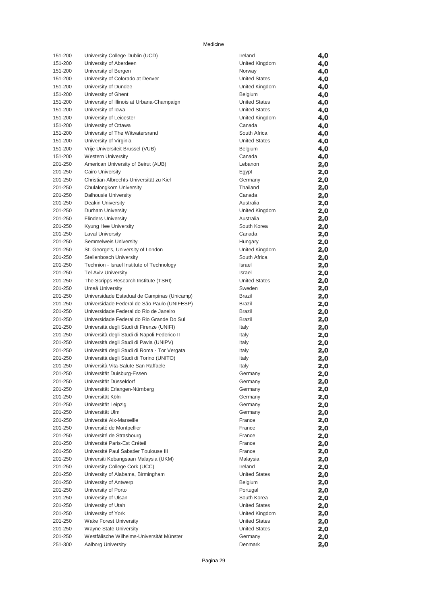| 151-200            | University College Dublin (UCD)                         | Ireland              | 4,0        |
|--------------------|---------------------------------------------------------|----------------------|------------|
| 151-200            | University of Aberdeen                                  | United Kingdom       | 4,0        |
| 151-200            | University of Bergen                                    | Norway               | 4,0        |
| 151-200            | University of Colorado at Denver                        | <b>United States</b> | 4,0        |
| 151-200            | University of Dundee                                    | United Kingdom       | 4,0        |
| 151-200            | University of Ghent                                     | Belgium              | 4,0        |
| 151-200            | University of Illinois at Urbana-Champaign              | <b>United States</b> | 4,0        |
| 151-200            | University of Iowa                                      | <b>United States</b> | 4,0        |
| 151-200            | University of Leicester                                 | United Kingdom       | 4,0        |
| 151-200            | University of Ottawa                                    | Canada               | 4,0        |
| 151-200            | University of The Witwatersrand                         | South Africa         | 4,0        |
| 151-200            | University of Virginia                                  | <b>United States</b> | 4,0        |
| 151-200            | Vrije Universiteit Brussel (VUB)                        | Belgium              | 4,0        |
| 151-200            | <b>Western University</b>                               | Canada               | 4,0        |
| 201-250            | American University of Beirut (AUB)                     | Lebanon              | 2,0        |
| 201-250            | <b>Cairo University</b>                                 | Egypt                | 2,0        |
| 201-250            | Christian-Albrechts-Universität zu Kiel                 | Germany              | 2,0        |
| 201-250            | Chulalongkorn University                                | Thailand             | 2,0        |
| 201-250            | Dalhousie University                                    | Canada               | 2,0        |
| 201-250            | <b>Deakin University</b>                                | Australia            | 2,0        |
| 201-250            | Durham University                                       | United Kingdom       | 2,0        |
| 201-250            | <b>Flinders University</b>                              | Australia            | 2,0        |
| 201-250            | Kyung Hee University                                    | South Korea          | 2,0        |
| 201-250            | <b>Laval University</b>                                 | Canada               | 2,0        |
| 201-250            | Semmelweis University                                   | Hungary              | 2,0        |
| 201-250            | St. George's, University of London                      | United Kingdom       | 2,0        |
| 201-250            | <b>Stellenbosch University</b>                          | South Africa         | 2,0        |
| 201-250            | Technion - Israel Institute of Technology               | Israel               | 2,0        |
| 201-250            | <b>Tel Aviv University</b>                              | Israel               | 2,0        |
| 201-250            | The Scripps Research Institute (TSRI)                   | <b>United States</b> | 2,0        |
| 201-250            | Umeå University                                         | Sweden               | 2,0        |
| 201-250            | Universidade Estadual de Campinas (Unicamp)             | <b>Brazil</b>        | 2,0        |
| 201-250            | Universidade Federal de São Paulo (UNIFESP)             | Brazil               | 2,0        |
| 201-250            | Universidade Federal do Rio de Janeiro                  | <b>Brazil</b>        | 2,0        |
| 201-250            | Universidade Federal do Rio Grande Do Sul               | <b>Brazil</b>        | 2,0        |
| 201-250            | Università degli Studi di Firenze (UNIFI)               | Italy                | 2,0        |
| 201-250            | Università degli Studi di Napoli Federico II            | Italy                | 2,0        |
| 201-250            | Università degli Studi di Pavia (UNIPV)                 | Italy                | 2,0        |
| 201-250            | Universitá degli Studi di Roma - Tor Vergata            | Italy                | 2,0        |
| 201-250            | Università degli Studi di Torino (UNITO)                | Italy                | 2,0        |
| 201-250            | Università Vita-Salute San Raffaele                     | Italy                | 2,0        |
| 201-250            | Universität Duisburg-Essen                              | Germany              | 2,0        |
| 201-250<br>201-250 | Universität Düsseldorf<br>Universität Erlangen-Nürnberg | Germany              | 2,0        |
| 201-250            | Universität Köln                                        | Germany              | 2,0        |
| 201-250            | Universität Leipzig                                     | Germany<br>Germany   | 2,0<br>2,0 |
| 201-250            | Universität Ulm                                         | Germany              |            |
| 201-250            | Université Aix-Marseille                                | France               | 2,0<br>2,0 |
| 201-250            | Université de Montpellier                               | France               | 2,0        |
| 201-250            | Université de Strasbourg                                | France               | 2,0        |
| 201-250            | Université Paris-Est Créteil                            | France               | 2,0        |
| 201-250            | Université Paul Sabatier Toulouse III                   | France               | 2,0        |
| 201-250            | Universiti Kebangsaan Malaysia (UKM)                    | Malaysia             | 2,0        |
| 201-250            | University College Cork (UCC)                           | Ireland              | 2,0        |
| 201-250            | University of Alabama, Birmingham                       | <b>United States</b> | 2,0        |
| 201-250            | University of Antwerp                                   | Belgium              | 2,0        |
| 201-250            | University of Porto                                     | Portugal             | 2,0        |
| 201-250            | University of Ulsan                                     | South Korea          | 2,0        |
| 201-250            | University of Utah                                      | <b>United States</b> | 2,0        |
| 201-250            | University of York                                      | United Kingdom       | 2,0        |
| 201-250            | <b>Wake Forest University</b>                           | <b>United States</b> | 2,0        |
| 201-250            | Wayne State University                                  | <b>United States</b> | 2,0        |
| 201-250            | Westfälische Wilhelms-Universität Münster               | Germany              | 2,0        |
| 251-300            | <b>Aalborg University</b>                               | Denmark              | 2,0        |
|                    |                                                         |                      |            |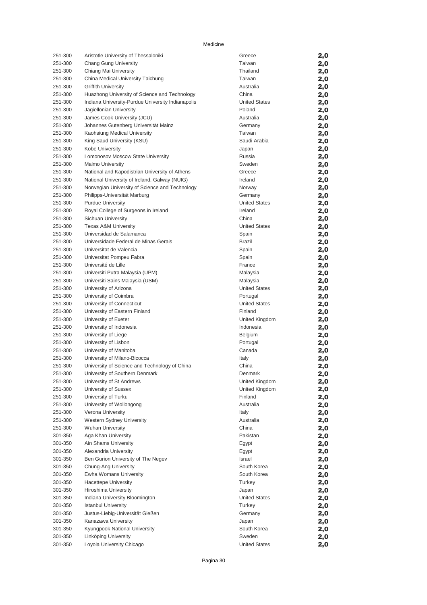| 251-300 | Aristotle University of Thessaloniki                       | Greece                           | 2,0 |
|---------|------------------------------------------------------------|----------------------------------|-----|
| 251-300 | Chang Gung University                                      | Taiwan                           | 2,0 |
| 251-300 | Chiang Mai University                                      | Thailand                         | 2,0 |
| 251-300 | China Medical University Taichung                          | Taiwan                           | 2,0 |
| 251-300 | <b>Griffith University</b>                                 | Australia                        | 2,0 |
| 251-300 | Huazhong University of Science and Technology              | China                            | 2,0 |
| 251-300 |                                                            | <b>United States</b>             |     |
|         | Indiana University-Purdue University Indianapolis          | Poland                           | 2,0 |
| 251-300 | Jagiellonian University                                    |                                  | 2,0 |
| 251-300 | James Cook University (JCU)                                | Australia                        | 2,0 |
| 251-300 | Johannes Gutenberg Universität Mainz                       | Germany                          | 2,0 |
| 251-300 | Kaohsiung Medical University                               | Taiwan                           | 2,0 |
| 251-300 | King Saud University (KSU)                                 | Saudi Arabia                     | 2,0 |
| 251-300 | Kobe University                                            | Japan                            | 2,0 |
| 251-300 | Lomonosov Moscow State University                          | Russia                           | 2,0 |
| 251-300 | <b>Malmo University</b>                                    | Sweden                           | 2,0 |
| 251-300 | National and Kapodistrian University of Athens             | Greece                           | 2,0 |
| 251-300 | National University of Ireland, Galway (NUIG)              | Ireland                          | 2,0 |
| 251-300 | Norwegian University of Science and Technology             | Norway                           | 2,0 |
| 251-300 | Philipps-Universität Marburg                               | Germany                          | 2,0 |
| 251-300 | <b>Purdue University</b>                                   | <b>United States</b>             | 2,0 |
| 251-300 | Royal College of Surgeons in Ireland                       | Ireland                          | 2,0 |
| 251-300 | Sichuan University                                         | China                            | 2,0 |
| 251-300 | <b>Texas A&amp;M University</b>                            | <b>United States</b>             | 2,0 |
| 251-300 | Universidad de Salamanca                                   | Spain                            | 2,0 |
| 251-300 | Universidade Federal de Minas Gerais                       | Brazil                           | 2,0 |
| 251-300 | Universitat de Valencia                                    | Spain                            | 2,0 |
| 251-300 | Universitat Pompeu Fabra                                   | Spain                            | 2,0 |
| 251-300 | Université de Lille                                        | France                           | 2,0 |
| 251-300 | Universiti Putra Malaysia (UPM)                            | Malaysia                         | 2,0 |
| 251-300 | Universiti Sains Malaysia (USM)                            | Malaysia                         | 2,0 |
| 251-300 | University of Arizona                                      | <b>United States</b>             | 2,0 |
| 251-300 | University of Coimbra                                      | Portugal                         | 2,0 |
| 251-300 | University of Connecticut                                  | <b>United States</b>             | 2,0 |
| 251-300 | University of Eastern Finland                              | Finland                          | 2,0 |
| 251-300 | University of Exeter                                       | United Kingdom                   | 2,0 |
| 251-300 | University of Indonesia                                    | Indonesia                        | 2,0 |
| 251-300 | University of Liege                                        | Belgium                          | 2,0 |
| 251-300 | University of Lisbon                                       | Portugal                         | 2,0 |
| 251-300 | University of Manitoba                                     | Canada                           | 2,0 |
| 251-300 | University of Milano-Bicocca                               | Italy                            | 2,0 |
| 251-300 | University of Science and Technology of China              | China                            | 2,0 |
| 251-300 |                                                            |                                  |     |
| 251-300 | University of Southern Denmark<br>University of St Andrews | Denmark                          | 2,0 |
| 251-300 | University of Sussex                                       | United Kingdom<br>United Kingdom | 2,0 |
|         |                                                            | Finland                          | 2,0 |
| 251-300 | University of Turku                                        |                                  | 2,0 |
| 251-300 | University of Wollongong                                   | Australia                        | 2,0 |
| 251-300 | Verona University                                          | Italy                            | 2,0 |
| 251-300 | Western Sydney University                                  | Australia                        | 2,0 |
| 251-300 | <b>Wuhan University</b>                                    | China                            | 2,0 |
| 301-350 | Aga Khan University                                        | Pakistan                         | 2,0 |
| 301-350 | Ain Shams University                                       | Egypt                            | 2,0 |
| 301-350 | Alexandria University                                      | Egypt                            | 2,0 |
| 301-350 | Ben Gurion University of The Negev                         | Israel                           | 2,0 |
| 301-350 | Chung-Ang University                                       | South Korea                      | 2,0 |
| 301-350 | Ewha Womans University                                     | South Korea                      | 2,0 |
| 301-350 | <b>Hacettepe University</b>                                | Turkey                           | 2,0 |
| 301-350 | Hiroshima University                                       | Japan                            | 2,0 |
| 301-350 | Indiana University Bloomington                             | <b>United States</b>             | 2,0 |
| 301-350 | <b>Istanbul University</b>                                 | Turkey                           | 2,0 |
| 301-350 | Justus-Liebig-Universität Gießen                           | Germany                          | 2,0 |
| 301-350 | Kanazawa University                                        | Japan                            | 2,0 |
| 301-350 | Kyungpook National University                              | South Korea                      | 2,0 |
| 301-350 | Linköping University                                       | Sweden                           | 2,0 |
| 301-350 | Loyola University Chicago                                  | <b>United States</b>             | 2,0 |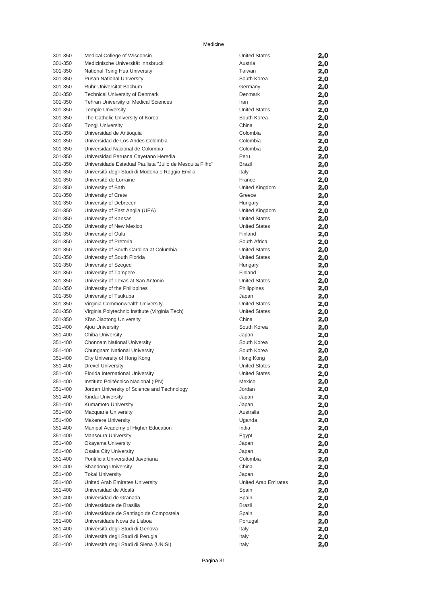| 301-350            | Medical College of Wisconsin                                                        | <b>United States</b>                         | 2,0        |
|--------------------|-------------------------------------------------------------------------------------|----------------------------------------------|------------|
| 301-350            | Medizinische Universität Innsbruck                                                  | Austria                                      | 2,0        |
| 301-350            | National Tsing Hua University                                                       | Taiwan                                       | 2,0        |
| 301-350            | <b>Pusan National University</b>                                                    | South Korea                                  | 2,0        |
| 301-350            | Ruhr-Universität Bochum                                                             | Germany                                      | 2,0        |
| 301-350            | <b>Technical University of Denmark</b>                                              | Denmark                                      | 2,0        |
| 301-350            | <b>Tehran University of Medical Sciences</b>                                        | Iran                                         | 2,0        |
| 301-350            | <b>Temple University</b>                                                            | <b>United States</b>                         | 2,0        |
| 301-350            | The Catholic University of Korea                                                    | South Korea                                  | 2,0        |
| 301-350            | <b>Tongji University</b>                                                            | China                                        | 2,0        |
| 301-350            | Universidad de Antioquia                                                            | Colombia                                     | 2,0        |
| 301-350            | Universidad de Los Andes Colombia                                                   | Colombia                                     | 2,0        |
| 301-350            | Universidad Nacional de Colombia                                                    | Colombia                                     | 2,0        |
| 301-350            | Universidad Peruana Cayetano Heredia                                                | Peru                                         | 2,0        |
| 301-350<br>301-350 | Universidade Estadual Paulista "Júlio de Mesquita Filho"                            | <b>Brazil</b>                                | 2,0        |
| 301-350            | Università degli Studi di Modena e Reggio Emilia<br>Université de Lorraine          | Italy<br>France                              | 2,0        |
| 301-350            | University of Bath                                                                  | United Kingdom                               | 2,0        |
| 301-350            | University of Crete                                                                 | Greece                                       | 2,0<br>2,0 |
| 301-350            | University of Debrecen                                                              | Hungary                                      | 2,0        |
| 301-350            | University of East Anglia (UEA)                                                     | United Kingdom                               | 2,0        |
| 301-350            | University of Kansas                                                                | <b>United States</b>                         | 2,0        |
| 301-350            | University of New Mexico                                                            | <b>United States</b>                         | 2,0        |
| 301-350            | University of Oulu                                                                  | Finland                                      | 2,0        |
| 301-350            | University of Pretoria                                                              | South Africa                                 | 2,0        |
| 301-350            | University of South Carolina at Columbia                                            | <b>United States</b>                         | 2,0        |
| 301-350            | University of South Florida                                                         | <b>United States</b>                         | 2,0        |
| 301-350            | University of Szeged                                                                | Hungary                                      | 2,0        |
| 301-350            | University of Tampere                                                               | Finland                                      | 2,0        |
| 301-350            | University of Texas at San Antonio                                                  | <b>United States</b>                         | 2,0        |
| 301-350            | University of the Philippines                                                       | Philippines                                  | 2,0        |
| 301-350            | University of Tsukuba                                                               | Japan                                        | 2,0        |
| 301-350            | Virginia Commonwealth University                                                    | <b>United States</b>                         | 2,0        |
| 301-350            | Virginia Polytechnic Institute (Virginia Tech)                                      | <b>United States</b>                         | 2,0        |
| 301-350            | Xi'an Jiaotong University                                                           | China                                        | 2,0        |
| 351-400            | Ajou University                                                                     | South Korea                                  | 2,0        |
| 351-400            | Chiba University                                                                    | Japan                                        | 2,0        |
| 351-400            | Chonnam National University                                                         | South Korea                                  | 2,0        |
| 351-400            | Chungnam National University                                                        | South Korea                                  | 2,0        |
| 351-400            | City University of Hong Kong                                                        | Hong Kong                                    | 2,0        |
| 351-400            | <b>Drexel University</b>                                                            | <b>United States</b><br><b>United States</b> | 2,0        |
| 351-400<br>351-400 | Florida International University                                                    |                                              | 2,0        |
| 351-400            | Instituto Politécnico Nacional (IPN)<br>Jordan University of Science and Technology | Mexico<br>Jordan                             | 2,0        |
| 351-400            | Kindai University                                                                   | Japan                                        | 2,0<br>2,0 |
| 351-400            | Kumamoto University                                                                 | Japan                                        | 2,0        |
| 351-400            | <b>Macquarie University</b>                                                         | Australia                                    | 2,0        |
| 351-400            | <b>Makerere University</b>                                                          | Uganda                                       | 2,0        |
| 351-400            | Manipal Academy of Higher Education                                                 | India                                        | 2,0        |
| 351-400            | Mansoura University                                                                 | Egypt                                        | 2,0        |
| 351-400            | Okayama University                                                                  | Japan                                        | 2,0        |
| 351-400            | Osaka City University                                                               | Japan                                        | 2,0        |
| 351-400            | Pontificia Universidad Javeriana                                                    | Colombia                                     | 2,0        |
| 351-400            | <b>Shandong University</b>                                                          | China                                        | 2,0        |
| 351-400            | <b>Tokai University</b>                                                             | Japan                                        | 2,0        |
| 351-400            | United Arab Emirates University                                                     | United Arab Emirates                         | 2,0        |
| 351-400            | Universidad de Alcalá                                                               | Spain                                        | 2,0        |
| 351-400            | Universidad de Granada                                                              | Spain                                        | 2,0        |
| 351-400            | Universidade de Brasilia                                                            | Brazil                                       | 2,0        |
| 351-400            | Universidade de Santiago de Compostela                                              | Spain                                        | 2,0        |
| 351-400            | Universidade Nova de Lisboa                                                         | Portugal                                     | 2,0        |
| 351-400            | Università degli Studi di Genova                                                    | Italy                                        | 2,0        |
| 351-400            | Università degli Studi di Perugia                                                   | Italy                                        | 2,0        |
| 351-400            | Università degli Studi di Siena (UNISI)                                             | Italy                                        | 2,0        |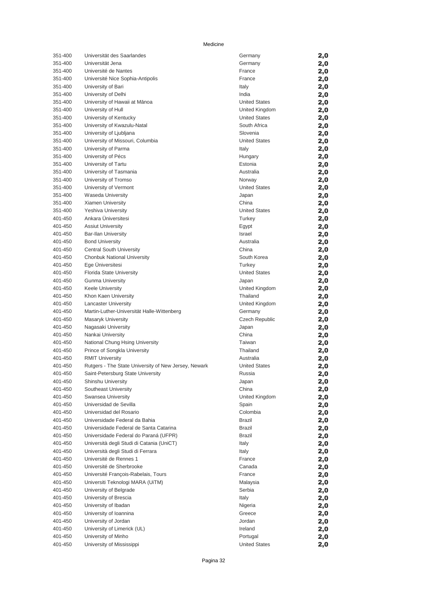| 351-400 | Universität des Saarlandes                           | Germany               | 2,0 |
|---------|------------------------------------------------------|-----------------------|-----|
| 351-400 | Universität Jena                                     | Germany               | 2,0 |
| 351-400 | Université de Nantes                                 | France                | 2,0 |
| 351-400 | Université Nice Sophia-Antipolis                     | France                | 2,0 |
| 351-400 | University of Bari                                   | Italy                 | 2,0 |
| 351-400 | University of Delhi                                  | India                 | 2,0 |
| 351-400 | University of Hawaii at Mānoa                        | <b>United States</b>  | 2,0 |
| 351-400 | University of Hull                                   | United Kingdom        | 2,0 |
| 351-400 | University of Kentucky                               | <b>United States</b>  | 2,0 |
| 351-400 | University of Kwazulu-Natal                          | South Africa          | 2,0 |
| 351-400 | University of Ljubljana                              | Slovenia              | 2,0 |
| 351-400 | University of Missouri, Columbia                     | <b>United States</b>  | 2,0 |
| 351-400 | University of Parma                                  | Italy                 | 2,0 |
| 351-400 | University of Pécs                                   | Hungary               | 2,0 |
| 351-400 | University of Tartu                                  | Estonia               | 2,0 |
| 351-400 | University of Tasmania                               | Australia             | 2,0 |
| 351-400 | University of Tromso                                 | Norway                | 2,0 |
| 351-400 | University of Vermont                                | <b>United States</b>  | 2,0 |
| 351-400 | <b>Waseda University</b>                             | Japan                 | 2,0 |
| 351-400 | Xiamen University                                    | China                 | 2,0 |
| 351-400 | Yeshiva University                                   | <b>United States</b>  | 2,0 |
| 401-450 | Ankara Üniversitesi                                  | Turkey                | 2,0 |
| 401-450 | <b>Assiut University</b>                             | Egypt                 | 2,0 |
| 401-450 | <b>Bar-Ilan University</b>                           | <b>Israel</b>         | 2,0 |
| 401-450 | <b>Bond University</b>                               | Australia             | 2,0 |
| 401-450 | Central South University                             | China                 | 2,0 |
| 401-450 | Chonbuk National University                          | South Korea           | 2,0 |
| 401-450 | Ege Üniversitesi                                     | Turkey                | 2,0 |
| 401-450 | Florida State University                             | <b>United States</b>  | 2,0 |
| 401-450 | <b>Gunma University</b>                              | Japan                 | 2,0 |
| 401-450 | <b>Keele University</b>                              | United Kingdom        | 2,0 |
| 401-450 | Khon Kaen University                                 | Thailand              | 2,0 |
| 401-450 | <b>Lancaster University</b>                          | United Kingdom        | 2,0 |
| 401-450 | Martin-Luther-Universität Halle-Wittenberg           | Germany               | 2,0 |
| 401-450 | Masaryk University                                   | <b>Czech Republic</b> | 2,0 |
| 401-450 | Nagasaki University                                  | Japan                 | 2,0 |
| 401-450 | Nankai University                                    | China                 | 2,0 |
| 401-450 | National Chung Hsing University                      | Taiwan                | 2,0 |
| 401-450 | Prince of Songkla University                         | Thailand              | 2,0 |
| 401-450 | <b>RMIT University</b>                               | Australia             | 2,0 |
| 401-450 | Rutgers - The State University of New Jersey, Newark | <b>United States</b>  | 2,0 |
| 401-450 | Saint-Petersburg State University                    | Russia                | 2,0 |
| 401-450 | Shinshu University                                   | Japan                 | 2,0 |
| 401-450 | Southeast University                                 | China                 | 2,0 |
| 401-450 | Swansea University                                   | United Kingdom        | 2,0 |
| 401-450 | Universidad de Sevilla                               | Spain                 | 2,0 |
| 401-450 | Universidad del Rosario                              | Colombia              | 2,0 |
| 401-450 | Universidade Federal da Bahia                        | Brazil                | 2,0 |
| 401-450 | Universidade Federal de Santa Catarina               | <b>Brazil</b>         | 2,0 |
| 401-450 | Universidade Federal do Paraná (UFPR)                | <b>Brazil</b>         | 2,0 |
| 401-450 | Università degli Studi di Catania (UniCT)            | Italy                 | 2,0 |
| 401-450 | Università degli Studi di Ferrara                    | Italy                 | 2,0 |
| 401-450 | Université de Rennes 1                               | France                | 2,0 |
| 401-450 | Université de Sherbrooke                             | Canada                | 2,0 |
| 401-450 | Université François-Rabelais, Tours                  | France                | 2,0 |
| 401-450 | Universiti Teknologi MARA (UiTM)                     | Malaysia              | 2,0 |
| 401-450 | University of Belgrade                               | Serbia                | 2,0 |
| 401-450 | University of Brescia                                | Italy                 | 2,0 |
| 401-450 | University of Ibadan                                 | Nigeria               | 2,0 |
| 401-450 | University of Ioannina                               | Greece                | 2,0 |
| 401-450 | University of Jordan                                 | Jordan                | 2,0 |
| 401-450 | University of Limerick (UL)                          | Ireland               | 2,0 |
| 401-450 | University of Minho                                  | Portugal              | 2,0 |
| 401-450 | University of Mississippi                            | <b>United States</b>  | 2,0 |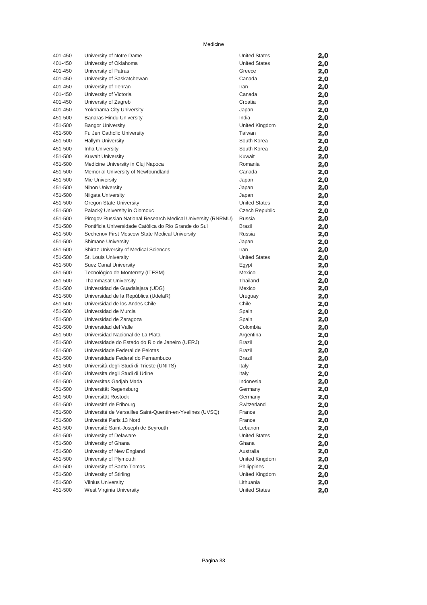| 401-450 | University of Notre Dame                                     | <b>United States</b> | 2,0 |
|---------|--------------------------------------------------------------|----------------------|-----|
| 401-450 | University of Oklahoma                                       | <b>United States</b> | 2,0 |
| 401-450 | University of Patras                                         | Greece               | 2,0 |
| 401-450 | University of Saskatchewan                                   | Canada               | 2,0 |
| 401-450 | University of Tehran                                         | Iran                 | 2,0 |
| 401-450 | University of Victoria                                       | Canada               | 2,0 |
| 401-450 | University of Zagreb                                         | Croatia              | 2,0 |
| 401-450 | Yokohama City University                                     | Japan                | 2,0 |
| 451-500 | <b>Banaras Hindu University</b>                              | India                | 2,0 |
| 451-500 | <b>Bangor University</b>                                     | United Kingdom       | 2,0 |
| 451-500 | Fu Jen Catholic University                                   | Taiwan               | 2,0 |
| 451-500 | <b>Hallym University</b>                                     | South Korea          | 2,0 |
| 451-500 | Inha University                                              | South Korea          | 2,0 |
| 451-500 | <b>Kuwait University</b>                                     | Kuwait               | 2,0 |
| 451-500 | Medicine University in Cluj Napoca                           | Romania              | 2,0 |
| 451-500 | Memorial University of Newfoundland                          | Canada               | 2,0 |
| 451-500 | Mie University                                               | Japan                | 2,0 |
| 451-500 | Nihon University                                             | Japan                | 2,0 |
| 451-500 | Niigata University                                           | Japan                | 2,0 |
| 451-500 | Oregon State University                                      | <b>United States</b> | 2,0 |
| 451-500 | Palacký University in Olomouc                                | Czech Republic       | 2,0 |
| 451-500 | Pirogov Russian National Research Medical University (RNRMU) | Russia               | 2,0 |
| 451-500 | Pontificia Universidade Católica do Rio Grande do Sul        | Brazil               | 2,0 |
| 451-500 | Sechenov First Moscow State Medical University               | Russia               | 2,0 |
| 451-500 | Shimane University                                           | Japan                | 2,0 |
| 451-500 | Shiraz University of Medical Sciences                        | Iran                 | 2,0 |
| 451-500 | St. Louis University                                         | <b>United States</b> | 2,0 |
| 451-500 | Suez Canal University                                        | Egypt                | 2,0 |
| 451-500 | Tecnológico de Monterrey (ITESM)                             | Mexico               | 2,0 |
| 451-500 | <b>Thammasat University</b>                                  | Thailand             | 2,0 |
| 451-500 | Universidad de Guadalajara (UDG)                             | Mexico               | 2,0 |
| 451-500 | Universidad de la República (UdelaR)                         | Uruguay              | 2,0 |
| 451-500 | Universidad de los Andes Chile                               | Chile                | 2,0 |
| 451-500 | Universidad de Murcia                                        | Spain                | 2,0 |
| 451-500 | Universidad de Zaragoza                                      | Spain                | 2,0 |
| 451-500 | Universidad del Valle                                        | Colombia             | 2,0 |
| 451-500 | Universidad Nacional de La Plata                             | Argentina            | 2,0 |
| 451-500 | Universidade do Estado do Rio de Janeiro (UERJ)              | <b>Brazil</b>        | 2,0 |
| 451-500 | Universidade Federal de Pelotas                              | <b>Brazil</b>        | 2,0 |
| 451-500 | Universidade Federal do Pernambuco                           | <b>Brazil</b>        | 2,0 |
| 451-500 | Università degli Studi di Trieste (UNITS)                    | Italy                | 2,0 |
| 451-500 | Universita degli Studi di Udine                              | Italy                | 2,0 |
| 451-500 | Universitas Gadjah Mada                                      | Indonesia            | 2,0 |
| 451-500 | Universität Regensburg                                       | Germany              | 2,0 |
| 451-500 | Universität Rostock                                          | Germany              | 2,0 |
| 451-500 | Université de Fribourg                                       | Switzerland          | 2,0 |
| 451-500 | Université de Versailles Saint-Quentin-en-Yvelines (UVSQ)    | France               | 2,0 |
| 451-500 | Université Paris 13 Nord                                     | France               | 2,0 |
| 451-500 | Université Saint-Joseph de Beyrouth                          | Lebanon              | 2,0 |
| 451-500 | University of Delaware                                       | <b>United States</b> | 2,0 |
| 451-500 | University of Ghana                                          | Ghana                | 2,0 |
| 451-500 | University of New England                                    | Australia            | 2,0 |
| 451-500 | University of Plymouth                                       | United Kingdom       | 2,0 |
| 451-500 | University of Santo Tomas                                    | Philippines          | 2,0 |
| 451-500 | University of Stirling                                       | United Kingdom       | 2,0 |
| 451-500 | <b>Vilnius University</b>                                    | Lithuania            | 2,0 |
| 451-500 | West Virginia University                                     | <b>United States</b> | 2,0 |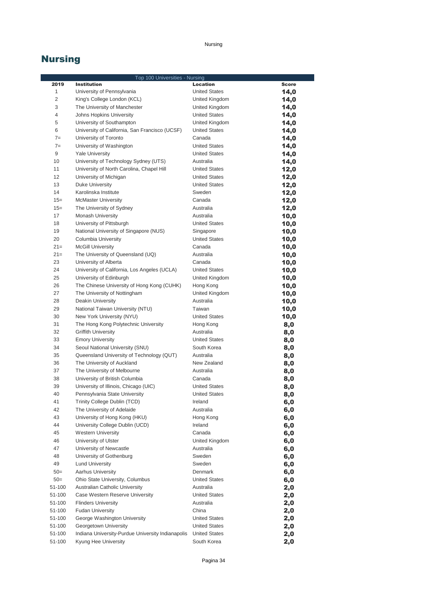### Nursing

## Nursing

|                | Top 100 Universities - Nursing                                |                                |              |
|----------------|---------------------------------------------------------------|--------------------------------|--------------|
| 2019           | <b>Institution</b>                                            | <b>Location</b>                | <b>Score</b> |
| $\mathbf{1}$   | University of Pennsylvania                                    | <b>United States</b>           | 14,0         |
| $\overline{2}$ | King's College London (KCL)                                   | United Kingdom                 | 14,0         |
| 3              | The University of Manchester                                  | United Kingdom                 | 14,0         |
| 4              | Johns Hopkins University                                      | <b>United States</b>           | 14,0         |
| 5              | University of Southampton                                     | United Kingdom                 | 14,0         |
| 6              | University of California, San Francisco (UCSF)                | <b>United States</b>           | 14,0         |
| $7=$           | University of Toronto                                         | Canada                         | 14,0         |
| $7=$           | University of Washington                                      | <b>United States</b>           | 14,0         |
| 9              | <b>Yale University</b>                                        | <b>United States</b>           | 14,0         |
| 10             | University of Technology Sydney (UTS)                         | Australia                      | 14,0         |
| 11             | University of North Carolina, Chapel Hill                     | <b>United States</b>           | 12,0         |
| 12             | University of Michigan                                        | <b>United States</b>           | 12,0         |
| 13             | <b>Duke University</b>                                        | <b>United States</b>           | 12,0         |
| 14             | Karolinska Institute                                          | Sweden                         | 12,0         |
| $15=$          | <b>McMaster University</b>                                    | Canada                         | 12,0         |
| $15=$          | The University of Sydney                                      | Australia                      | 12,0         |
| 17             | Monash University                                             | Australia                      | 10,0         |
| 18             | University of Pittsburgh                                      | <b>United States</b>           | 10,0         |
| 19             | National University of Singapore (NUS)                        | Singapore                      | 10,0         |
| 20             | Columbia University                                           | <b>United States</b>           | 10,0         |
| $21=$          | <b>McGill University</b>                                      | Canada                         | 10,0         |
| $21=$          | The University of Queensland (UQ)                             | Australia                      | 10,0         |
| 23             | University of Alberta                                         | Canada                         | 10,0         |
| 24             | University of California, Los Angeles (UCLA)                  | <b>United States</b>           | 10,0         |
| 25             | University of Edinburgh                                       | United Kingdom                 | 10,0         |
| 26             | The Chinese University of Hong Kong (CUHK)                    | Hong Kong                      | 10,0         |
| 27             | The University of Nottingham                                  | United Kingdom                 | 10,0         |
| 28<br>29       | Deakin University                                             | Australia                      | 10,0         |
| 30             | National Taiwan University (NTU)<br>New York University (NYU) | Taiwan<br><b>United States</b> | 10,0<br>10,0 |
| 31             | The Hong Kong Polytechnic University                          | Hong Kong                      |              |
| 32             | <b>Griffith University</b>                                    | Australia                      | 8,0          |
| 33             | <b>Emory University</b>                                       | <b>United States</b>           | 8,0<br>8,0   |
| 34             | Seoul National University (SNU)                               | South Korea                    | 8,0          |
| 35             | Queensland University of Technology (QUT)                     | Australia                      | 8,0          |
| 36             | The University of Auckland                                    | New Zealand                    | 8,0          |
| 37             | The University of Melbourne                                   | Australia                      | 8,0          |
| 38             | University of British Columbia                                | Canada                         | 8,0          |
| 39             | University of Illinois, Chicago (UIC)                         | <b>United States</b>           | 8,0          |
| 40             | Pennsylvania State University                                 | <b>United States</b>           | 8,0          |
| 41             | Trinity College Dublin (TCD)                                  | Ireland                        | 6,0          |
| 42             | The University of Adelaide                                    | Australia                      | 6,0          |
| 43             | University of Hong Kong (HKU)                                 | Hong Kong                      | 6,0          |
| 44             | University College Dublin (UCD)                               | Ireland                        | 6,0          |
| 45             | <b>Western University</b>                                     | Canada                         | 6,0          |
| 46             | University of Ulster                                          | United Kingdom                 | 6,0          |
| 47             | University of Newcastle                                       | Australia                      | 6,0          |
| 48             | University of Gothenburg                                      | Sweden                         | 6,0          |
| 49             | <b>Lund University</b>                                        | Sweden                         | 6,0          |
| $50=$          | Aarhus University                                             | Denmark                        | 6,0          |
| $50=$          | Ohio State University, Columbus                               | <b>United States</b>           | 6,0          |
| 51-100         | Australian Catholic University                                | Australia                      | 2,0          |
| 51-100         | Case Western Reserve University                               | <b>United States</b>           | 2,0          |
| 51-100         | <b>Flinders University</b>                                    | Australia                      | 2,0          |
| 51-100         | <b>Fudan University</b>                                       | China                          | 2,0          |
| 51-100         | George Washington University                                  | <b>United States</b>           | 2,0          |
| 51-100         | Georgetown University                                         | <b>United States</b>           | 2,0          |
| 51-100         | Indiana University-Purdue University Indianapolis             | <b>United States</b>           | 2,0          |
| 51-100         | Kyung Hee University                                          | South Korea                    | 2,0          |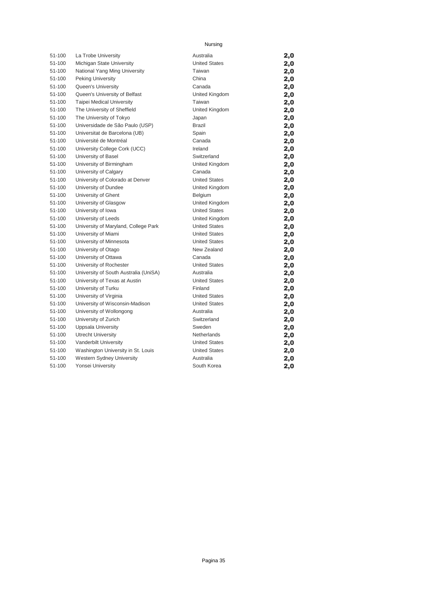### Nursing

| 51-100 | La Trobe University                   | Australia            | 2,0 |
|--------|---------------------------------------|----------------------|-----|
| 51-100 | Michigan State University             | <b>United States</b> | 2,0 |
| 51-100 | National Yang Ming University         | Taiwan               | 2,0 |
| 51-100 | Peking University                     | China                | 2,0 |
| 51-100 | Queen's University                    | Canada               | 2,0 |
| 51-100 | Queen's University of Belfast         | United Kingdom       | 2,0 |
| 51-100 | <b>Taipei Medical University</b>      | Taiwan               | 2,0 |
| 51-100 | The University of Sheffield           | United Kingdom       | 2,0 |
| 51-100 | The University of Tokyo               | Japan                | 2,0 |
| 51-100 | Universidade de São Paulo (USP)       | <b>Brazil</b>        | 2,0 |
| 51-100 | Universitat de Barcelona (UB)         | Spain                | 2,0 |
| 51-100 | Université de Montréal                | Canada               | 2,0 |
| 51-100 | University College Cork (UCC)         | Ireland              | 2,0 |
| 51-100 | University of Basel                   | Switzerland          | 2,0 |
| 51-100 | University of Birmingham              | United Kingdom       | 2,0 |
| 51-100 | University of Calgary                 | Canada               | 2,0 |
| 51-100 | University of Colorado at Denver      | <b>United States</b> | 2,0 |
| 51-100 | University of Dundee                  | United Kingdom       | 2,0 |
| 51-100 | University of Ghent                   | <b>Belgium</b>       | 2,0 |
| 51-100 | University of Glasgow                 | United Kingdom       | 2,0 |
| 51-100 | University of Iowa                    | <b>United States</b> | 2,0 |
| 51-100 | University of Leeds                   | United Kingdom       | 2,0 |
| 51-100 | University of Maryland, College Park  | <b>United States</b> | 2,0 |
| 51-100 | University of Miami                   | <b>United States</b> | 2,0 |
| 51-100 | University of Minnesota               | <b>United States</b> | 2,0 |
| 51-100 | University of Otago                   | New Zealand          | 2,0 |
| 51-100 | University of Ottawa                  | Canada               | 2,0 |
| 51-100 | University of Rochester               | <b>United States</b> | 2,0 |
| 51-100 | University of South Australia (UniSA) | Australia            | 2,0 |
| 51-100 | University of Texas at Austin         | <b>United States</b> | 2,0 |
| 51-100 | University of Turku                   | Finland              | 2,0 |
| 51-100 | University of Virginia                | <b>United States</b> | 2,0 |
| 51-100 | University of Wisconsin-Madison       | <b>United States</b> | 2,0 |
| 51-100 | University of Wollongong              | Australia            | 2,0 |
| 51-100 | University of Zurich                  | Switzerland          | 2,0 |
| 51-100 | <b>Uppsala University</b>             | Sweden               | 2,0 |
| 51-100 | <b>Utrecht University</b>             | Netherlands          | 2,0 |
| 51-100 | Vanderbilt University                 | <b>United States</b> | 2,0 |
| 51-100 | Washington University in St. Louis    | <b>United States</b> | 2,0 |
| 51-100 | Western Sydney University             | Australia            | 2,0 |
| 51-100 | Yonsei University                     | South Korea          | 2,0 |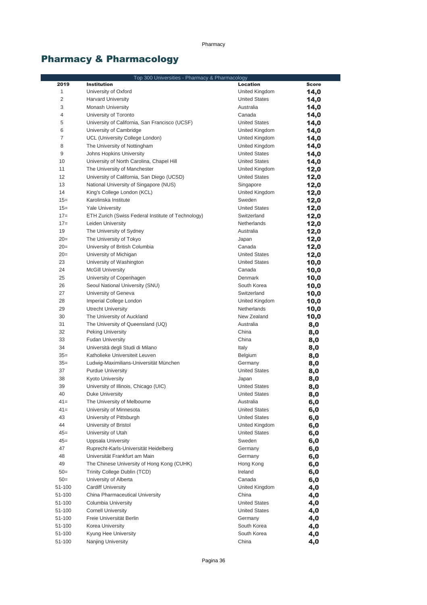# Pharmacy & Pharmacology

|                | Top 300 Universities - Pharmacy & Pharmacology                          |                                     |              |
|----------------|-------------------------------------------------------------------------|-------------------------------------|--------------|
| 2019           | <b>Institution</b>                                                      | <b>Location</b>                     | <b>Score</b> |
| 1              | University of Oxford                                                    | United Kingdom                      | 14,0         |
| $\overline{c}$ | Harvard University                                                      | <b>United States</b>                | 14,0         |
| 3              | <b>Monash University</b>                                                | Australia                           | 14,0         |
| 4              | University of Toronto                                                   | Canada                              | 14,0         |
| 5              | University of California, San Francisco (UCSF)                          | <b>United States</b>                | 14,0         |
| 6              | University of Cambridge                                                 | United Kingdom                      | 14,0         |
| $\overline{7}$ | UCL (University College London)                                         | United Kingdom                      | 14,0         |
| 8              | The University of Nottingham                                            | United Kingdom                      | 14,0         |
| 9              | <b>Johns Hopkins University</b>                                         | <b>United States</b>                | 14,0         |
| 10             | University of North Carolina, Chapel Hill                               | <b>United States</b>                | 14,0         |
| 11             | The University of Manchester                                            | United Kingdom                      | 12,0         |
| 12             | University of California, San Diego (UCSD)                              | <b>United States</b>                | 12,0         |
| 13             | National University of Singapore (NUS)                                  | Singapore                           | 12,0         |
| 14             | King's College London (KCL)                                             | United Kingdom                      | 12,0         |
| $15=$          | Karolinska Institute                                                    | Sweden                              | 12,0         |
| $15=$<br>$17=$ | <b>Yale University</b>                                                  | <b>United States</b><br>Switzerland | 12,0         |
| $17=$          | ETH Zurich (Swiss Federal Institute of Technology)<br>Leiden University | Netherlands                         | 12,0         |
| 19             | The University of Sydney                                                | Australia                           | 12,0         |
| $20=$          | The University of Tokyo                                                 | Japan                               | 12,0         |
| $20=$          | University of British Columbia                                          | Canada                              | 12,0<br>12,0 |
| $20=$          | University of Michigan                                                  | <b>United States</b>                | 12,0         |
| 23             | University of Washington                                                | <b>United States</b>                | 10,0         |
| 24             | <b>McGill University</b>                                                | Canada                              | 10,0         |
| 25             | University of Copenhagen                                                | Denmark                             | 10,0         |
| 26             | Seoul National University (SNU)                                         | South Korea                         | 10,0         |
| 27             | University of Geneva                                                    | Switzerland                         | 10,0         |
| 28             | Imperial College London                                                 | United Kingdom                      | 10,0         |
| 29             | <b>Utrecht University</b>                                               | Netherlands                         | 10,0         |
| 30             | The University of Auckland                                              | New Zealand                         | 10,0         |
| 31             | The University of Queensland (UQ)                                       | Australia                           | 8,0          |
| 32             | Peking University                                                       | China                               | 8,0          |
| 33             | <b>Fudan University</b>                                                 | China                               | 8,0          |
| 34             | Università degli Studi di Milano                                        | Italy                               | 8,0          |
| $35=$          | Katholieke Universiteit Leuven                                          | Belgium                             | 8,0          |
| $35=$          | Ludwig-Maximilians-Universität München                                  | Germany                             | 8,0          |
| 37             | <b>Purdue University</b>                                                | <b>United States</b>                | 8,0          |
| 38             | Kyoto University                                                        | Japan                               | 8,0          |
| 39             | University of Illinois, Chicago (UIC)                                   | <b>United States</b>                | 8,0          |
| 40             | Duke University                                                         | <b>United States</b>                | 8,0          |
| $41 =$         | The University of Melbourne                                             | Australia                           | 6,0          |
| $41 =$         | University of Minnesota                                                 | <b>United States</b>                | 6,0          |
| 43             | University of Pittsburgh                                                | <b>United States</b>                | 6,0          |
| 44             | University of Bristol                                                   | United Kingdom                      | 6,0          |
| $45=$          | University of Utah                                                      | <b>United States</b>                | 6,0          |
| $45=$          | Uppsala University                                                      | Sweden                              | 6,0          |
| 47             | Ruprecht-Karls-Universität Heidelberg                                   | Germany                             | 6,0          |
| 48             | Universität Frankfurt am Main                                           | Germany                             | 6,0          |
| 49             | The Chinese University of Hong Kong (CUHK)                              | Hong Kong                           | 6,0          |
| $50=$          | Trinity College Dublin (TCD)                                            | Ireland                             | 6,0          |
| $50=$          | University of Alberta                                                   | Canada                              | 6,0          |
| 51-100         | <b>Cardiff University</b>                                               | United Kingdom                      | 4,0          |
| 51-100         | China Pharmaceutical University                                         | China                               | 4,0          |
| 51-100         | Columbia University                                                     | <b>United States</b>                | 4,0          |
| 51-100         | <b>Cornell University</b>                                               | <b>United States</b>                | 4,0          |
| 51-100         | Freie Universität Berlin                                                | Germany                             | 4,0          |
| 51-100         | Korea University                                                        | South Korea                         | 4,0          |
| 51-100         | Kyung Hee University                                                    | South Korea                         | 4,0          |
| 51-100         | Nanjing University                                                      | China                               | 4,0          |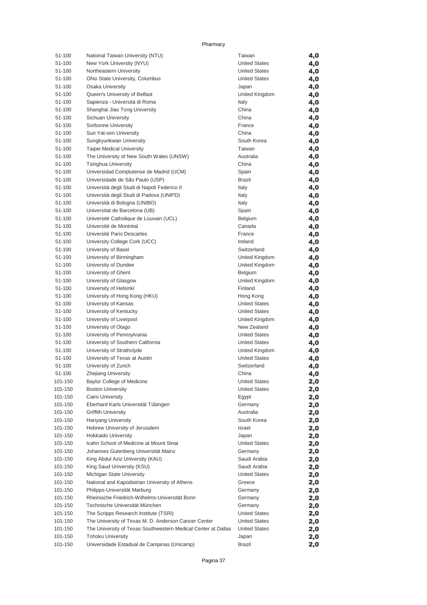| 51-100           | National Taiwan University (NTU)                              | Taiwan                        | 4,0        |
|------------------|---------------------------------------------------------------|-------------------------------|------------|
| 51-100           | New York University (NYU)                                     | <b>United States</b>          | 4,0        |
| 51-100           | Northeastern University                                       | <b>United States</b>          | 4,0        |
| 51-100           | Ohio State University, Columbus                               | <b>United States</b>          | 4,0        |
| 51-100           | Osaka University                                              | Japan                         | 4,0        |
| 51-100           | Queen's University of Belfast                                 | United Kingdom                | 4,0        |
| 51-100           | Sapienza - Università di Roma                                 | Italy                         | 4,0        |
| 51-100           | Shanghai Jiao Tong University                                 | China                         | 4,0        |
| 51-100           | Sichuan University                                            | China                         | 4,0        |
| 51-100           | Sorbonne University                                           | France                        | 4,0        |
| 51-100           | Sun Yat-sen University                                        | China                         | 4,0        |
| 51-100           | Sungkyunkwan University                                       | South Korea                   | 4,0        |
| 51-100           | Taipei Medical University                                     | Taiwan                        | 4,0        |
| 51-100           | The University of New South Wales (UNSW)                      | Australia                     | 4,0        |
| 51-100           | <b>Tsinghua University</b>                                    | China                         | 4,0        |
| 51-100           | Universidad Complutense de Madrid (UCM)                       | Spain                         | 4,0        |
| 51-100           | Universidade de São Paulo (USP)                               | <b>Brazil</b>                 | 4,0        |
| 51-100           | Università degli Studi di Napoli Federico II                  | Italy                         | 4,0        |
| 51-100           | Università degli Studi di Padova (UNIPD)                      | Italy                         | 4,0        |
| 51-100           | Università di Bologna (UNIBO)                                 | Italy                         | 4,0        |
| 51-100           | Universitat de Barcelona (UB)                                 | Spain                         | 4,0        |
| 51-100           | Université Catholique de Louvain (UCL)                        | <b>Belgium</b>                | 4,0        |
| 51-100           | Université de Montréal                                        | Canada                        | 4,0        |
| 51-100           | Université Paris Descartes                                    | France                        | 4,0        |
| 51-100           | University College Cork (UCC)                                 | Ireland                       | 4,0        |
| 51-100           | University of Basel                                           | Switzerland                   | 4,0        |
| 51-100           | University of Birmingham                                      | United Kingdom                | 4,0        |
| 51-100           | University of Dundee                                          | United Kingdom                | 4,0        |
| 51-100           | University of Ghent                                           | Belgium                       | 4,0        |
| 51-100           | University of Glasgow                                         | United Kingdom                | 4,0        |
| 51-100           | University of Helsinki                                        | Finland                       | 4,0        |
| 51-100           | University of Hong Kong (HKU)                                 | Hong Kong                     | 4,0        |
| 51-100           | University of Kansas                                          | <b>United States</b>          | 4,0        |
| 51-100           | University of Kentucky                                        | <b>United States</b>          | 4,0        |
| 51-100<br>51-100 | University of Liverpool                                       | United Kingdom<br>New Zealand | 4,0        |
| 51-100           | University of Otago<br>University of Pennsylvania             | <b>United States</b>          | 4,0        |
| 51-100           | University of Southern California                             | <b>United States</b>          | 4,0        |
| 51-100           | University of Strathclyde                                     | United Kingdom                | 4,0        |
| 51-100           | University of Texas at Austin                                 | <b>United States</b>          | 4,0        |
| 51-100           | University of Zurich                                          | Switzerland                   | 4,0<br>4,0 |
| 51-100           | Zhejiang University                                           | China                         | 4,0        |
| 101-150          | <b>Baylor College of Medicine</b>                             | United States                 | 2,0        |
| 101-150          | <b>Boston University</b>                                      | <b>United States</b>          | 2,0        |
| 101-150          | Cairo University                                              | Egypt                         | 2,0        |
| 101-150          | Eberhard Karls Universität Tübingen                           | Germany                       | 2,0        |
| 101-150          | <b>Griffith University</b>                                    | Australia                     | 2,0        |
| 101-150          | Hanyang University                                            | South Korea                   | 2,0        |
| 101-150          | Hebrew University of Jerusalem                                | Israel                        | 2,0        |
| 101-150          | <b>Hokkaido University</b>                                    | Japan                         | 2,0        |
| 101-150          | Icahn School of Medicine at Mount Sinai                       | <b>United States</b>          | 2,0        |
| 101-150          | Johannes Gutenberg Universität Mainz                          | Germany                       | 2,0        |
| 101-150          | King Abdul Aziz University (KAU)                              | Saudi Arabia                  | 2,0        |
| 101-150          | King Saud University (KSU)                                    | Saudi Arabia                  | 2,0        |
| 101-150          | Michigan State University                                     | <b>United States</b>          | 2,0        |
| 101-150          | National and Kapodistrian University of Athens                | Greece                        | 2,0        |
| 101-150          | Philipps-Universität Marburg                                  | Germany                       | 2,0        |
| 101-150          | Rheinische Friedrich-Wilhelms-Universität Bonn                | Germany                       | 2,0        |
| 101-150          | Technische Universität München                                | Germany                       | 2,0        |
| 101-150          | The Scripps Research Institute (TSRI)                         | <b>United States</b>          | 2,0        |
| 101-150          | The University of Texas M. D. Anderson Cancer Center          | <b>United States</b>          | 2,0        |
| 101-150          | The University of Texas Southwestern Medical Center at Dallas | <b>United States</b>          | 2,0        |
| 101-150          | <b>Tohoku University</b>                                      | Japan                         | 2,0        |
| 101-150          | Universidade Estadual de Campinas (Unicamp)                   | Brazil                        | 2,0        |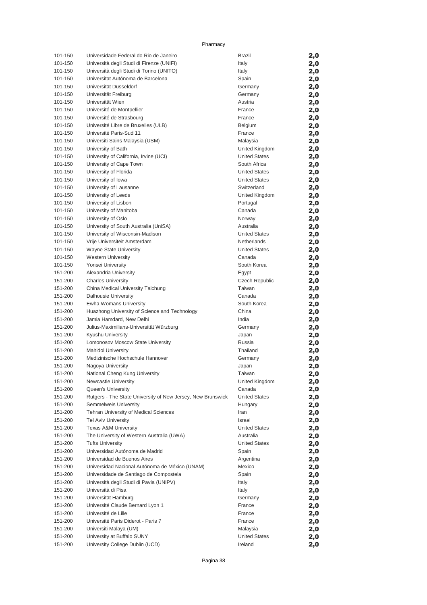| 101-150            | Universidade Federal do Rio de Janeiro                      | <b>Brazil</b>                                | 2,0        |
|--------------------|-------------------------------------------------------------|----------------------------------------------|------------|
| 101-150            | Università degli Studi di Firenze (UNIFI)                   | Italy                                        | 2,0        |
| 101-150            | Università degli Studi di Torino (UNITO)                    | Italy                                        | 2,0        |
| 101-150            | Universitat Autónoma de Barcelona                           | Spain                                        | 2,0        |
| 101-150            | Universität Düsseldorf                                      | Germany                                      | 2,0        |
| 101-150            | Universität Freiburg                                        | Germany                                      | 2,0        |
| 101-150            | Universität Wien                                            | Austria                                      | 2,0        |
| 101-150            | Université de Montpellier                                   | France                                       | 2,0        |
| 101-150            | Université de Strasbourg                                    | France                                       | 2,0        |
| 101-150            | Université Libre de Bruxelles (ULB)                         | Belgium                                      | 2,0        |
| 101-150            | Université Paris-Sud 11                                     | France                                       | 2,0        |
| 101-150            | Universiti Sains Malaysia (USM)                             | Malaysia                                     | 2,0        |
| 101-150            | University of Bath                                          | United Kingdom                               | 2,0        |
| 101-150            | University of California, Irvine (UCI)                      | <b>United States</b>                         | 2,0        |
| 101-150            | University of Cape Town                                     | South Africa                                 | 2,0        |
| 101-150<br>101-150 | University of Florida                                       | <b>United States</b><br><b>United States</b> | 2,0        |
| 101-150            | University of Iowa<br>University of Lausanne                | Switzerland                                  | 2,0        |
| 101-150            | University of Leeds                                         | United Kingdom                               | 2,0        |
| 101-150            | University of Lisbon                                        | Portugal                                     | 2,0        |
| 101-150            | University of Manitoba                                      | Canada                                       | 2,0        |
| 101-150            | University of Oslo                                          | Norway                                       | 2,0<br>2,0 |
| 101-150            | University of South Australia (UniSA)                       | Australia                                    | 2,0        |
| 101-150            | University of Wisconsin-Madison                             | <b>United States</b>                         | 2,0        |
| 101-150            | Vrije Universiteit Amsterdam                                | Netherlands                                  | 2,0        |
| 101-150            | Wayne State University                                      | <b>United States</b>                         | 2,0        |
| 101-150            | <b>Western University</b>                                   | Canada                                       | 2,0        |
| 101-150            | <b>Yonsei University</b>                                    | South Korea                                  | 2,0        |
| 151-200            | Alexandria University                                       | Egypt                                        | 2,0        |
| 151-200            | <b>Charles University</b>                                   | <b>Czech Republic</b>                        | 2,0        |
| 151-200            | China Medical University Taichung                           | Taiwan                                       | 2,0        |
| 151-200            | Dalhousie University                                        | Canada                                       | 2,0        |
| 151-200            | Ewha Womans University                                      | South Korea                                  | 2,0        |
| 151-200            | Huazhong University of Science and Technology               | China                                        | 2,0        |
| 151-200            | Jamia Hamdard, New Delhi                                    | India                                        | 2,0        |
| 151-200            | Julius-Maximilians-Universität Würzburg                     | Germany                                      | 2,0        |
| 151-200            | Kyushu University                                           | Japan                                        | 2,0        |
| 151-200            | Lomonosov Moscow State University                           | Russia                                       | 2,0        |
| 151-200            | <b>Mahidol University</b>                                   | Thailand                                     | 2,0        |
| 151-200            | Medizinische Hochschule Hannover                            | Germany                                      | 2,0        |
| 151-200            | Nagoya University                                           | Japan                                        | 2,0        |
| 151-200            | National Cheng Kung University                              | Taiwan                                       | 2,0        |
| 151-200            | Newcastle University                                        | United Kingdom                               | 2,0        |
| 151-200            | Queen's University                                          | Canada                                       | 2,0        |
| 151-200            | Rutgers - The State University of New Jersey, New Brunswick | <b>United States</b>                         | 2,0        |
| 151-200            | Semmelweis University                                       | Hungary                                      | 2,0        |
| 151-200            | Tehran University of Medical Sciences                       | Iran                                         | 2,0        |
| 151-200            | <b>Tel Aviv University</b>                                  | Israel                                       | 2,0        |
| 151-200            | <b>Texas A&amp;M University</b>                             | <b>United States</b>                         | 2,0        |
| 151-200            | The University of Western Australia (UWA)                   | Australia                                    | 2,0        |
| 151-200            | <b>Tufts University</b>                                     | <b>United States</b>                         | 2,0        |
| 151-200            | Universidad Autónoma de Madrid                              | Spain                                        | 2,0        |
| 151-200            | Universidad de Buenos Aires                                 | Argentina                                    | 2,0        |
| 151-200            | Universidad Nacional Autónoma de México (UNAM)              | Mexico                                       | 2,0        |
| 151-200            | Universidade de Santiago de Compostela                      | Spain                                        | 2,0        |
| 151-200            | Università degli Studi di Pavia (UNIPV)                     | Italy                                        | 2,0        |
| 151-200            | Università di Pisa                                          | Italy                                        | 2,0        |
| 151-200<br>151-200 | Universität Hamburg<br>Université Claude Bernard Lyon 1     | Germany<br>France                            | 2,0        |
| 151-200            | Université de Lille                                         | France                                       | 2,0        |
| 151-200            | Université Paris Diderot - Paris 7                          | France                                       | 2,0        |
| 151-200            | Universiti Malaya (UM)                                      | Malaysia                                     | 2,0<br>2,0 |
| 151-200            | University at Buffalo SUNY                                  | <b>United States</b>                         | 2,0        |
| 151-200            | University College Dublin (UCD)                             | Ireland                                      | 2,0        |
|                    |                                                             |                                              |            |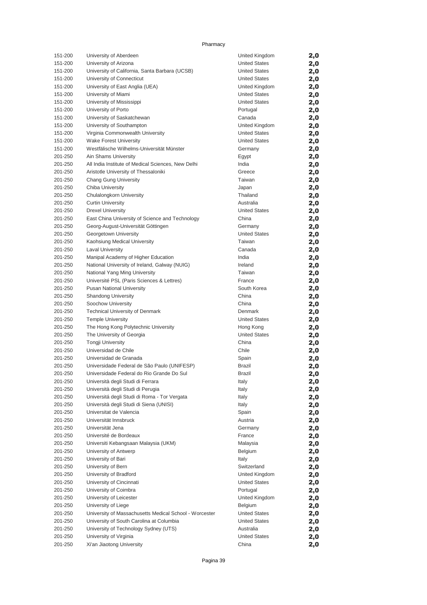| 151-200            | University of Aberdeen                                         | United Kingdom        | 2,0        |
|--------------------|----------------------------------------------------------------|-----------------------|------------|
| 151-200            | University of Arizona                                          | <b>United States</b>  | 2,0        |
| 151-200            | University of California, Santa Barbara (UCSB)                 | <b>United States</b>  | 2,0        |
| 151-200            | University of Connecticut                                      | <b>United States</b>  | 2,0        |
| 151-200            | University of East Anglia (UEA)                                | United Kingdom        | 2,0        |
| 151-200            | University of Miami                                            | <b>United States</b>  | 2,0        |
| 151-200            | University of Mississippi                                      | <b>United States</b>  | 2,0        |
| 151-200            | University of Porto                                            | Portugal              | 2,0        |
| 151-200            | University of Saskatchewan                                     | Canada                | 2,0        |
| 151-200            | University of Southampton                                      | United Kingdom        | 2,0        |
| 151-200            | Virginia Commonwealth University                               | <b>United States</b>  | 2,0        |
| 151-200            | <b>Wake Forest University</b>                                  | <b>United States</b>  | 2,0        |
| 151-200            | Westfälische Wilhelms-Universität Münster                      | Germany               | 2,0        |
| 201-250            | Ain Shams University                                           | Egypt                 | 2,0        |
| 201-250            | All India Institute of Medical Sciences, New Delhi             | India                 | 2,0        |
| 201-250            | Aristotle University of Thessaloniki                           | Greece                | 2,0        |
| 201-250            | Chang Gung University                                          | Taiwan                | 2,0        |
| 201-250            | Chiba University                                               | Japan                 | 2,0        |
| 201-250            | Chulalongkorn University                                       | Thailand              | 2,0        |
| 201-250            | <b>Curtin University</b>                                       | Australia             | 2,0        |
| 201-250            | <b>Drexel University</b>                                       | <b>United States</b>  | 2,0        |
| 201-250            | East China University of Science and Technology                | China                 | 2,0        |
| 201-250            | Georg-August-Universität Göttingen                             | Germany               | 2,0        |
| 201-250            | Georgetown University                                          | <b>United States</b>  | 2,0        |
| 201-250            | Kaohsiung Medical University                                   | Taiwan                | 2,0        |
| 201-250            | <b>Laval University</b>                                        | Canada                | 2,0        |
| 201-250            | Manipal Academy of Higher Education                            | India                 | 2,0        |
| 201-250            | National University of Ireland, Galway (NUIG)                  | Ireland               | 2,0        |
| 201-250            | National Yang Ming University                                  | Taiwan                | 2,0        |
| 201-250<br>201-250 | Université PSL (Paris Sciences & Lettres)                      | France<br>South Korea | 2,0        |
| 201-250            | <b>Pusan National University</b><br><b>Shandong University</b> | China                 | 2,0        |
| 201-250            | Soochow University                                             | China                 | 2,0        |
| 201-250            | <b>Technical University of Denmark</b>                         | Denmark               | 2,0        |
| 201-250            | <b>Temple University</b>                                       | <b>United States</b>  | 2,0        |
| 201-250            | The Hong Kong Polytechnic University                           | Hong Kong             | 2,0<br>2,0 |
| 201-250            | The University of Georgia                                      | <b>United States</b>  | 2,0        |
| 201-250            | <b>Tongji University</b>                                       | China                 | 2,0        |
| 201-250            | Universidad de Chile                                           | Chile                 | 2,0        |
| 201-250            | Universidad de Granada                                         | Spain                 | 2,0        |
| 201-250            | Universidade Federal de São Paulo (UNIFESP)                    | <b>Brazil</b>         | 2,0        |
| 201-250            | Universidade Federal do Rio Grande Do Sul                      | Brazil                | 2,0        |
| 201-250            | Università degli Studi di Ferrara                              | Italy                 | 2,0        |
| 201-250            | Università degli Studi di Perugia                              | Italy                 | 2,0        |
| 201-250            | Universitá degli Studi di Roma - Tor Vergata                   | Italy                 | 2,0        |
| 201-250            | Università degli Studi di Siena (UNISI)                        | Italy                 | 2,0        |
| 201-250            | Universitat de Valencia                                        | Spain                 | 2,0        |
| 201-250            | Universität Innsbruck                                          | Austria               | 2,0        |
| 201-250            | Universität Jena                                               | Germany               | 2,0        |
| 201-250            | Université de Bordeaux                                         | France                | 2,0        |
| 201-250            | Universiti Kebangsaan Malaysia (UKM)                           | Malaysia              | 2,0        |
| 201-250            | University of Antwerp                                          | Belgium               | 2,0        |
| 201-250            | University of Bari                                             | Italy                 | 2,0        |
| 201-250            | University of Bern                                             | Switzerland           | 2,0        |
| 201-250            | University of Bradford                                         | United Kingdom        | 2,0        |
| 201-250            | University of Cincinnati                                       | <b>United States</b>  | 2,0        |
| 201-250            | University of Coimbra                                          | Portugal              | 2,0        |
| 201-250            | University of Leicester                                        | United Kingdom        | 2,0        |
| 201-250            | University of Liege                                            | Belgium               | 2,0        |
| 201-250            | University of Massachusetts Medical School - Worcester         | <b>United States</b>  | 2,0        |
| 201-250            | University of South Carolina at Columbia                       | <b>United States</b>  | 2,0        |
| 201-250            | University of Technology Sydney (UTS)                          | Australia             | 2,0        |
| 201-250            | University of Virginia                                         | <b>United States</b>  | 2,0        |
| 201-250            | Xi'an Jiaotong University                                      | China                 | 2,0        |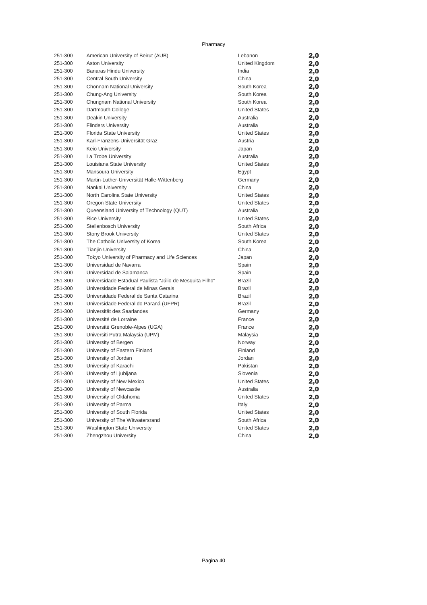| 251-300 | American University of Beirut (AUB)                      | Lebanon              | 2,0 |
|---------|----------------------------------------------------------|----------------------|-----|
| 251-300 | <b>Aston University</b>                                  | United Kingdom       | 2,0 |
| 251-300 | <b>Banaras Hindu University</b>                          | India                | 2,0 |
| 251-300 | Central South University                                 | China                | 2,0 |
| 251-300 | Chonnam National University                              | South Korea          | 2,0 |
| 251-300 | Chung-Ang University                                     | South Korea          | 2,0 |
| 251-300 | Chungnam National University                             | South Korea          | 2,0 |
| 251-300 | Dartmouth College                                        | <b>United States</b> | 2,0 |
| 251-300 | Deakin University                                        | Australia            | 2,0 |
| 251-300 | <b>Flinders University</b>                               | Australia            | 2,0 |
| 251-300 | Florida State University                                 | <b>United States</b> | 2,0 |
| 251-300 | Karl-Franzens-Universität Graz                           | Austria              | 2,0 |
| 251-300 | Keio University                                          | Japan                | 2,0 |
| 251-300 | La Trobe University                                      | Australia            | 2,0 |
| 251-300 | Louisiana State University                               | <b>United States</b> | 2,0 |
| 251-300 | <b>Mansoura University</b>                               | Egypt                | 2,0 |
| 251-300 | Martin-Luther-Universität Halle-Wittenberg               | Germany              | 2,0 |
| 251-300 | Nankai University                                        | China                | 2,0 |
| 251-300 | North Carolina State University                          | <b>United States</b> | 2,0 |
| 251-300 | Oregon State University                                  | <b>United States</b> | 2,0 |
| 251-300 | Queensland University of Technology (QUT)                | Australia            | 2,0 |
| 251-300 | <b>Rice University</b>                                   | <b>United States</b> | 2,0 |
| 251-300 | Stellenbosch University                                  | South Africa         | 2,0 |
| 251-300 | <b>Stony Brook University</b>                            | <b>United States</b> | 2,0 |
| 251-300 | The Catholic University of Korea                         | South Korea          | 2,0 |
| 251-300 | <b>Tianjin University</b>                                | China                | 2,0 |
| 251-300 | Tokyo University of Pharmacy and Life Sciences           | Japan                | 2,0 |
| 251-300 | Universidad de Navarra                                   | Spain                | 2,0 |
| 251-300 | Universidad de Salamanca                                 | Spain                | 2,0 |
| 251-300 | Universidade Estadual Paulista "Júlio de Mesquita Filho" | <b>Brazil</b>        | 2,0 |
| 251-300 | Universidade Federal de Minas Gerais                     | <b>Brazil</b>        | 2,0 |
| 251-300 | Universidade Federal de Santa Catarina                   | <b>Brazil</b>        | 2,0 |
| 251-300 | Universidade Federal do Paraná (UFPR)                    | <b>Brazil</b>        | 2,0 |
| 251-300 | Universität des Saarlandes                               | Germany              | 2,0 |
| 251-300 | Université de Lorraine                                   | France               | 2,0 |
| 251-300 | Université Grenoble-Alpes (UGA)                          | France               | 2,0 |
| 251-300 | Universiti Putra Malaysia (UPM)                          | Malaysia             | 2,0 |
| 251-300 | University of Bergen                                     | Norway               | 2,0 |
| 251-300 | University of Eastern Finland                            | Finland              | 2,0 |
| 251-300 | University of Jordan                                     | Jordan               | 2,0 |
| 251-300 | University of Karachi                                    | Pakistan             | 2,0 |
| 251-300 | University of Ljubljana                                  | Slovenia             | 2,0 |
| 251-300 | University of New Mexico                                 | United States        | 2,0 |
| 251-300 | University of Newcastle                                  | Australia            | 2,0 |
| 251-300 | University of Oklahoma                                   | <b>United States</b> | 2,0 |
| 251-300 | University of Parma                                      | Italy                | 2,0 |
| 251-300 | University of South Florida                              | <b>United States</b> | 2,0 |
| 251-300 | University of The Witwatersrand                          | South Africa         | 2,0 |
| 251-300 | Washington State University                              | <b>United States</b> | 2,0 |
| 251-300 | Zhengzhou University                                     | China                | 2,0 |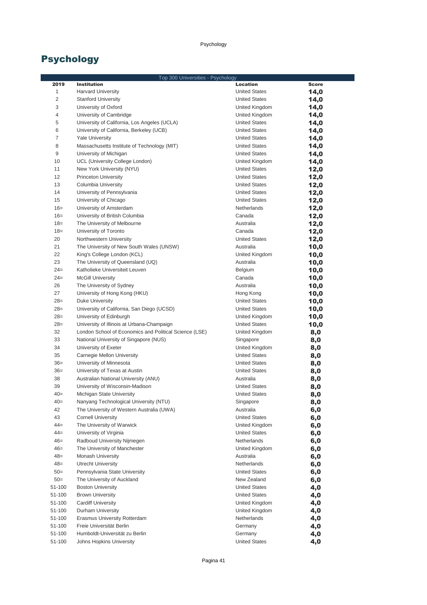|                  | Top 300 Universities - Psychology                      |                                              |              |
|------------------|--------------------------------------------------------|----------------------------------------------|--------------|
| 2019             | <b>Institution</b>                                     | <b>Location</b>                              | <b>Score</b> |
| 1                | <b>Harvard University</b>                              | <b>United States</b>                         | 14,0         |
| 2                | <b>Stanford University</b>                             | <b>United States</b>                         | 14,0         |
| 3                | University of Oxford                                   | United Kingdom                               | 14,0         |
| 4                | University of Cambridge                                | United Kingdom                               | 14,0         |
| 5                | University of California, Los Angeles (UCLA)           | <b>United States</b>                         | 14,0         |
| 6                | University of California, Berkeley (UCB)               | <b>United States</b>                         | 14,0         |
| 7                | <b>Yale University</b>                                 | <b>United States</b>                         | 14,0         |
| 8                | Massachusetts Institute of Technology (MIT)            | <b>United States</b>                         | 14,0         |
| 9                | University of Michigan                                 | <b>United States</b>                         | 14,0         |
| 10               | UCL (University College London)                        | United Kingdom                               | 14,0         |
| 11               | New York University (NYU)                              | <b>United States</b>                         | 12,0         |
| 12               | <b>Princeton University</b>                            | <b>United States</b>                         | 12,0         |
| 13               | Columbia University                                    | <b>United States</b>                         | 12,0         |
| 14               | University of Pennsylvania                             | <b>United States</b>                         | 12,0         |
| 15               | University of Chicago                                  | <b>United States</b>                         | 12,0         |
| $16=$            | University of Amsterdam                                | Netherlands                                  | 12,0         |
| $16=$            | University of British Columbia                         | Canada                                       | 12,0         |
| $18=$            | The University of Melbourne                            | Australia                                    | 12,0         |
| $18=$            | University of Toronto                                  | Canada                                       | 12,0         |
| 20               | Northwestern University                                | <b>United States</b>                         | 12,0         |
| 21               | The University of New South Wales (UNSW)               | Australia                                    | 10,0         |
| 22               | King's College London (KCL)                            | United Kingdom                               | 10,0         |
| 23               | The University of Queensland (UQ)                      | Australia                                    | 10,0         |
| $24=$            | Katholieke Universiteit Leuven                         | Belgium                                      | 10,0         |
| $24=$            | <b>McGill University</b>                               | Canada                                       | 10,0         |
| 26               | The University of Sydney                               | Australia                                    | 10,0         |
| 27               | University of Hong Kong (HKU)                          | Hong Kong                                    | 10,0         |
| $28=$            | <b>Duke University</b>                                 | <b>United States</b>                         | 10,0         |
| $28=$            | University of California, San Diego (UCSD)             | <b>United States</b>                         | 10,0         |
| $28=$            | University of Edinburgh                                | United Kingdom                               | 10,0         |
| $28=$            | University of Illinois at Urbana-Champaign             | <b>United States</b>                         | 10,0         |
| 32               | London School of Economics and Political Science (LSE) | United Kingdom                               | 8,0          |
| 33               | National University of Singapore (NUS)                 | Singapore                                    | 8,0          |
| 34               | University of Exeter                                   | United Kingdom                               | 8,0          |
| 35               | Carnegie Mellon University                             | <b>United States</b>                         | 8,0          |
| $36=$            | University of Minnesota                                | <b>United States</b>                         | 8,0          |
| $36=$            | University of Texas at Austin                          | <b>United States</b>                         | 8,0          |
| 38               | Australian National University (ANU)                   | Australia                                    | 8,0          |
| 39               | University of Wisconsin-Madison                        | <b>United States</b>                         | 8,0          |
| 40=              | Michigan State University                              | <b>United States</b>                         | 8,0          |
| $40=$            | Nanyang Technological University (NTU)                 | Singapore                                    | 8,0          |
| 42               | The University of Western Australia (UWA)              | Australia                                    | 6,0          |
| 43               | <b>Cornell University</b>                              | <b>United States</b>                         | 6,0          |
| $44 =$           | The University of Warwick                              | United Kingdom                               | 6,0          |
| $44 =$           | University of Virginia                                 | <b>United States</b>                         | 6,0          |
| $46=$            | Radboud University Nijmegen                            | Netherlands                                  | 6,0          |
| $46=$            | The University of Manchester                           | United Kingdom                               | 6,0          |
| $48=$            | Monash University                                      | Australia                                    | 6,0          |
| $48=$            | <b>Utrecht University</b>                              | Netherlands                                  | 6,0          |
| $50=$            | Pennsylvania State University                          | <b>United States</b>                         | 6,0          |
| $50=$            | The University of Auckland                             | New Zealand                                  | 6,0          |
| 51-100<br>51-100 | <b>Boston University</b><br><b>Brown University</b>    | <b>United States</b><br><b>United States</b> | 4,0          |
| 51-100           | <b>Cardiff University</b>                              | United Kingdom                               | 4,0          |
| 51-100           | Durham University                                      | United Kingdom                               | 4,0          |
| 51-100           | Erasmus University Rotterdam                           | Netherlands                                  | 4,0          |
| 51-100           | Freie Universität Berlin                               | Germany                                      | 4,0          |
| 51-100           | Humboldt-Universität zu Berlin                         | Germany                                      | 4,0          |
| 51-100           | Johns Hopkins University                               | <b>United States</b>                         | 4,0<br>4,0   |
|                  |                                                        |                                              |              |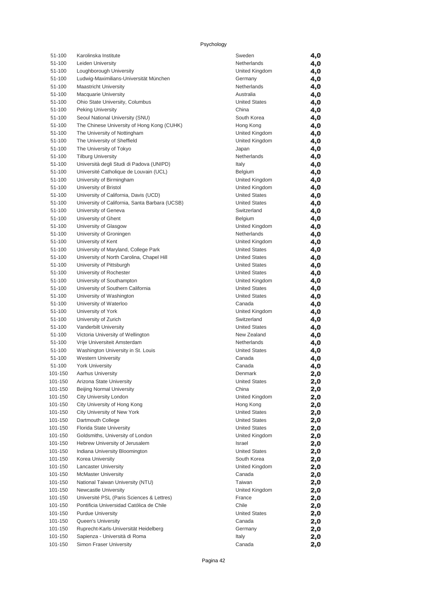| 51-100             | Karolinska Institute                                                   | Sweden                                       | 4,0        |
|--------------------|------------------------------------------------------------------------|----------------------------------------------|------------|
| 51-100             | Leiden University                                                      | Netherlands                                  | 4,0        |
| 51-100             | Loughborough University                                                | United Kingdom                               | 4,0        |
| 51-100             | Ludwig-Maximilians-Universität München                                 | Germany                                      | 4,0        |
| 51-100             | <b>Maastricht University</b>                                           | Netherlands                                  | 4,0        |
| 51-100             | <b>Macquarie University</b>                                            | Australia                                    | 4,0        |
| 51-100             | Ohio State University, Columbus                                        | <b>United States</b>                         | 4,0        |
| 51-100             | <b>Peking University</b>                                               | China                                        | 4,0        |
| 51-100             | Seoul National University (SNU)                                        | South Korea                                  | 4,0        |
| 51-100             | The Chinese University of Hong Kong (CUHK)                             | Hong Kong                                    | 4,0        |
| 51-100             | The University of Nottingham                                           | United Kingdom                               | 4,0        |
| 51-100             | The University of Sheffield                                            | United Kingdom                               | 4,0        |
| 51-100             | The University of Tokyo                                                | Japan                                        | 4,0        |
| 51-100             | <b>Tilburg University</b>                                              | Netherlands                                  | 4,0        |
| 51-100             | Università degli Studi di Padova (UNIPD)                               | Italy                                        | 4,0        |
| 51-100             | Université Catholique de Louvain (UCL)                                 | Belgium                                      | 4,0        |
| 51-100             | University of Birmingham                                               | United Kingdom                               | 4,0        |
| 51-100             | University of Bristol                                                  | United Kingdom<br><b>United States</b>       | 4,0        |
| 51-100<br>51-100   | University of California, Davis (UCD)                                  | <b>United States</b>                         | 4,0        |
| 51-100             | University of California, Santa Barbara (UCSB)<br>University of Geneva | Switzerland                                  | 4,0        |
| 51-100             | University of Ghent                                                    | Belgium                                      | 4,0        |
| 51-100             | University of Glasgow                                                  | United Kingdom                               | 4,0<br>4,0 |
| 51-100             | University of Groningen                                                | Netherlands                                  | 4,0        |
| 51-100             | University of Kent                                                     | United Kingdom                               | 4,0        |
| 51-100             | University of Maryland, College Park                                   | <b>United States</b>                         | 4,0        |
| 51-100             | University of North Carolina, Chapel Hill                              | <b>United States</b>                         | 4,0        |
| 51-100             | University of Pittsburgh                                               | <b>United States</b>                         | 4,0        |
| 51-100             | University of Rochester                                                | <b>United States</b>                         | 4,0        |
| 51-100             | University of Southampton                                              | United Kingdom                               | 4,0        |
| 51-100             | University of Southern California                                      | <b>United States</b>                         | 4,0        |
| 51-100             | University of Washington                                               | <b>United States</b>                         | 4,0        |
| 51-100             | University of Waterloo                                                 | Canada                                       | 4,0        |
| 51-100             | University of York                                                     | United Kingdom                               | 4,0        |
| 51-100             | University of Zurich                                                   | Switzerland                                  | 4,0        |
| 51-100             | Vanderbilt University                                                  | <b>United States</b>                         | 4,0        |
| 51-100             | Victoria University of Wellington                                      | New Zealand                                  | 4,0        |
| 51-100             | Vrije Universiteit Amsterdam                                           | Netherlands                                  | 4,0        |
| 51-100             | Washington University in St. Louis                                     | <b>United States</b>                         | 4,0        |
| 51-100             | <b>Western University</b>                                              | Canada                                       | 4,0        |
| 51-100             | <b>York University</b>                                                 | Canada                                       | 4,0        |
| 101-150            | Aarhus University                                                      | Denmark                                      | 2,0        |
| 101-150            | Arizona State University                                               | United States                                | 2,0        |
| 101-150            | <b>Beijing Normal University</b>                                       | China                                        | 2,0        |
| 101-150            | City University London                                                 | United Kingdom                               | 2,0        |
| 101-150            | City University of Hong Kong                                           | Hong Kong                                    | 2,0        |
| 101-150<br>101-150 | City University of New York<br>Dartmouth College                       | <b>United States</b><br><b>United States</b> | 2,0        |
| 101-150            | Florida State University                                               | <b>United States</b>                         | 2,0        |
| 101-150            | Goldsmiths, University of London                                       | United Kingdom                               | 2,0<br>2,0 |
| 101-150            | Hebrew University of Jerusalem                                         | Israel                                       | 2,0        |
| 101-150            | Indiana University Bloomington                                         | <b>United States</b>                         | 2,0        |
| 101-150            | Korea University                                                       | South Korea                                  | 2,0        |
| 101-150            | Lancaster University                                                   | United Kingdom                               | 2,0        |
| 101-150            | <b>McMaster University</b>                                             | Canada                                       | 2,0        |
| 101-150            | National Taiwan University (NTU)                                       | Taiwan                                       | 2,0        |
| 101-150            | Newcastle University                                                   | United Kingdom                               | 2,0        |
| 101-150            | Université PSL (Paris Sciences & Lettres)                              | France                                       | 2,0        |
| 101-150            | Pontificia Universidad Católica de Chile                               | Chile                                        | 2,0        |
| 101-150            | <b>Purdue University</b>                                               | <b>United States</b>                         | 2,0        |
| 101-150            | Queen's University                                                     | Canada                                       | 2,0        |
| 101-150            | Ruprecht-Karls-Universität Heidelberg                                  | Germany                                      | 2,0        |
| 101-150            | Sapienza - Università di Roma                                          | Italy                                        | 2,0        |
| 101-150            | Simon Fraser University                                                | Canada                                       | 2,0        |

| Sweden               | 4,0 |
|----------------------|-----|
|                      |     |
| Netherlands          | 4,0 |
| United Kingdom       | 4,0 |
| Germany              | 4,0 |
| Netherlands          | 4,0 |
| Australia            |     |
|                      | 4,0 |
| <b>United States</b> | 4,0 |
| China                | 4,0 |
| South Korea          | 4,0 |
| Hong Kong            | 4,0 |
| United Kingdom       |     |
|                      | 4,0 |
| United Kingdom       | 4,0 |
| Japan                | 4,0 |
| Netherlands          | 4,0 |
| Italy                | 4,0 |
| Belgium              | 4,0 |
|                      |     |
| United Kingdom       | 4,0 |
| United Kingdom       | 4,0 |
| <b>United States</b> | 4,0 |
| <b>United States</b> | 4,0 |
| Switzerland          | 4,0 |
|                      |     |
| Belgium              | 4,0 |
| United Kingdom       | 4,0 |
| Netherlands          | 4,0 |
| United Kingdom       | 4,0 |
| <b>United States</b> | 4,0 |
|                      |     |
| <b>United States</b> | 4,0 |
| <b>United States</b> | 4,0 |
| <b>United States</b> | 4,0 |
| United Kingdom       | 4,0 |
| <b>United States</b> | 4,0 |
|                      |     |
| <b>United States</b> | 4,0 |
| Canada               | 4,0 |
| United Kingdom       | 4,0 |
| Switzerland          | 4,0 |
| <b>United States</b> | 4,0 |
|                      |     |
| New Zealand          | 4,0 |
| Netherlands          | 4,0 |
| <b>United States</b> | 4,0 |
| Canada               | 4,0 |
| Canada               | 4,0 |
|                      |     |
| Denmark              | 2,0 |
| <b>United States</b> | 2,0 |
| China                | 2,0 |
| United Kingdom       | 2,0 |
| Hong Kong            | 2,0 |
|                      |     |
| <b>United States</b> | 2,0 |
| <b>United States</b> | 2,0 |
| <b>United States</b> | 2,0 |
| United Kingdom       | 2,0 |
| Israel               | 2,0 |
|                      |     |
| <b>United States</b> | 2,0 |
| South Korea          | 2,0 |
| United Kingdom       | 2,0 |
| Canada               | 2,0 |
| Taiwan               | 2,0 |
|                      |     |
| United Kingdom       | 2,0 |
| France               | 2,0 |
| Chile                | 2,0 |
| <b>United States</b> | 2,0 |
| Canada               | 2,0 |
| Germany              |     |
|                      | 2,0 |
| Italy                | 2,0 |
| Canada               | 2.0 |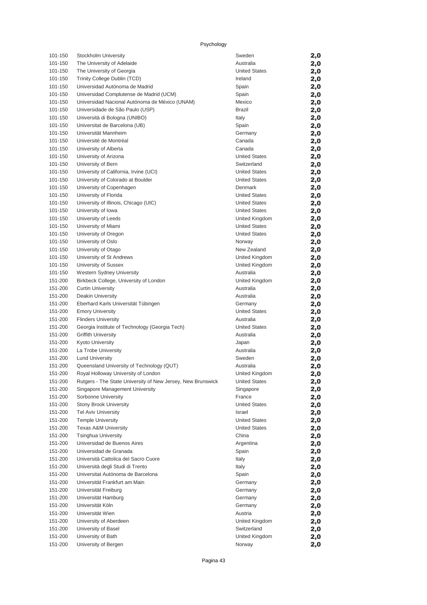| 101-150            | Stockholm University                                        | Sweden                                       | 2,0        |
|--------------------|-------------------------------------------------------------|----------------------------------------------|------------|
| 101-150            | The University of Adelaide                                  | Australia                                    | 2,0        |
| 101-150            | The University of Georgia                                   | <b>United States</b>                         | 2,0        |
| 101-150            | Trinity College Dublin (TCD)                                | Ireland                                      | 2,0        |
| 101-150            | Universidad Autónoma de Madrid                              | Spain                                        | 2,0        |
| 101-150            | Universidad Complutense de Madrid (UCM)                     | Spain                                        | 2,0        |
| 101-150            | Universidad Nacional Autónoma de México (UNAM)              | Mexico                                       | 2,0        |
| 101-150            | Universidade de São Paulo (USP)                             | Brazil                                       | 2,0        |
| 101-150            | Università di Bologna (UNIBO)                               | Italy                                        | 2,0        |
| 101-150            | Universitat de Barcelona (UB)                               | Spain                                        | 2,0        |
| 101-150            | Universität Mannheim                                        | Germany                                      | 2,0        |
| 101-150            | Université de Montréal                                      | Canada                                       | 2,0        |
| 101-150            | University of Alberta                                       | Canada                                       |            |
| 101-150            | University of Arizona                                       | <b>United States</b>                         | 2,0<br>2,0 |
| 101-150            | University of Bern                                          | Switzerland                                  |            |
| 101-150            | University of California, Irvine (UCI)                      | <b>United States</b>                         | 2,0        |
| 101-150            | University of Colorado at Boulder                           | <b>United States</b>                         | 2,0        |
| 101-150            |                                                             | Denmark                                      | 2,0        |
| 101-150            | University of Copenhagen                                    | <b>United States</b>                         | 2,0        |
|                    | University of Florida                                       | <b>United States</b>                         | 2,0        |
| 101-150<br>101-150 | University of Illinois, Chicago (UIC)                       | <b>United States</b>                         | 2,0        |
|                    | University of Iowa<br>University of Leeds                   | United Kingdom                               | 2,0        |
| 101-150            | University of Miami                                         |                                              | 2,0        |
| 101-150<br>101-150 |                                                             | <b>United States</b><br><b>United States</b> | 2,0        |
|                    | University of Oregon                                        |                                              | 2,0        |
| 101-150            | University of Oslo                                          | Norway                                       | 2,0        |
| 101-150            | University of Otago                                         | New Zealand                                  | 2,0        |
| 101-150            | University of St Andrews                                    | United Kingdom                               | 2,0        |
| 101-150            | University of Sussex                                        | United Kingdom                               | 2,0        |
| 101-150            | <b>Western Sydney University</b>                            | Australia                                    | 2,0        |
| 151-200            | Birkbeck College, University of London                      | United Kingdom                               | 2,0        |
| 151-200            | <b>Curtin University</b>                                    | Australia                                    | 2,0        |
| 151-200            | Deakin University                                           | Australia                                    | 2,0        |
| 151-200            | Eberhard Karls Universität Tübingen                         | Germany                                      | 2,0        |
| 151-200            | <b>Emory University</b>                                     | <b>United States</b>                         | 2,0        |
| 151-200            | <b>Flinders University</b>                                  | Australia                                    | 2,0        |
| 151-200            | Georgia Institute of Technology (Georgia Tech)              | <b>United States</b>                         | 2,0        |
| 151-200            | <b>Griffith University</b>                                  | Australia                                    | 2,0        |
| 151-200            | Kyoto University                                            | Japan                                        | 2,0        |
| 151-200            | La Trobe University                                         | Australia                                    | 2,0        |
| 151-200            | <b>Lund University</b>                                      | Sweden                                       | 2,0        |
| 151-200            | Queensland University of Technology (QUT)                   | Australia                                    | 2,0        |
| 151-200            | Royal Holloway University of London                         | United Kingdom                               | 2,0        |
| 151-200            | Rutgers - The State University of New Jersey, New Brunswick | <b>United States</b>                         | 2,0        |
| 151-200            | Singapore Management University                             | Singapore                                    | 2,0        |
| 151-200            | Sorbonne University                                         | France                                       | 2,0        |
| 151-200            | <b>Stony Brook University</b>                               | <b>United States</b>                         | 2,0        |
| 151-200            | Tel Aviv University                                         | <b>Israel</b>                                | 2,0        |
| 151-200            | <b>Temple University</b>                                    | <b>United States</b>                         | 2,0        |
| 151-200            | <b>Texas A&amp;M University</b>                             | <b>United States</b>                         | 2,0        |
| 151-200            | <b>Tsinghua University</b>                                  | China                                        | 2,0        |
| 151-200            | Universidad de Buenos Aires                                 | Argentina                                    | 2,0        |
| 151-200            | Universidad de Granada                                      | Spain                                        | 2,0        |
| 151-200            | Università Cattolica del Sacro Cuore                        | Italy                                        | 2,0        |
| 151-200            | Università degli Studi di Trento                            | Italy                                        | 2,0        |
| 151-200            | Universitat Autónoma de Barcelona                           | Spain                                        | 2,0        |
| 151-200            | Universität Frankfurt am Main                               | Germany                                      | 2,0        |
| 151-200            | Universität Freiburg                                        | Germany                                      | 2,0        |
| 151-200            | Universität Hamburg                                         | Germany                                      | 2,0        |
| 151-200            | Universität Köln                                            | Germany                                      | 2,0        |
| 151-200            | Universität Wien                                            | Austria                                      | 2,0        |
| 151-200            | University of Aberdeen                                      | United Kingdom                               | 2,0        |
| 151-200            | University of Basel                                         | Switzerland                                  | 2,0        |
| 151-200            | University of Bath                                          | United Kingdom                               | 2,0        |
| 151-200            | University of Bergen                                        | Norway                                       | 2,0        |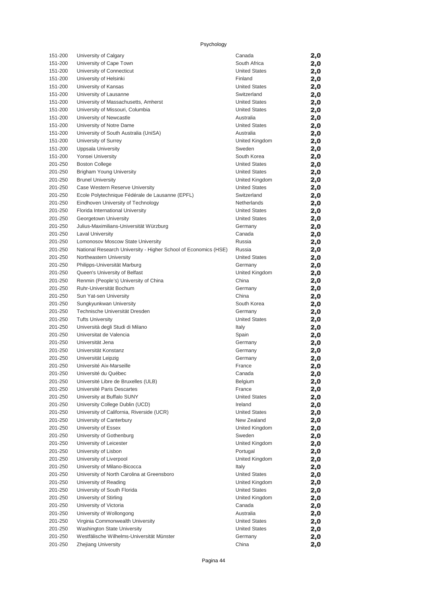| 151-200            | University of Calgary                                           | Canada                                       | 2,0        |
|--------------------|-----------------------------------------------------------------|----------------------------------------------|------------|
| 151-200            | University of Cape Town                                         | South Africa                                 | 2,0        |
| 151-200            | University of Connecticut                                       | <b>United States</b>                         | 2,0        |
| 151-200            | University of Helsinki                                          | Finland                                      | 2,0        |
| 151-200            | University of Kansas                                            | <b>United States</b>                         | 2,0        |
| 151-200            | University of Lausanne                                          | Switzerland                                  | 2,0        |
| 151-200            | University of Massachusetts, Amherst                            | <b>United States</b>                         | 2,0        |
| 151-200            | University of Missouri, Columbia                                | <b>United States</b>                         | 2,0        |
| 151-200            | University of Newcastle                                         | Australia                                    | 2,0        |
| 151-200            | University of Notre Dame                                        | <b>United States</b>                         | 2,0        |
| 151-200            | University of South Australia (UniSA)                           | Australia                                    | 2,0        |
| 151-200            | University of Surrey                                            | United Kingdom                               | 2,0        |
| 151-200            | Uppsala University                                              | Sweden                                       | 2,0        |
| 151-200            | Yonsei University                                               | South Korea                                  | 2,0        |
| 201-250<br>201-250 | <b>Boston College</b><br>Brigham Young University               | <b>United States</b><br><b>United States</b> | 2,0        |
| 201-250            | <b>Brunel University</b>                                        | United Kingdom                               | 2,0        |
| 201-250            | Case Western Reserve University                                 | <b>United States</b>                         | 2,0        |
| 201-250            | Ecole Polytechnique Fédérale de Lausanne (EPFL)                 | Switzerland                                  | 2,0<br>2,0 |
| 201-250            | Eindhoven University of Technology                              | Netherlands                                  | 2,0        |
| 201-250            | Florida International University                                | <b>United States</b>                         | 2,0        |
| 201-250            | Georgetown University                                           | <b>United States</b>                         | 2,0        |
| 201-250            | Julius-Maximilians-Universität Würzburg                         | Germany                                      | 2,0        |
| 201-250            | <b>Laval University</b>                                         | Canada                                       | 2,0        |
| 201-250            | Lomonosov Moscow State University                               | Russia                                       | 2,0        |
| 201-250            | National Research University - Higher School of Economics (HSE) | Russia                                       | 2,0        |
| 201-250            | Northeastern University                                         | <b>United States</b>                         | 2,0        |
| 201-250            | Philipps-Universität Marburg                                    | Germany                                      | 2,0        |
| 201-250            | Queen's University of Belfast                                   | United Kingdom                               | 2,0        |
| 201-250            | Renmin (People's) University of China                           | China                                        | 2,0        |
| 201-250            | Ruhr-Universität Bochum                                         | Germany                                      | 2,0        |
| 201-250            | Sun Yat-sen University                                          | China                                        | 2,0        |
| 201-250            | Sungkyunkwan University                                         | South Korea                                  | 2,0        |
| 201-250            | Technische Universität Dresden                                  | Germany                                      | 2,0        |
| 201-250            | <b>Tufts University</b>                                         | <b>United States</b>                         | 2,0        |
| 201-250            | Università degli Studi di Milano                                | Italy                                        | 2,0        |
| 201-250            | Universitat de Valencia                                         | Spain                                        | 2,0        |
| 201-250            | Universität Jena                                                | Germany                                      | 2,0        |
| 201-250            | Universität Konstanz                                            | Germany                                      | 2,0        |
| 201-250            | Universität Leipzig                                             | Germany                                      | 2,0        |
| 201-250            | Université Aix-Marseille                                        | France                                       | 2,0        |
|                    | 201-250 Université du Québec                                    | Canada                                       | 2,0        |
| 201-250<br>201-250 | Université Libre de Bruxelles (ULB)                             | Belgium                                      | 2,0        |
|                    | Université Paris Descartes<br>University at Buffalo SUNY        | France                                       | 2,0        |
| 201-250<br>201-250 | University College Dublin (UCD)                                 | <b>United States</b><br>Ireland              | 2,0        |
| 201-250            | University of California, Riverside (UCR)                       | <b>United States</b>                         | 2,0<br>2,0 |
| 201-250            | University of Canterbury                                        | New Zealand                                  | 2,0        |
| 201-250            | University of Essex                                             | United Kingdom                               | 2,0        |
| 201-250            | University of Gothenburg                                        | Sweden                                       | 2,0        |
| 201-250            | University of Leicester                                         | United Kingdom                               | 2,0        |
| 201-250            | University of Lisbon                                            | Portugal                                     | 2,0        |
| 201-250            | University of Liverpool                                         | United Kingdom                               | 2,0        |
| 201-250            | University of Milano-Bicocca                                    | Italy                                        | 2,0        |
| 201-250            | University of North Carolina at Greensboro                      | <b>United States</b>                         | 2,0        |
| 201-250            | University of Reading                                           | United Kingdom                               | 2,0        |
| 201-250            | University of South Florida                                     | <b>United States</b>                         | 2,0        |
| 201-250            | University of Stirling                                          | United Kingdom                               | 2,0        |
| 201-250            | University of Victoria                                          | Canada                                       | 2,0        |
| 201-250            | University of Wollongong                                        | Australia                                    | 2,0        |
| 201-250            | Virginia Commonwealth University                                | <b>United States</b>                         | 2,0        |
| 201-250            | Washington State University                                     | <b>United States</b>                         | 2,0        |
| 201-250            | Westfälische Wilhelms-Universität Münster                       | Germany                                      | 2,0        |
| 201-250            | <b>Zhejiang University</b>                                      | China                                        | 2,0        |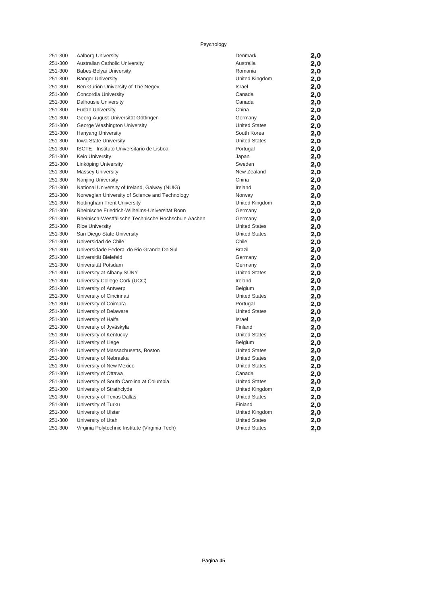| 251-300 | <b>Aalborg University</b>                           | Denmark              | 2,0 |
|---------|-----------------------------------------------------|----------------------|-----|
| 251-300 | Australian Catholic University                      | Australia            | 2,0 |
| 251-300 | Babes-Bolyai University                             | Romania              | 2,0 |
| 251-300 | <b>Bangor University</b>                            | United Kingdom       | 2,0 |
| 251-300 | Ben Gurion University of The Negev                  | Israel               | 2,0 |
| 251-300 | Concordia University                                | Canada               | 2,0 |
| 251-300 | <b>Dalhousie University</b>                         | Canada               | 2,0 |
| 251-300 | <b>Fudan University</b>                             | China                | 2,0 |
| 251-300 | Georg-August-Universität Göttingen                  | Germany              | 2,0 |
| 251-300 | George Washington University                        | <b>United States</b> | 2,0 |
| 251-300 | Hanyang University                                  | South Korea          | 2,0 |
| 251-300 | Iowa State University                               | <b>United States</b> | 2,0 |
| 251-300 | ISCTE - Instituto Universitario de Lisboa           | Portugal             | 2,0 |
| 251-300 | Keio University                                     | Japan                | 2,0 |
| 251-300 | Linköping University                                | Sweden               | 2,0 |
| 251-300 | <b>Massey University</b>                            | New Zealand          | 2,0 |
| 251-300 | <b>Nanjing University</b>                           | China                | 2,0 |
| 251-300 | National University of Ireland, Galway (NUIG)       | Ireland              | 2,0 |
| 251-300 | Norwegian University of Science and Technology      | Norway               | 2,0 |
| 251-300 | Nottingham Trent University                         | United Kingdom       | 2,0 |
| 251-300 | Rheinische Friedrich-Wilhelms-Universität Bonn      | Germany              | 2,0 |
| 251-300 | Rheinisch-Westfälische Technische Hochschule Aachen | Germany              | 2,0 |
| 251-300 | <b>Rice University</b>                              | <b>United States</b> | 2,0 |
| 251-300 | San Diego State University                          | <b>United States</b> | 2,0 |
| 251-300 | Universidad de Chile                                | Chile                | 2,0 |
| 251-300 | Universidade Federal do Rio Grande Do Sul           | <b>Brazil</b>        | 2,0 |
| 251-300 | Universität Bielefeld                               | Germany              | 2,0 |
| 251-300 | Universität Potsdam                                 | Germany              | 2,0 |
| 251-300 | University at Albany SUNY                           | <b>United States</b> | 2,0 |
| 251-300 | University College Cork (UCC)                       | Ireland              | 2,0 |
| 251-300 | University of Antwerp                               | <b>Belgium</b>       | 2,0 |
| 251-300 | University of Cincinnati                            | <b>United States</b> | 2,0 |
| 251-300 | University of Coimbra                               | Portugal             | 2,0 |
| 251-300 | University of Delaware                              | <b>United States</b> | 2,0 |
| 251-300 | University of Haifa                                 | Israel               | 2,0 |
| 251-300 | University of Jyväskylä                             | Finland              | 2,0 |
| 251-300 | University of Kentucky                              | <b>United States</b> | 2,0 |
| 251-300 | University of Liege                                 | Belgium              | 2,0 |
| 251-300 | University of Massachusetts, Boston                 | <b>United States</b> | 2,0 |
| 251-300 | University of Nebraska                              | <b>United States</b> | 2,0 |
| 251-300 | University of New Mexico                            | <b>United States</b> | 2,0 |
| 251-300 | University of Ottawa                                | Canada               | 2,0 |
| 251-300 | University of South Carolina at Columbia            | <b>United States</b> | 2,0 |
| 251-300 | University of Strathclyde                           | United Kingdom       | 2,0 |
| 251-300 | University of Texas Dallas                          | <b>United States</b> | 2,0 |
| 251-300 | University of Turku                                 | Finland              | 2,0 |
| 251-300 | University of Ulster                                | United Kingdom       | 2,0 |
| 251-300 | University of Utah                                  | <b>United States</b> | 2,0 |
| 251-300 | Virginia Polytechnic Institute (Virginia Tech)      | <b>United States</b> | 2,0 |